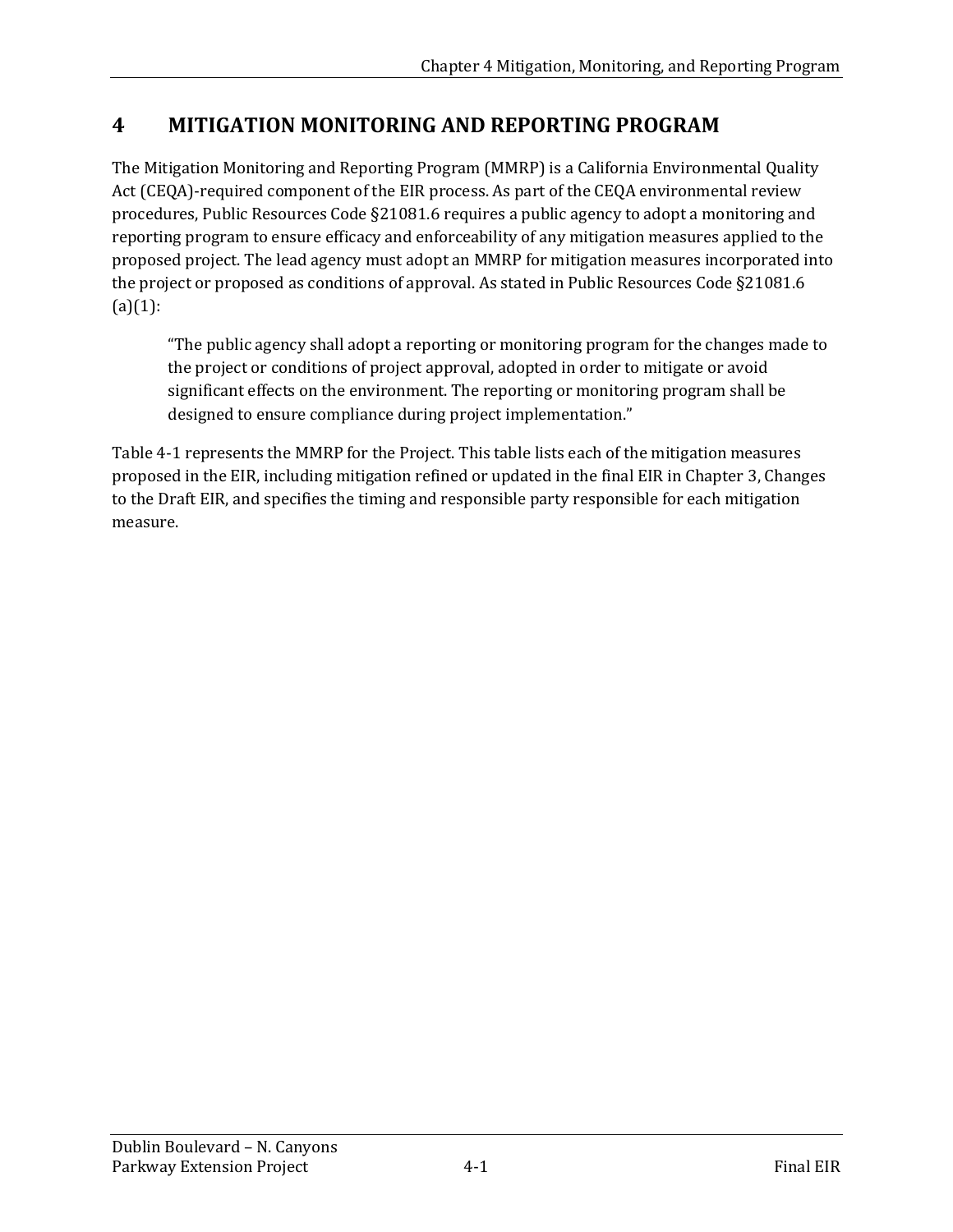## **4 MITIGATION MONITORING AND REPORTING PROGRAM**

The Mitigation Monitoring and Reporting Program (MMRP) is a California Environmental Quality Act (CEQA)-required component of the EIR process. As part of the CEQA environmental review procedures, Public Resources Code §21081.6 requires a public agency to adopt a monitoring and reporting program to ensure efficacy and enforceability of any mitigation measures applied to the proposed project. The lead agency must adopt an MMRP for mitigation measures incorporated into the project or proposed as conditions of approval. As stated in Public Resources Code §21081.6  $(a)(1)$ :

"The public agency shall adopt a reporting or monitoring program for the changes made to the project or conditions of project approval, adopted in order to mitigate or avoid significant effects on the environment. The reporting or monitoring program shall be designed to ensure compliance during project implementation."

Table 4-1 represents the MMRP for the Project. This table lists each of the mitigation measures proposed in the EIR, including mitigation refined or updated in the final EIR in Chapter 3, Changes to the Draft EIR, and specifies the timing and responsible party responsible for each mitigation measure.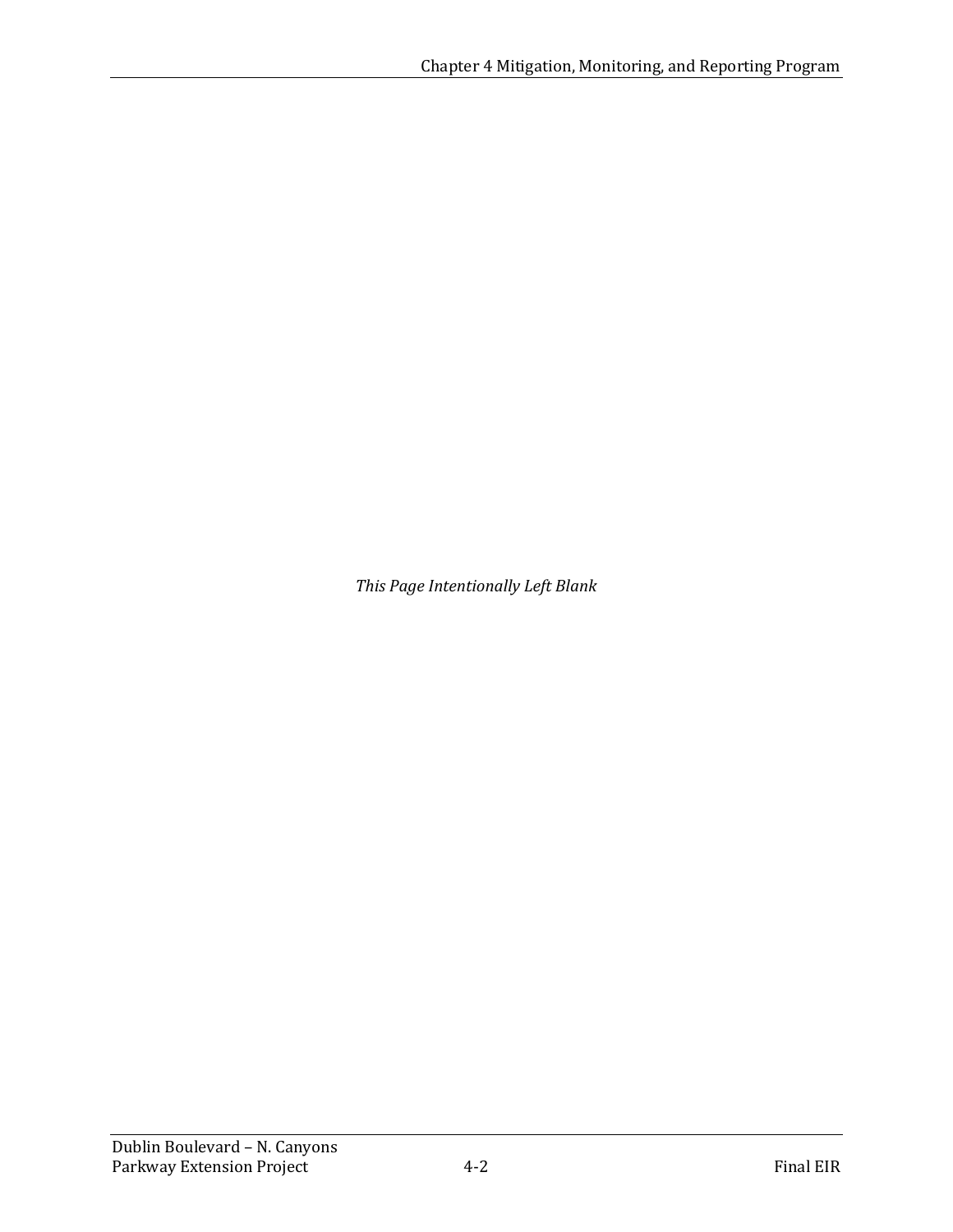*This Page Intentionally Left Blank*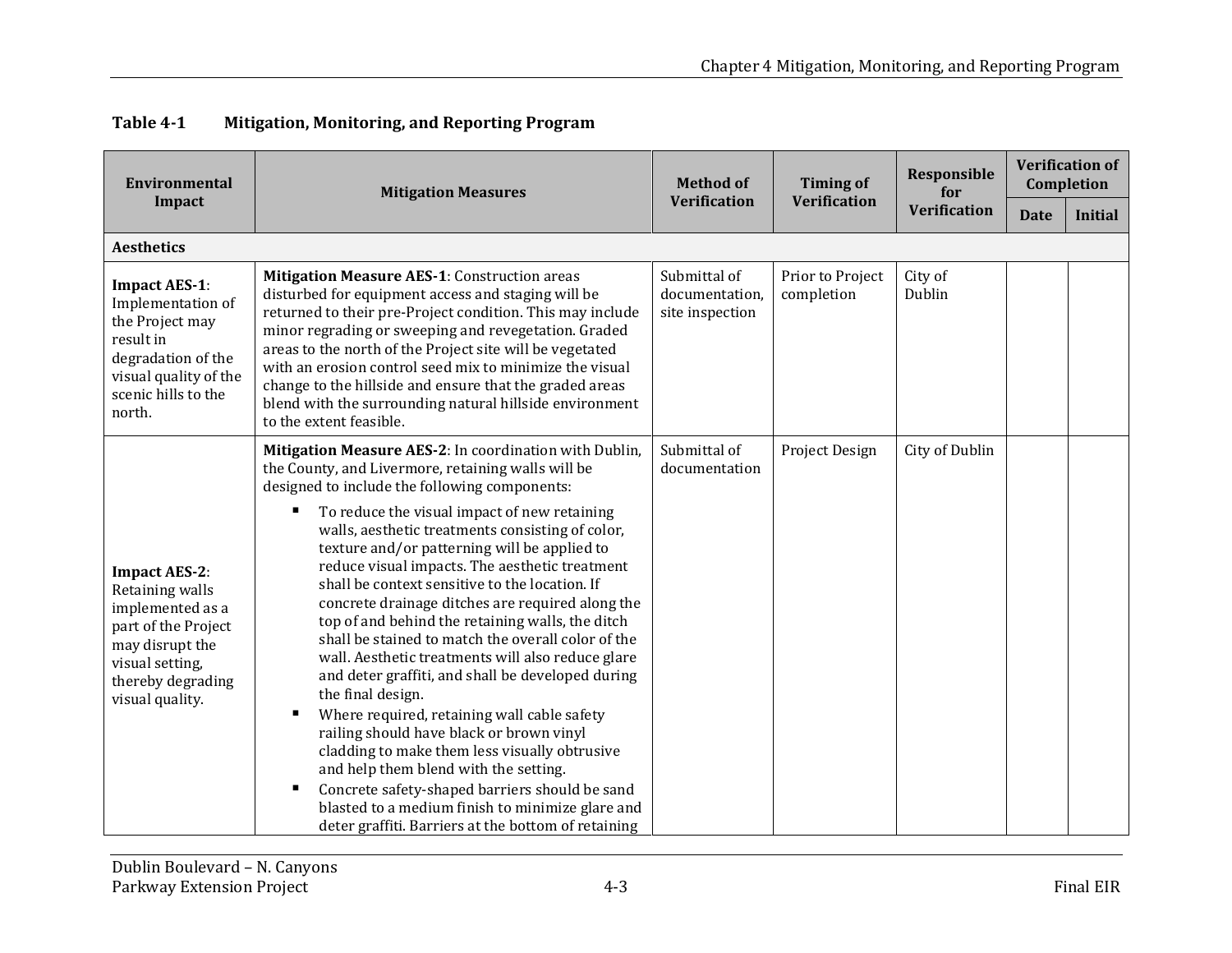| <b>Environmental</b>                                                                                                                                             | <b>Mitigation Measures</b>                                                                                                                                                                                                                                                                                                                                                                                                                                                                                                                                                                                                                                                                                                                                                                                                                                                                                                                                                                                                                                                | <b>Method of</b><br><b>Verification</b>           | <b>Timing of</b><br><b>Verification</b> | Responsible<br>for<br><b>Verification</b> | <b>Verification of</b><br>Completion |                |
|------------------------------------------------------------------------------------------------------------------------------------------------------------------|---------------------------------------------------------------------------------------------------------------------------------------------------------------------------------------------------------------------------------------------------------------------------------------------------------------------------------------------------------------------------------------------------------------------------------------------------------------------------------------------------------------------------------------------------------------------------------------------------------------------------------------------------------------------------------------------------------------------------------------------------------------------------------------------------------------------------------------------------------------------------------------------------------------------------------------------------------------------------------------------------------------------------------------------------------------------------|---------------------------------------------------|-----------------------------------------|-------------------------------------------|--------------------------------------|----------------|
| Impact                                                                                                                                                           |                                                                                                                                                                                                                                                                                                                                                                                                                                                                                                                                                                                                                                                                                                                                                                                                                                                                                                                                                                                                                                                                           |                                                   |                                         |                                           | <b>Date</b>                          | <b>Initial</b> |
| <b>Aesthetics</b>                                                                                                                                                |                                                                                                                                                                                                                                                                                                                                                                                                                                                                                                                                                                                                                                                                                                                                                                                                                                                                                                                                                                                                                                                                           |                                                   |                                         |                                           |                                      |                |
| <b>Impact AES-1:</b><br>Implementation of<br>the Project may<br>result in<br>degradation of the<br>visual quality of the<br>scenic hills to the<br>north.        | Mitigation Measure AES-1: Construction areas<br>disturbed for equipment access and staging will be<br>returned to their pre-Project condition. This may include<br>minor regrading or sweeping and revegetation. Graded<br>areas to the north of the Project site will be vegetated<br>with an erosion control seed mix to minimize the visual<br>change to the hillside and ensure that the graded areas<br>blend with the surrounding natural hillside environment<br>to the extent feasible.                                                                                                                                                                                                                                                                                                                                                                                                                                                                                                                                                                           | Submittal of<br>documentation,<br>site inspection | Prior to Project<br>completion          | City of<br>Dublin                         |                                      |                |
| <b>Impact AES-2:</b><br>Retaining walls<br>implemented as a<br>part of the Project<br>may disrupt the<br>visual setting,<br>thereby degrading<br>visual quality. | Mitigation Measure AES-2: In coordination with Dublin,<br>the County, and Livermore, retaining walls will be<br>designed to include the following components:<br>To reduce the visual impact of new retaining<br>walls, aesthetic treatments consisting of color,<br>texture and/or patterning will be applied to<br>reduce visual impacts. The aesthetic treatment<br>shall be context sensitive to the location. If<br>concrete drainage ditches are required along the<br>top of and behind the retaining walls, the ditch<br>shall be stained to match the overall color of the<br>wall. Aesthetic treatments will also reduce glare<br>and deter graffiti, and shall be developed during<br>the final design.<br>Where required, retaining wall cable safety<br>railing should have black or brown vinyl<br>cladding to make them less visually obtrusive<br>and help them blend with the setting.<br>Concrete safety-shaped barriers should be sand<br>п<br>blasted to a medium finish to minimize glare and<br>deter graffiti. Barriers at the bottom of retaining | Submittal of<br>documentation                     | Project Design                          | City of Dublin                            |                                      |                |

## **Table 4-1 Mitigation, Monitoring, and Reporting Program**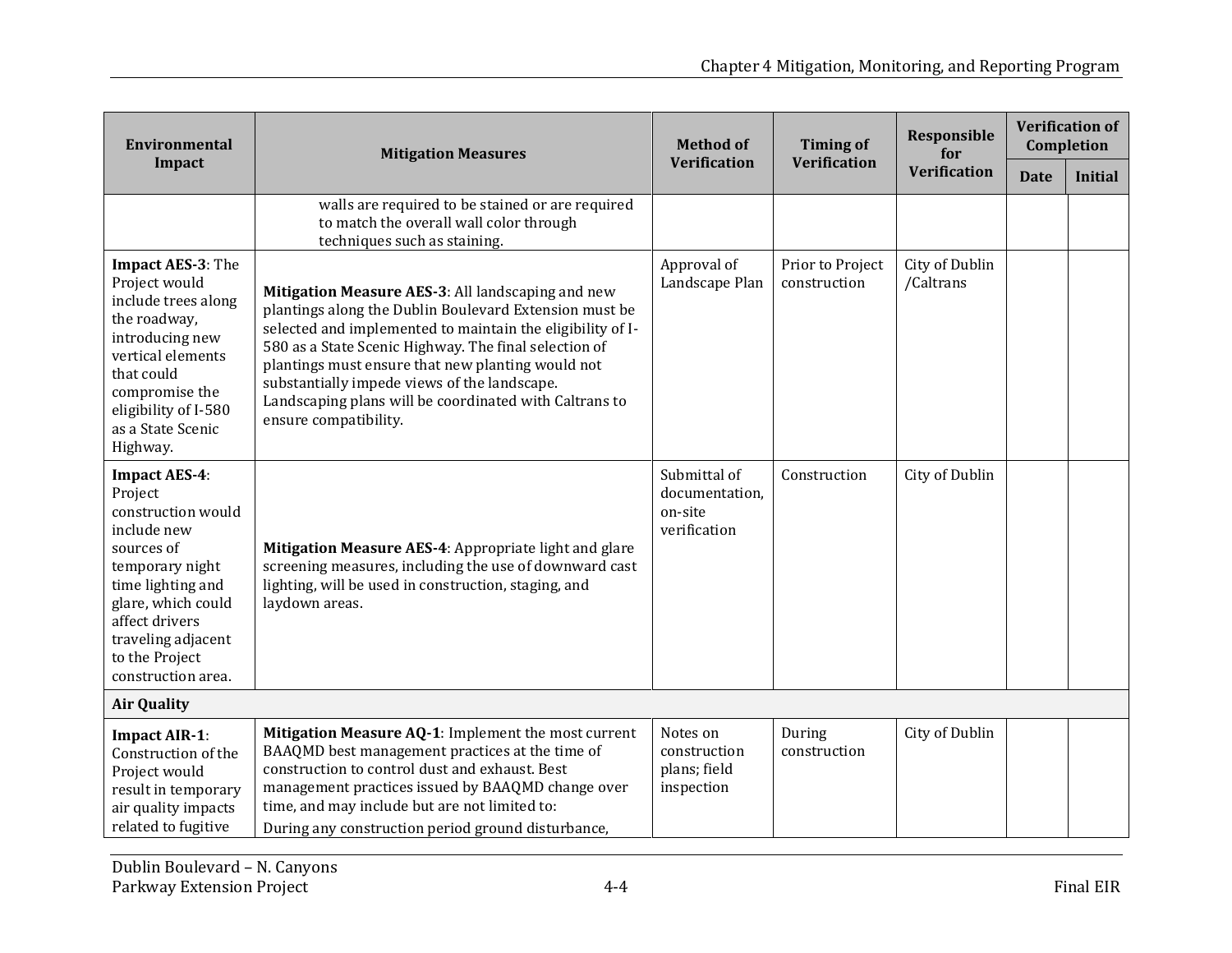| <b>Environmental</b><br>Impact                                                                                                                                                                                                   | <b>Mitigation Measures</b>                                                                                                                                                                                                                                                                                                                                                                                                 | <b>Method of</b><br><b>Verification</b>                   | <b>Timing of</b><br><b>Verification</b> | Responsible<br>for<br><b>Verification</b> | <b>Verification of</b><br>Completion |         |
|----------------------------------------------------------------------------------------------------------------------------------------------------------------------------------------------------------------------------------|----------------------------------------------------------------------------------------------------------------------------------------------------------------------------------------------------------------------------------------------------------------------------------------------------------------------------------------------------------------------------------------------------------------------------|-----------------------------------------------------------|-----------------------------------------|-------------------------------------------|--------------------------------------|---------|
|                                                                                                                                                                                                                                  |                                                                                                                                                                                                                                                                                                                                                                                                                            |                                                           |                                         |                                           | <b>Date</b>                          | Initial |
|                                                                                                                                                                                                                                  | walls are required to be stained or are required<br>to match the overall wall color through<br>techniques such as staining.                                                                                                                                                                                                                                                                                                |                                                           |                                         |                                           |                                      |         |
| Impact AES-3: The<br>Project would<br>include trees along<br>the roadway,<br>introducing new<br>vertical elements<br>that could<br>compromise the<br>eligibility of I-580<br>as a State Scenic<br>Highway.                       | Mitigation Measure AES-3: All landscaping and new<br>plantings along the Dublin Boulevard Extension must be<br>selected and implemented to maintain the eligibility of I-<br>580 as a State Scenic Highway. The final selection of<br>plantings must ensure that new planting would not<br>substantially impede views of the landscape.<br>Landscaping plans will be coordinated with Caltrans to<br>ensure compatibility. | Approval of<br>Landscape Plan                             | Prior to Project<br>construction        | City of Dublin<br>/Caltrans               |                                      |         |
| <b>Impact AES-4:</b><br>Project<br>construction would<br>include new<br>sources of<br>temporary night<br>time lighting and<br>glare, which could<br>affect drivers<br>traveling adjacent<br>to the Project<br>construction area. | Mitigation Measure AES-4: Appropriate light and glare<br>screening measures, including the use of downward cast<br>lighting, will be used in construction, staging, and<br>laydown areas.                                                                                                                                                                                                                                  | Submittal of<br>documentation,<br>on-site<br>verification | Construction                            | City of Dublin                            |                                      |         |
| <b>Air Quality</b>                                                                                                                                                                                                               |                                                                                                                                                                                                                                                                                                                                                                                                                            |                                                           |                                         |                                           |                                      |         |
| <b>Impact AIR-1:</b><br>Construction of the<br>Project would<br>result in temporary<br>air quality impacts<br>related to fugitive                                                                                                | Mitigation Measure AQ-1: Implement the most current<br>BAAQMD best management practices at the time of<br>construction to control dust and exhaust. Best<br>management practices issued by BAAQMD change over<br>time, and may include but are not limited to:<br>During any construction period ground disturbance,                                                                                                       | Notes on<br>construction<br>plans; field<br>inspection    | During<br>construction                  | City of Dublin                            |                                      |         |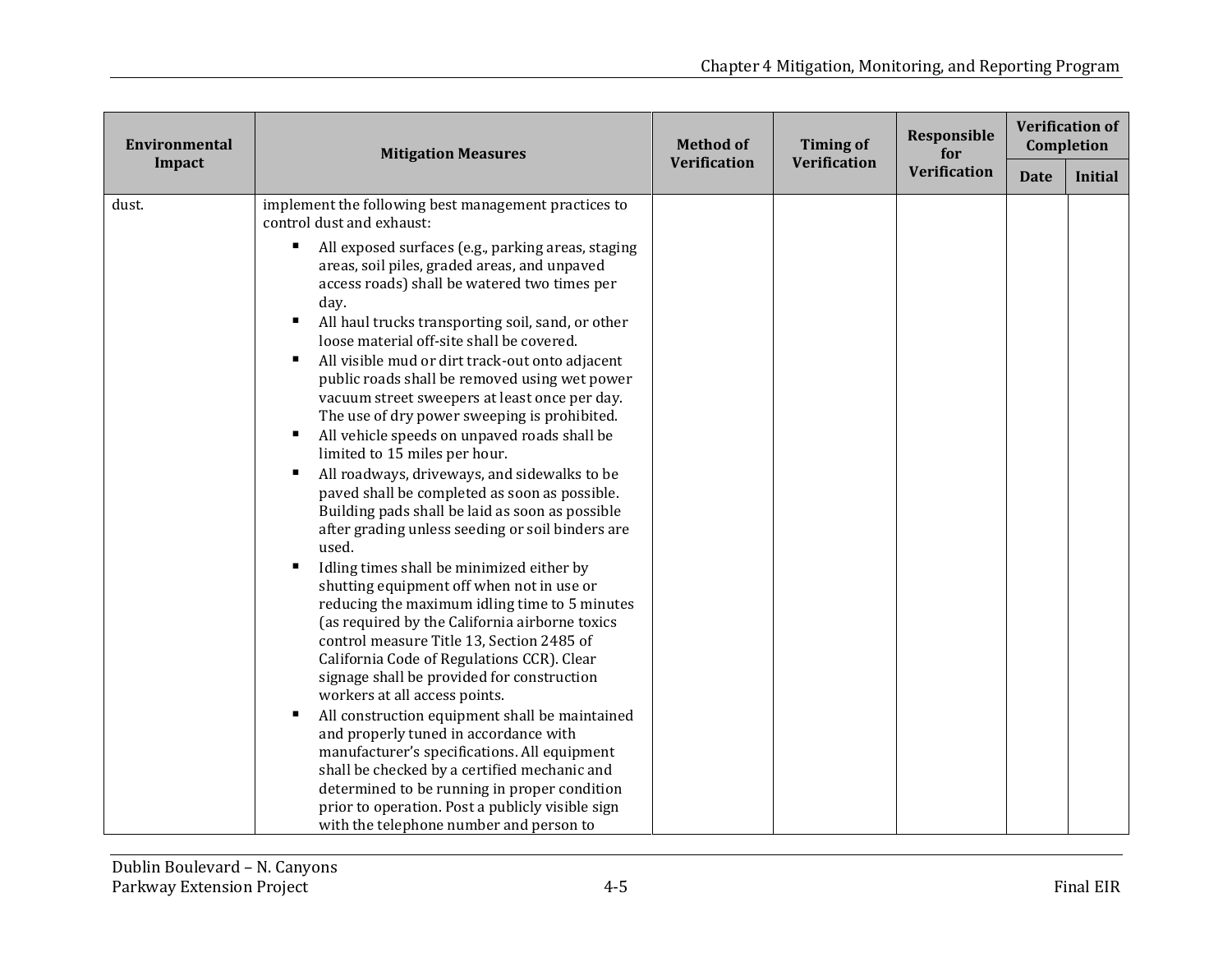| Environmental<br>Impact | <b>Mitigation Measures</b>                                                                                                                                                                                                                                                                                                                                                                                                                                                                                                                                                                                                                                                                                                                                                                                                                                                                                                                                                                                                                                                                                                                                                                                                                                                                                                                                                                                                                                                                                                                                                               | <b>Method of</b>    | <b>Timing of</b><br><b>Verification</b> | Responsible<br>for<br><b>Verification</b> | <b>Verification of</b><br>Completion |                |
|-------------------------|------------------------------------------------------------------------------------------------------------------------------------------------------------------------------------------------------------------------------------------------------------------------------------------------------------------------------------------------------------------------------------------------------------------------------------------------------------------------------------------------------------------------------------------------------------------------------------------------------------------------------------------------------------------------------------------------------------------------------------------------------------------------------------------------------------------------------------------------------------------------------------------------------------------------------------------------------------------------------------------------------------------------------------------------------------------------------------------------------------------------------------------------------------------------------------------------------------------------------------------------------------------------------------------------------------------------------------------------------------------------------------------------------------------------------------------------------------------------------------------------------------------------------------------------------------------------------------------|---------------------|-----------------------------------------|-------------------------------------------|--------------------------------------|----------------|
|                         |                                                                                                                                                                                                                                                                                                                                                                                                                                                                                                                                                                                                                                                                                                                                                                                                                                                                                                                                                                                                                                                                                                                                                                                                                                                                                                                                                                                                                                                                                                                                                                                          | <b>Verification</b> |                                         |                                           | <b>Date</b>                          | <b>Initial</b> |
| dust.                   | implement the following best management practices to<br>control dust and exhaust:<br>٠<br>All exposed surfaces (e.g., parking areas, staging<br>areas, soil piles, graded areas, and unpaved<br>access roads) shall be watered two times per<br>day.<br>All haul trucks transporting soil, sand, or other<br>٠<br>loose material off-site shall be covered.<br>All visible mud or dirt track-out onto adjacent<br>п<br>public roads shall be removed using wet power<br>vacuum street sweepers at least once per day.<br>The use of dry power sweeping is prohibited.<br>All vehicle speeds on unpaved roads shall be<br>limited to 15 miles per hour.<br>All roadways, driveways, and sidewalks to be<br>paved shall be completed as soon as possible.<br>Building pads shall be laid as soon as possible<br>after grading unless seeding or soil binders are<br>used.<br>Idling times shall be minimized either by<br>shutting equipment off when not in use or<br>reducing the maximum idling time to 5 minutes<br>(as required by the California airborne toxics<br>control measure Title 13, Section 2485 of<br>California Code of Regulations CCR). Clear<br>signage shall be provided for construction<br>workers at all access points.<br>All construction equipment shall be maintained<br>and properly tuned in accordance with<br>manufacturer's specifications. All equipment<br>shall be checked by a certified mechanic and<br>determined to be running in proper condition<br>prior to operation. Post a publicly visible sign<br>with the telephone number and person to |                     |                                         |                                           |                                      |                |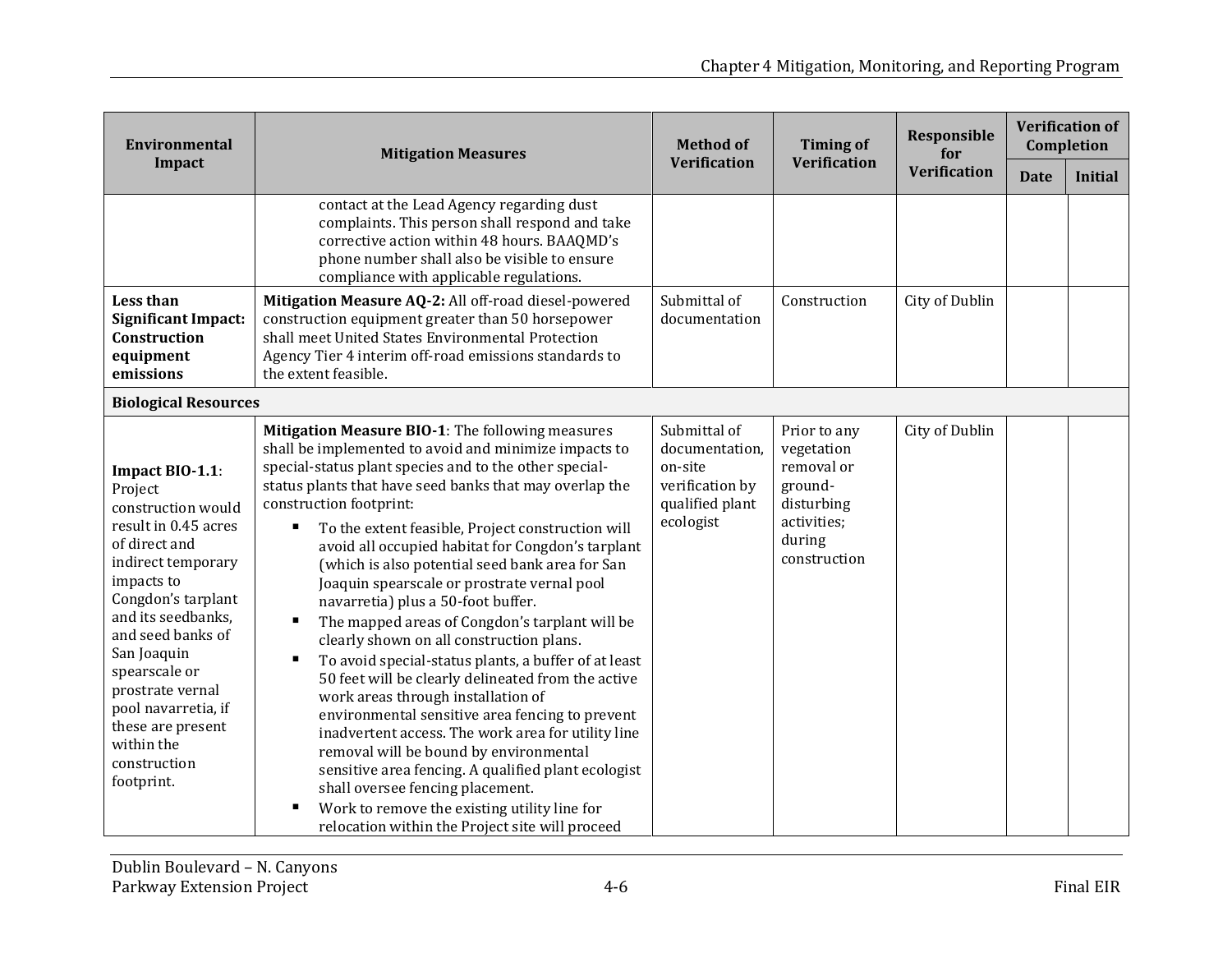| <b>Environmental</b>                                                                                                                                                                                                                                                                                                                       | <b>Mitigation Measures</b>                                                                                                                                                                                                                                                                                                                                                                                                                                                                                                                                                                                                                                                                                                                                                                                                                                                                                                                                                                                                                                                                                                    | <b>Method of</b><br><b>Verification</b>                                                      | <b>Timing of</b>                                                                                           | Responsible<br>for<br><b>Verification</b> | <b>Verification of</b><br>Completion |                |
|--------------------------------------------------------------------------------------------------------------------------------------------------------------------------------------------------------------------------------------------------------------------------------------------------------------------------------------------|-------------------------------------------------------------------------------------------------------------------------------------------------------------------------------------------------------------------------------------------------------------------------------------------------------------------------------------------------------------------------------------------------------------------------------------------------------------------------------------------------------------------------------------------------------------------------------------------------------------------------------------------------------------------------------------------------------------------------------------------------------------------------------------------------------------------------------------------------------------------------------------------------------------------------------------------------------------------------------------------------------------------------------------------------------------------------------------------------------------------------------|----------------------------------------------------------------------------------------------|------------------------------------------------------------------------------------------------------------|-------------------------------------------|--------------------------------------|----------------|
| Impact                                                                                                                                                                                                                                                                                                                                     |                                                                                                                                                                                                                                                                                                                                                                                                                                                                                                                                                                                                                                                                                                                                                                                                                                                                                                                                                                                                                                                                                                                               |                                                                                              | <b>Verification</b>                                                                                        |                                           | <b>Date</b>                          | <b>Initial</b> |
|                                                                                                                                                                                                                                                                                                                                            | contact at the Lead Agency regarding dust<br>complaints. This person shall respond and take<br>corrective action within 48 hours. BAAQMD's<br>phone number shall also be visible to ensure<br>compliance with applicable regulations.                                                                                                                                                                                                                                                                                                                                                                                                                                                                                                                                                                                                                                                                                                                                                                                                                                                                                         |                                                                                              |                                                                                                            |                                           |                                      |                |
| Less than<br><b>Significant Impact:</b><br>Construction<br>equipment<br>emissions                                                                                                                                                                                                                                                          | Mitigation Measure AQ-2: All off-road diesel-powered<br>construction equipment greater than 50 horsepower<br>shall meet United States Environmental Protection<br>Agency Tier 4 interim off-road emissions standards to<br>the extent feasible.                                                                                                                                                                                                                                                                                                                                                                                                                                                                                                                                                                                                                                                                                                                                                                                                                                                                               | Submittal of<br>documentation                                                                | Construction                                                                                               | City of Dublin                            |                                      |                |
| <b>Biological Resources</b>                                                                                                                                                                                                                                                                                                                |                                                                                                                                                                                                                                                                                                                                                                                                                                                                                                                                                                                                                                                                                                                                                                                                                                                                                                                                                                                                                                                                                                                               |                                                                                              |                                                                                                            |                                           |                                      |                |
| Impact BIO-1.1:<br>Project<br>construction would<br>result in 0.45 acres<br>of direct and<br>indirect temporary<br>impacts to<br>Congdon's tarplant<br>and its seedbanks,<br>and seed banks of<br>San Joaquin<br>spearscale or<br>prostrate vernal<br>pool navarretia, if<br>these are present<br>within the<br>construction<br>footprint. | Mitigation Measure BIO-1: The following measures<br>shall be implemented to avoid and minimize impacts to<br>special-status plant species and to the other special-<br>status plants that have seed banks that may overlap the<br>construction footprint:<br>To the extent feasible, Project construction will<br>ш<br>avoid all occupied habitat for Congdon's tarplant<br>(which is also potential seed bank area for San<br>Joaquin spearscale or prostrate vernal pool<br>navarretia) plus a 50-foot buffer.<br>The mapped areas of Congdon's tarplant will be<br>п<br>clearly shown on all construction plans.<br>To avoid special-status plants, a buffer of at least<br>п<br>50 feet will be clearly delineated from the active<br>work areas through installation of<br>environmental sensitive area fencing to prevent<br>inadvertent access. The work area for utility line<br>removal will be bound by environmental<br>sensitive area fencing. A qualified plant ecologist<br>shall oversee fencing placement.<br>Work to remove the existing utility line for<br>relocation within the Project site will proceed | Submittal of<br>documentation,<br>on-site<br>verification by<br>qualified plant<br>ecologist | Prior to any<br>vegetation<br>removal or<br>ground-<br>disturbing<br>activities;<br>during<br>construction | City of Dublin                            |                                      |                |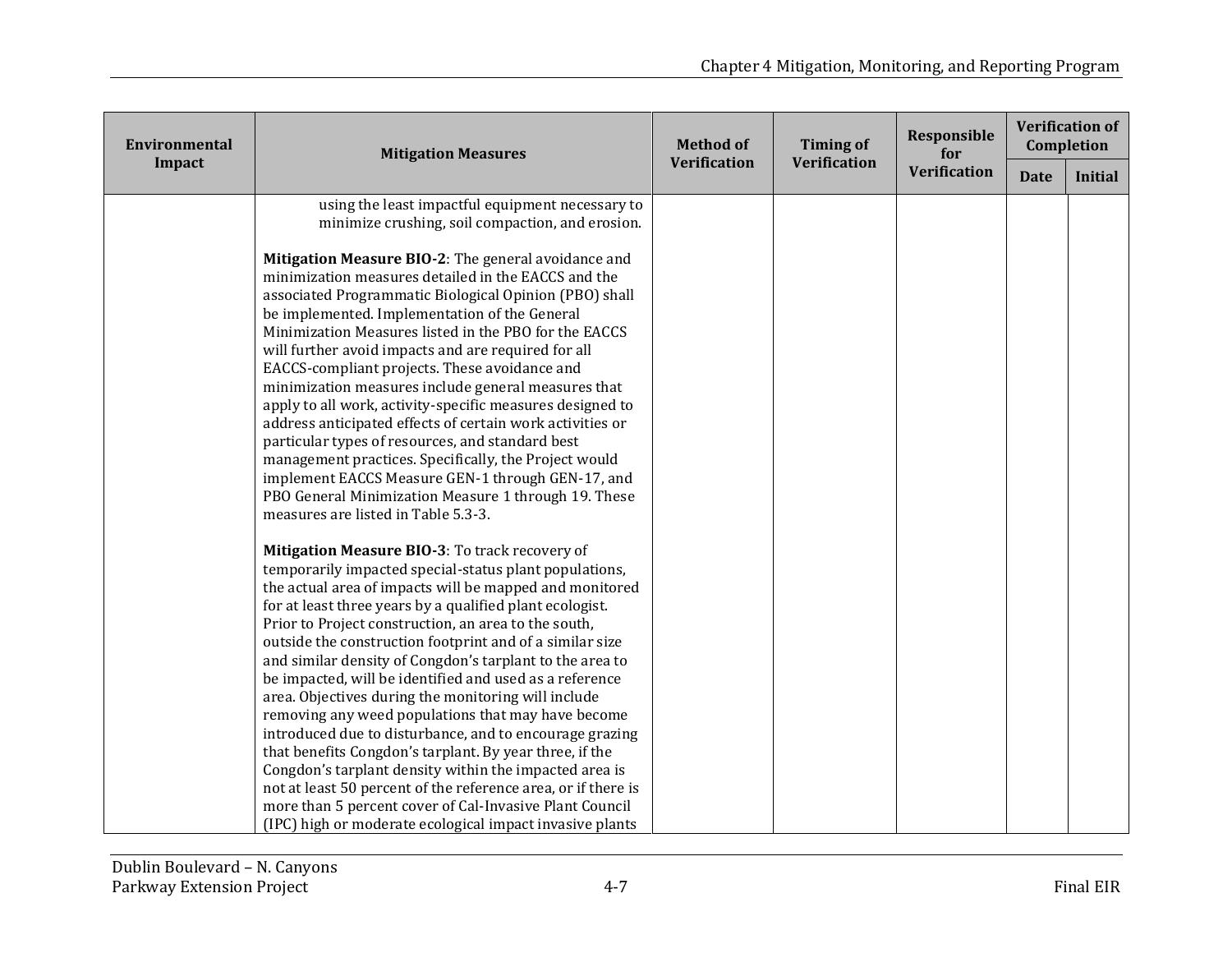| <b>Environmental</b> | <b>Mitigation Measures</b>                                                                                                                                                                                                                                                                                                                                                                                                                                                                                                                                                                                                                                                                                                                                                                                                                                                                                                                                      | <b>Method of</b><br><b>Verification</b> | <b>Timing of</b><br><b>Verification</b> | Responsible<br>for<br><b>Verification</b> | <b>Verification of</b><br>Completion |                |
|----------------------|-----------------------------------------------------------------------------------------------------------------------------------------------------------------------------------------------------------------------------------------------------------------------------------------------------------------------------------------------------------------------------------------------------------------------------------------------------------------------------------------------------------------------------------------------------------------------------------------------------------------------------------------------------------------------------------------------------------------------------------------------------------------------------------------------------------------------------------------------------------------------------------------------------------------------------------------------------------------|-----------------------------------------|-----------------------------------------|-------------------------------------------|--------------------------------------|----------------|
| Impact               |                                                                                                                                                                                                                                                                                                                                                                                                                                                                                                                                                                                                                                                                                                                                                                                                                                                                                                                                                                 |                                         |                                         |                                           | <b>Date</b>                          | <b>Initial</b> |
|                      | using the least impactful equipment necessary to<br>minimize crushing, soil compaction, and erosion.                                                                                                                                                                                                                                                                                                                                                                                                                                                                                                                                                                                                                                                                                                                                                                                                                                                            |                                         |                                         |                                           |                                      |                |
|                      | Mitigation Measure BIO-2: The general avoidance and<br>minimization measures detailed in the EACCS and the<br>associated Programmatic Biological Opinion (PBO) shall<br>be implemented. Implementation of the General<br>Minimization Measures listed in the PBO for the EACCS<br>will further avoid impacts and are required for all<br>EACCS-compliant projects. These avoidance and<br>minimization measures include general measures that<br>apply to all work, activity-specific measures designed to<br>address anticipated effects of certain work activities or<br>particular types of resources, and standard best<br>management practices. Specifically, the Project would<br>implement EACCS Measure GEN-1 through GEN-17, and<br>PBO General Minimization Measure 1 through 19. These<br>measures are listed in Table 5.3-3.                                                                                                                        |                                         |                                         |                                           |                                      |                |
|                      | Mitigation Measure BIO-3: To track recovery of<br>temporarily impacted special-status plant populations,<br>the actual area of impacts will be mapped and monitored<br>for at least three years by a qualified plant ecologist.<br>Prior to Project construction, an area to the south,<br>outside the construction footprint and of a similar size<br>and similar density of Congdon's tarplant to the area to<br>be impacted, will be identified and used as a reference<br>area. Objectives during the monitoring will include<br>removing any weed populations that may have become<br>introduced due to disturbance, and to encourage grazing<br>that benefits Congdon's tarplant. By year three, if the<br>Congdon's tarplant density within the impacted area is<br>not at least 50 percent of the reference area, or if there is<br>more than 5 percent cover of Cal-Invasive Plant Council<br>(IPC) high or moderate ecological impact invasive plants |                                         |                                         |                                           |                                      |                |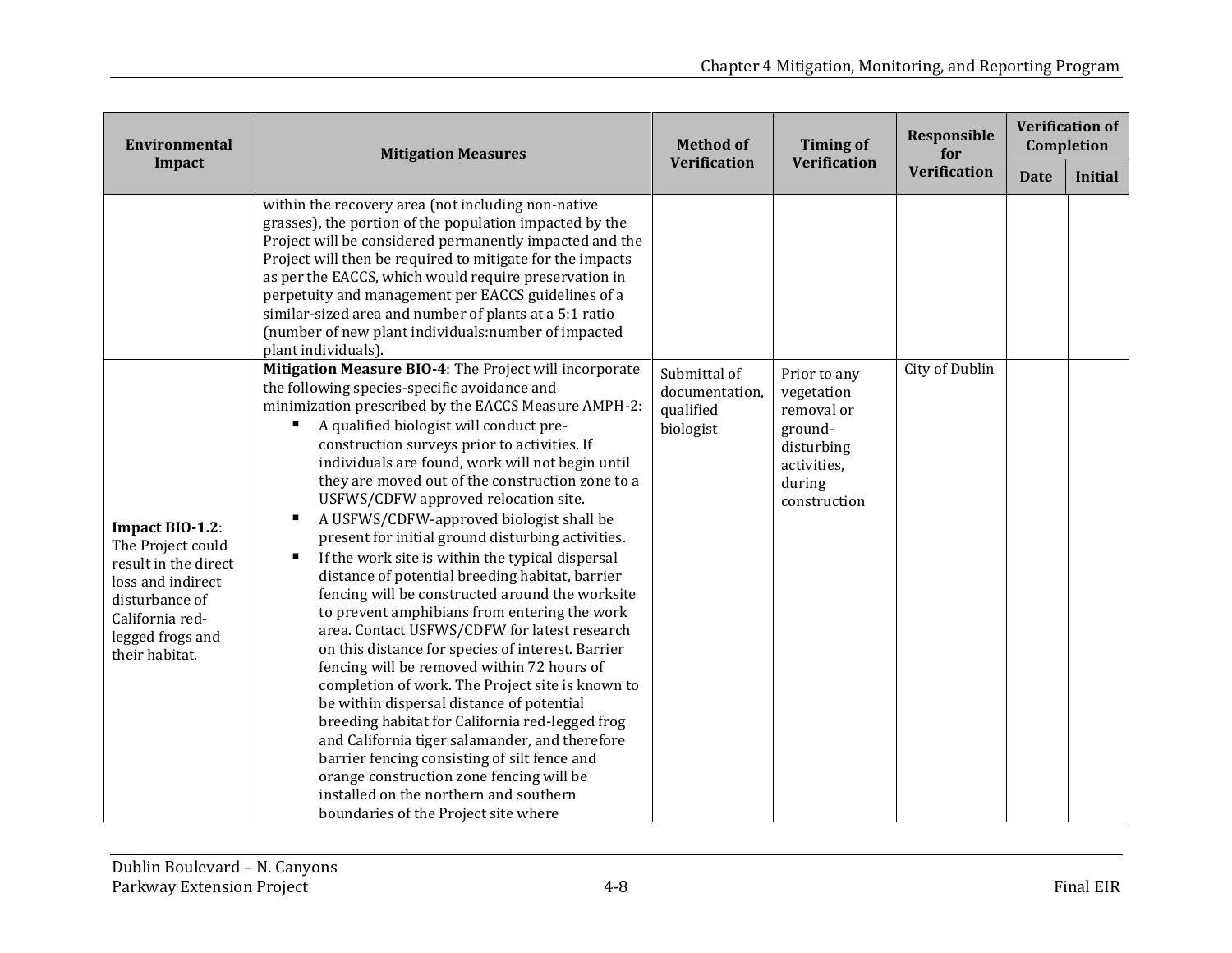| <b>Environmental</b>                                                                                                                                         | <b>Mitigation Measures</b>                                                                                                                                                                                                                                                                                                                                                                                                                                                                                                                                                                                                                                                                                                                                                                                                                                                                                                                                                                                                                                                                                                                                                                                                                                        | <b>Method of</b><br><b>Verification</b>                  | <b>Timing of</b><br><b>Verification</b>                                                                    | Responsible<br>for<br><b>Verification</b> | <b>Verification of</b><br>Completion |                |
|--------------------------------------------------------------------------------------------------------------------------------------------------------------|-------------------------------------------------------------------------------------------------------------------------------------------------------------------------------------------------------------------------------------------------------------------------------------------------------------------------------------------------------------------------------------------------------------------------------------------------------------------------------------------------------------------------------------------------------------------------------------------------------------------------------------------------------------------------------------------------------------------------------------------------------------------------------------------------------------------------------------------------------------------------------------------------------------------------------------------------------------------------------------------------------------------------------------------------------------------------------------------------------------------------------------------------------------------------------------------------------------------------------------------------------------------|----------------------------------------------------------|------------------------------------------------------------------------------------------------------------|-------------------------------------------|--------------------------------------|----------------|
| Impact                                                                                                                                                       |                                                                                                                                                                                                                                                                                                                                                                                                                                                                                                                                                                                                                                                                                                                                                                                                                                                                                                                                                                                                                                                                                                                                                                                                                                                                   |                                                          |                                                                                                            |                                           | <b>Date</b>                          | <b>Initial</b> |
|                                                                                                                                                              | within the recovery area (not including non-native<br>grasses), the portion of the population impacted by the<br>Project will be considered permanently impacted and the<br>Project will then be required to mitigate for the impacts<br>as per the EACCS, which would require preservation in<br>perpetuity and management per EACCS guidelines of a<br>similar-sized area and number of plants at a 5:1 ratio<br>(number of new plant individuals:number of impacted<br>plant individuals).                                                                                                                                                                                                                                                                                                                                                                                                                                                                                                                                                                                                                                                                                                                                                                     |                                                          |                                                                                                            |                                           |                                      |                |
| Impact BIO-1.2:<br>The Project could<br>result in the direct<br>loss and indirect<br>disturbance of<br>California red-<br>legged frogs and<br>their habitat. | Mitigation Measure BIO-4: The Project will incorporate<br>the following species-specific avoidance and<br>minimization prescribed by the EACCS Measure AMPH-2:<br>A qualified biologist will conduct pre-<br>construction surveys prior to activities. If<br>individuals are found, work will not begin until<br>they are moved out of the construction zone to a<br>USFWS/CDFW approved relocation site.<br>A USFWS/CDFW-approved biologist shall be<br>п.<br>present for initial ground disturbing activities.<br>If the work site is within the typical dispersal<br>distance of potential breeding habitat, barrier<br>fencing will be constructed around the worksite<br>to prevent amphibians from entering the work<br>area. Contact USFWS/CDFW for latest research<br>on this distance for species of interest. Barrier<br>fencing will be removed within 72 hours of<br>completion of work. The Project site is known to<br>be within dispersal distance of potential<br>breeding habitat for California red-legged frog<br>and California tiger salamander, and therefore<br>barrier fencing consisting of silt fence and<br>orange construction zone fencing will be<br>installed on the northern and southern<br>boundaries of the Project site where | Submittal of<br>documentation,<br>qualified<br>biologist | Prior to any<br>vegetation<br>removal or<br>ground-<br>disturbing<br>activities,<br>during<br>construction | City of Dublin                            |                                      |                |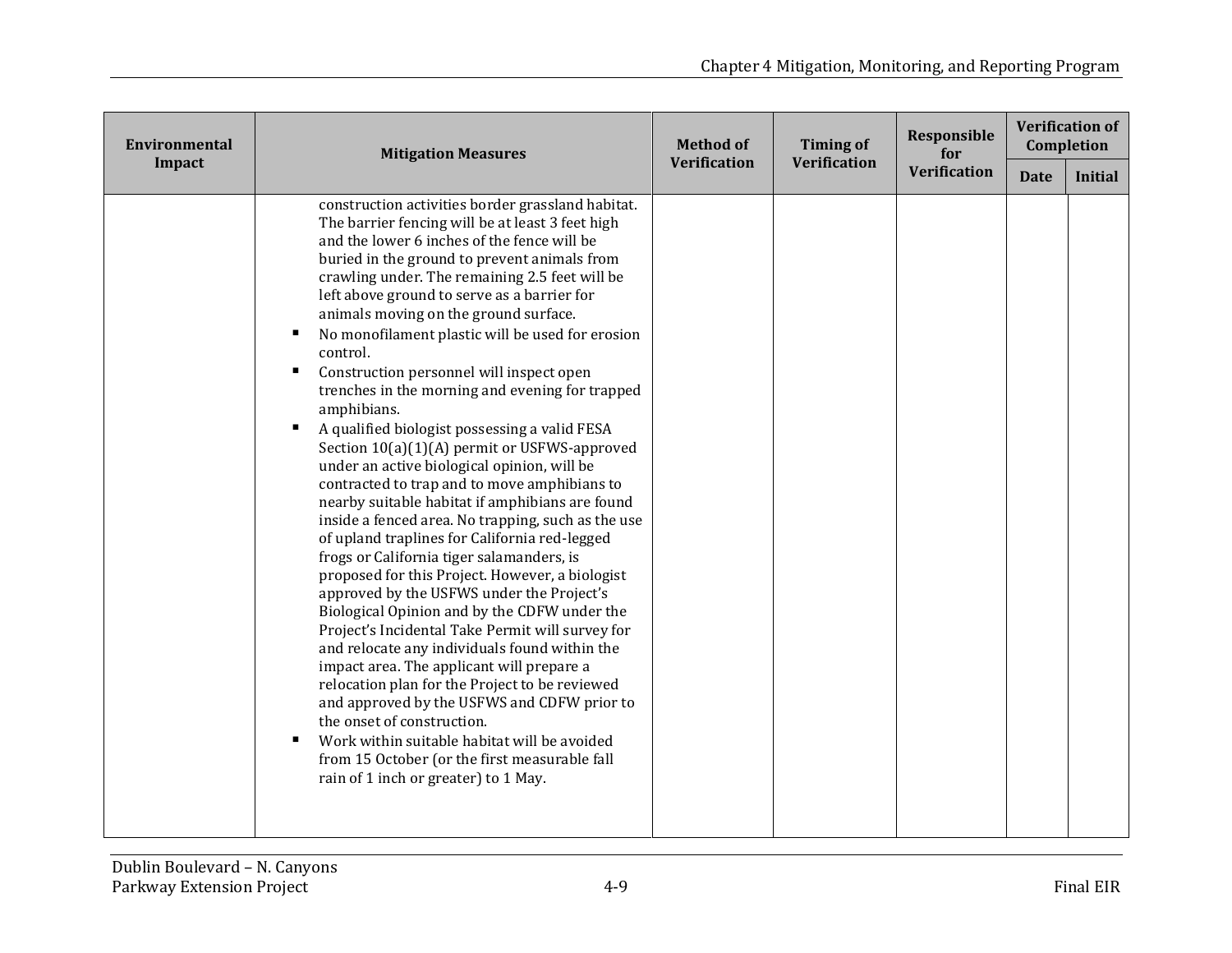| <b>Environmental</b> |                                                                                                                                                                                                                                                                                                                                                                                                                                                                                                                                                                                                                                                                                                                                                                                                                                                                                                                                                                                                                                                                                                                                                                                                                                                                                                                                                                                                                                                                                                               | <b>Method of</b><br><b>Verification</b> |  |                     | <b>Mitigation Measures</b> | <b>Timing of</b><br><b>Verification</b> | Responsible<br>for | <b>Verification of</b><br>Completion |  |
|----------------------|---------------------------------------------------------------------------------------------------------------------------------------------------------------------------------------------------------------------------------------------------------------------------------------------------------------------------------------------------------------------------------------------------------------------------------------------------------------------------------------------------------------------------------------------------------------------------------------------------------------------------------------------------------------------------------------------------------------------------------------------------------------------------------------------------------------------------------------------------------------------------------------------------------------------------------------------------------------------------------------------------------------------------------------------------------------------------------------------------------------------------------------------------------------------------------------------------------------------------------------------------------------------------------------------------------------------------------------------------------------------------------------------------------------------------------------------------------------------------------------------------------------|-----------------------------------------|--|---------------------|----------------------------|-----------------------------------------|--------------------|--------------------------------------|--|
| <b>Impact</b>        |                                                                                                                                                                                                                                                                                                                                                                                                                                                                                                                                                                                                                                                                                                                                                                                                                                                                                                                                                                                                                                                                                                                                                                                                                                                                                                                                                                                                                                                                                                               |                                         |  | <b>Verification</b> | <b>Date</b>                | <b>Initial</b>                          |                    |                                      |  |
|                      | construction activities border grassland habitat.<br>The barrier fencing will be at least 3 feet high<br>and the lower 6 inches of the fence will be<br>buried in the ground to prevent animals from<br>crawling under. The remaining 2.5 feet will be<br>left above ground to serve as a barrier for<br>animals moving on the ground surface.<br>No monofilament plastic will be used for erosion<br>control.<br>Construction personnel will inspect open<br>trenches in the morning and evening for trapped<br>amphibians.<br>A qualified biologist possessing a valid FESA<br>Section 10(a)(1)(A) permit or USFWS-approved<br>under an active biological opinion, will be<br>contracted to trap and to move amphibians to<br>nearby suitable habitat if amphibians are found<br>inside a fenced area. No trapping, such as the use<br>of upland traplines for California red-legged<br>frogs or California tiger salamanders, is<br>proposed for this Project. However, a biologist<br>approved by the USFWS under the Project's<br>Biological Opinion and by the CDFW under the<br>Project's Incidental Take Permit will survey for<br>and relocate any individuals found within the<br>impact area. The applicant will prepare a<br>relocation plan for the Project to be reviewed<br>and approved by the USFWS and CDFW prior to<br>the onset of construction.<br>Work within suitable habitat will be avoided<br>from 15 October (or the first measurable fall<br>rain of 1 inch or greater) to 1 May. |                                         |  |                     |                            |                                         |                    |                                      |  |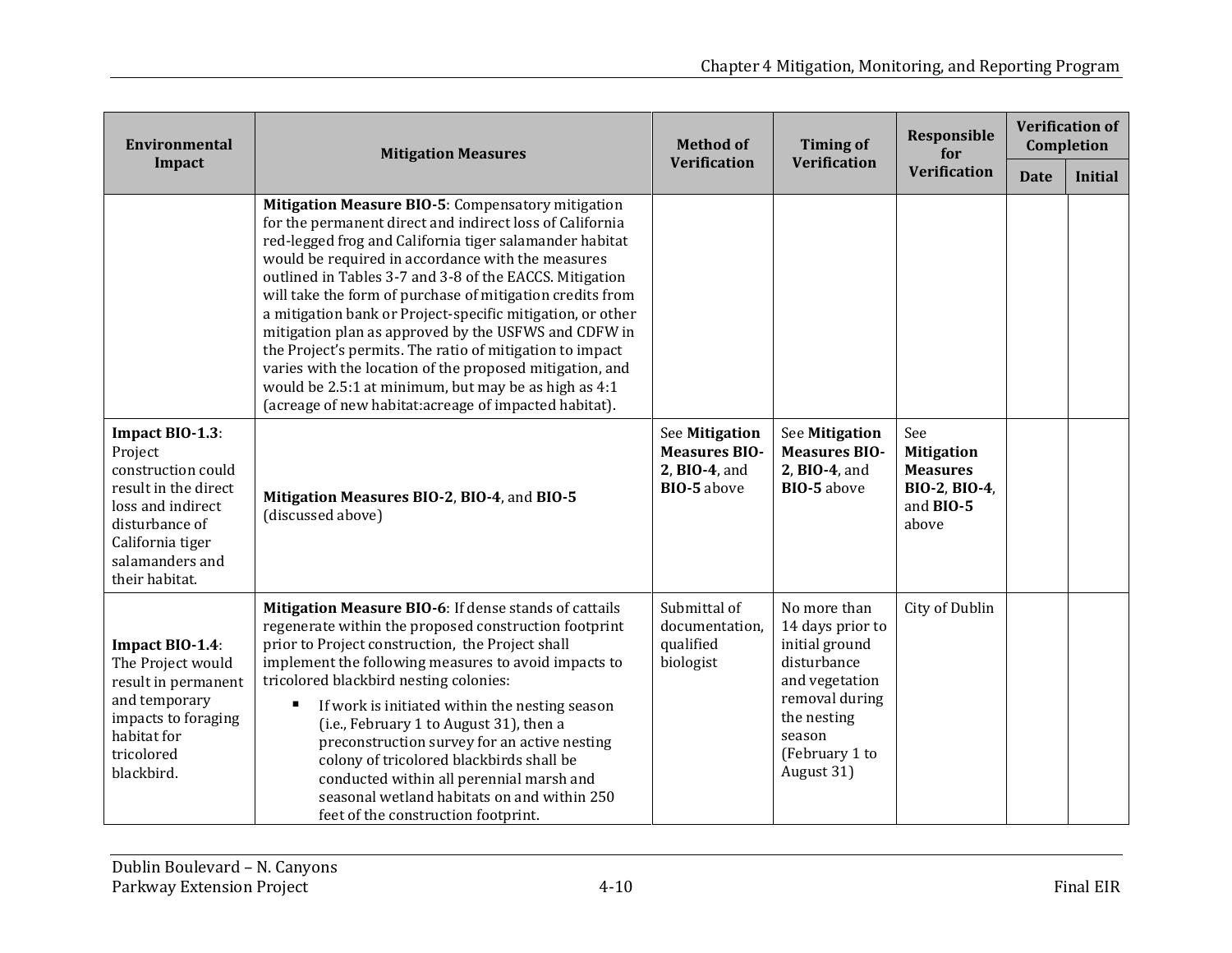| <b>Environmental</b>                                                                                                                                                     | <b>Mitigation Measures</b>                                                                                                                                                                                                                                                                                                                                                                                                                                                                                                                                                                                                                                                                                            | <b>Method of</b><br><b>Verification</b>                                              | <b>Timing of</b><br><b>Verification</b>                                                                                                                        | Responsible<br>for<br><b>Verification</b>                                          | <b>Verification of</b><br>Completion |         |
|--------------------------------------------------------------------------------------------------------------------------------------------------------------------------|-----------------------------------------------------------------------------------------------------------------------------------------------------------------------------------------------------------------------------------------------------------------------------------------------------------------------------------------------------------------------------------------------------------------------------------------------------------------------------------------------------------------------------------------------------------------------------------------------------------------------------------------------------------------------------------------------------------------------|--------------------------------------------------------------------------------------|----------------------------------------------------------------------------------------------------------------------------------------------------------------|------------------------------------------------------------------------------------|--------------------------------------|---------|
| Impact                                                                                                                                                                   |                                                                                                                                                                                                                                                                                                                                                                                                                                                                                                                                                                                                                                                                                                                       |                                                                                      |                                                                                                                                                                |                                                                                    | <b>Date</b>                          | Initial |
|                                                                                                                                                                          | Mitigation Measure BIO-5: Compensatory mitigation<br>for the permanent direct and indirect loss of California<br>red-legged frog and California tiger salamander habitat<br>would be required in accordance with the measures<br>outlined in Tables 3-7 and 3-8 of the EACCS. Mitigation<br>will take the form of purchase of mitigation credits from<br>a mitigation bank or Project-specific mitigation, or other<br>mitigation plan as approved by the USFWS and CDFW in<br>the Project's permits. The ratio of mitigation to impact<br>varies with the location of the proposed mitigation, and<br>would be 2.5:1 at minimum, but may be as high as 4:1<br>(acreage of new habitat: acreage of impacted habitat). |                                                                                      |                                                                                                                                                                |                                                                                    |                                      |         |
| Impact BIO-1.3:<br>Project<br>construction could<br>result in the direct<br>loss and indirect<br>disturbance of<br>California tiger<br>salamanders and<br>their habitat. | Mitigation Measures BIO-2, BIO-4, and BIO-5<br>(discussed above)                                                                                                                                                                                                                                                                                                                                                                                                                                                                                                                                                                                                                                                      | <b>See Mitigation</b><br><b>Measures BIO-</b><br>2, BIO-4, and<br><b>BIO-5</b> above | <b>See Mitigation</b><br><b>Measures BIO-</b><br>2, BIO-4, and<br>BIO-5 above                                                                                  | See<br><b>Mitigation</b><br><b>Measures</b><br>BIO-2, BIO-4,<br>and BIO-5<br>above |                                      |         |
| Impact BIO-1.4:<br>The Project would<br>result in permanent<br>and temporary<br>impacts to foraging<br>habitat for<br>tricolored<br>blackbird.                           | Mitigation Measure BIO-6: If dense stands of cattails<br>regenerate within the proposed construction footprint<br>prior to Project construction, the Project shall<br>implement the following measures to avoid impacts to<br>tricolored blackbird nesting colonies:<br>If work is initiated within the nesting season<br>п<br>(i.e., February 1 to August 31), then a<br>preconstruction survey for an active nesting<br>colony of tricolored blackbirds shall be<br>conducted within all perennial marsh and<br>seasonal wetland habitats on and within 250<br>feet of the construction footprint.                                                                                                                  | Submittal of<br>documentation,<br>qualified<br>biologist                             | No more than<br>14 days prior to<br>initial ground<br>disturbance<br>and vegetation<br>removal during<br>the nesting<br>season<br>(February 1 to<br>August 31) | City of Dublin                                                                     |                                      |         |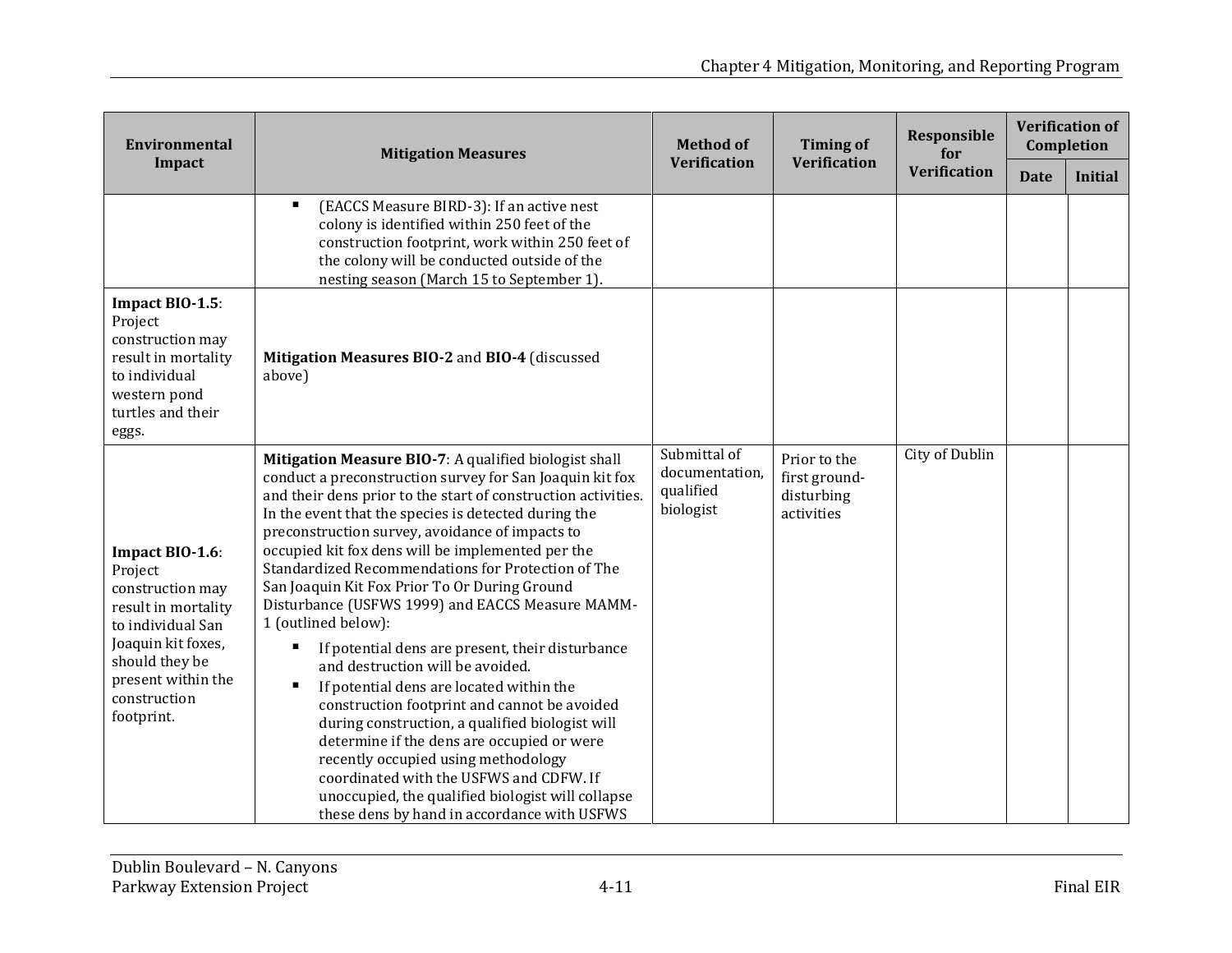| <b>Environmental</b>                                                                                                                                                                   | <b>Mitigation Measures</b>                                                                                                                                                                                                                                                                                                                                                                                                                                                                                                                                                                                                                                                                                                                                                                                                                                                                                                                                                                                           | <b>Method of</b><br><b>Verification</b>                  | <b>Timing of</b>                                          | Responsible<br>for<br><b>Verification</b> | <b>Verification of</b><br>Completion |                |
|----------------------------------------------------------------------------------------------------------------------------------------------------------------------------------------|----------------------------------------------------------------------------------------------------------------------------------------------------------------------------------------------------------------------------------------------------------------------------------------------------------------------------------------------------------------------------------------------------------------------------------------------------------------------------------------------------------------------------------------------------------------------------------------------------------------------------------------------------------------------------------------------------------------------------------------------------------------------------------------------------------------------------------------------------------------------------------------------------------------------------------------------------------------------------------------------------------------------|----------------------------------------------------------|-----------------------------------------------------------|-------------------------------------------|--------------------------------------|----------------|
| Impact                                                                                                                                                                                 |                                                                                                                                                                                                                                                                                                                                                                                                                                                                                                                                                                                                                                                                                                                                                                                                                                                                                                                                                                                                                      |                                                          | <b>Verification</b>                                       |                                           | <b>Date</b>                          | <b>Initial</b> |
|                                                                                                                                                                                        | $\blacksquare$<br>(EACCS Measure BIRD-3): If an active nest<br>colony is identified within 250 feet of the<br>construction footprint, work within 250 feet of<br>the colony will be conducted outside of the<br>nesting season (March 15 to September 1).                                                                                                                                                                                                                                                                                                                                                                                                                                                                                                                                                                                                                                                                                                                                                            |                                                          |                                                           |                                           |                                      |                |
| Impact BIO-1.5:<br>Project<br>construction may<br>result in mortality<br>to individual<br>western pond<br>turtles and their<br>eggs.                                                   | Mitigation Measures BIO-2 and BIO-4 (discussed<br>above)                                                                                                                                                                                                                                                                                                                                                                                                                                                                                                                                                                                                                                                                                                                                                                                                                                                                                                                                                             |                                                          |                                                           |                                           |                                      |                |
| Impact BIO-1.6:<br>Project<br>construction may<br>result in mortality<br>to individual San<br>Joaquin kit foxes,<br>should they be<br>present within the<br>construction<br>footprint. | Mitigation Measure BIO-7: A qualified biologist shall<br>conduct a preconstruction survey for San Joaquin kit fox<br>and their dens prior to the start of construction activities.<br>In the event that the species is detected during the<br>preconstruction survey, avoidance of impacts to<br>occupied kit fox dens will be implemented per the<br>Standardized Recommendations for Protection of The<br>San Joaquin Kit Fox Prior To Or During Ground<br>Disturbance (USFWS 1999) and EACCS Measure MAMM-<br>1 (outlined below):<br>If potential dens are present, their disturbance<br>and destruction will be avoided.<br>If potential dens are located within the<br>ш<br>construction footprint and cannot be avoided<br>during construction, a qualified biologist will<br>determine if the dens are occupied or were<br>recently occupied using methodology<br>coordinated with the USFWS and CDFW. If<br>unoccupied, the qualified biologist will collapse<br>these dens by hand in accordance with USFWS | Submittal of<br>documentation,<br>qualified<br>biologist | Prior to the<br>first ground-<br>disturbing<br>activities | City of Dublin                            |                                      |                |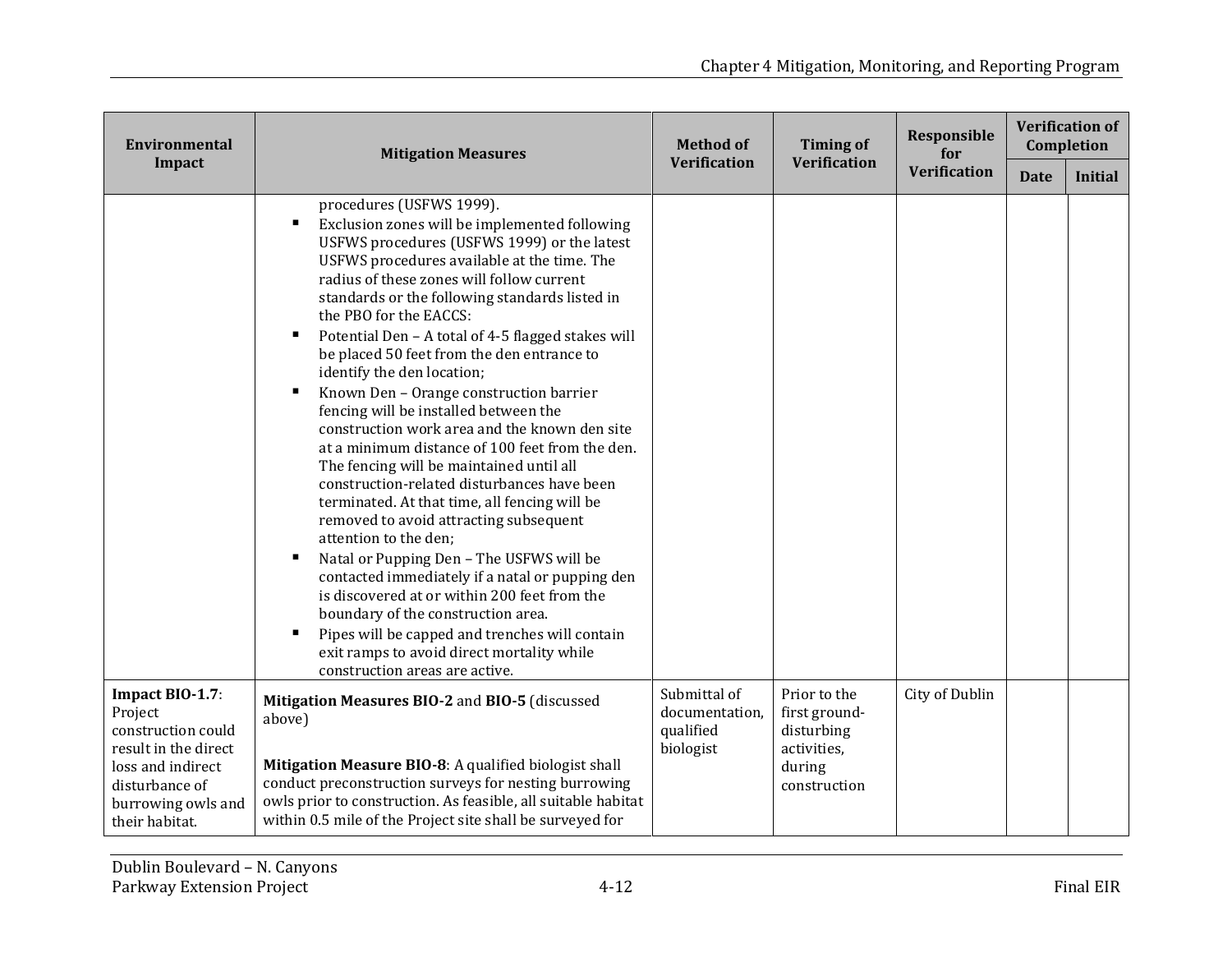| Environmental                                                                                                                                           | <b>Mitigation Measures</b>                                                                                                                                                                                                                                                                                                                                                                                                                                                                                                                                                                                                                                                                                                                                                                                                                                                                                                                                                                                                                                                                                                                                       | <b>Method of</b><br><b>Verification</b>                  | <b>Timing of</b><br><b>Verification</b>                                              | Responsible<br>for<br><b>Verification</b> | <b>Verification of</b><br><b>Completion</b> |                |
|---------------------------------------------------------------------------------------------------------------------------------------------------------|------------------------------------------------------------------------------------------------------------------------------------------------------------------------------------------------------------------------------------------------------------------------------------------------------------------------------------------------------------------------------------------------------------------------------------------------------------------------------------------------------------------------------------------------------------------------------------------------------------------------------------------------------------------------------------------------------------------------------------------------------------------------------------------------------------------------------------------------------------------------------------------------------------------------------------------------------------------------------------------------------------------------------------------------------------------------------------------------------------------------------------------------------------------|----------------------------------------------------------|--------------------------------------------------------------------------------------|-------------------------------------------|---------------------------------------------|----------------|
| Impact                                                                                                                                                  |                                                                                                                                                                                                                                                                                                                                                                                                                                                                                                                                                                                                                                                                                                                                                                                                                                                                                                                                                                                                                                                                                                                                                                  |                                                          |                                                                                      |                                           | <b>Date</b>                                 | <b>Initial</b> |
|                                                                                                                                                         | procedures (USFWS 1999).<br>Exclusion zones will be implemented following<br>USFWS procedures (USFWS 1999) or the latest<br>USFWS procedures available at the time. The<br>radius of these zones will follow current<br>standards or the following standards listed in<br>the PBO for the EACCS:<br>Potential Den - A total of 4-5 flagged stakes will<br>be placed 50 feet from the den entrance to<br>identify the den location;<br>Known Den - Orange construction barrier<br>fencing will be installed between the<br>construction work area and the known den site<br>at a minimum distance of 100 feet from the den.<br>The fencing will be maintained until all<br>construction-related disturbances have been<br>terminated. At that time, all fencing will be<br>removed to avoid attracting subsequent<br>attention to the den;<br>Natal or Pupping Den - The USFWS will be<br>contacted immediately if a natal or pupping den<br>is discovered at or within 200 feet from the<br>boundary of the construction area.<br>Pipes will be capped and trenches will contain<br>exit ramps to avoid direct mortality while<br>construction areas are active. |                                                          |                                                                                      |                                           |                                             |                |
| Impact BIO-1.7:<br>Project<br>construction could<br>result in the direct<br>loss and indirect<br>disturbance of<br>burrowing owls and<br>their habitat. | Mitigation Measures BIO-2 and BIO-5 (discussed<br>above)<br>Mitigation Measure BIO-8: A qualified biologist shall<br>conduct preconstruction surveys for nesting burrowing<br>owls prior to construction. As feasible, all suitable habitat<br>within 0.5 mile of the Project site shall be surveyed for                                                                                                                                                                                                                                                                                                                                                                                                                                                                                                                                                                                                                                                                                                                                                                                                                                                         | Submittal of<br>documentation,<br>qualified<br>biologist | Prior to the<br>first ground-<br>disturbing<br>activities,<br>during<br>construction | City of Dublin                            |                                             |                |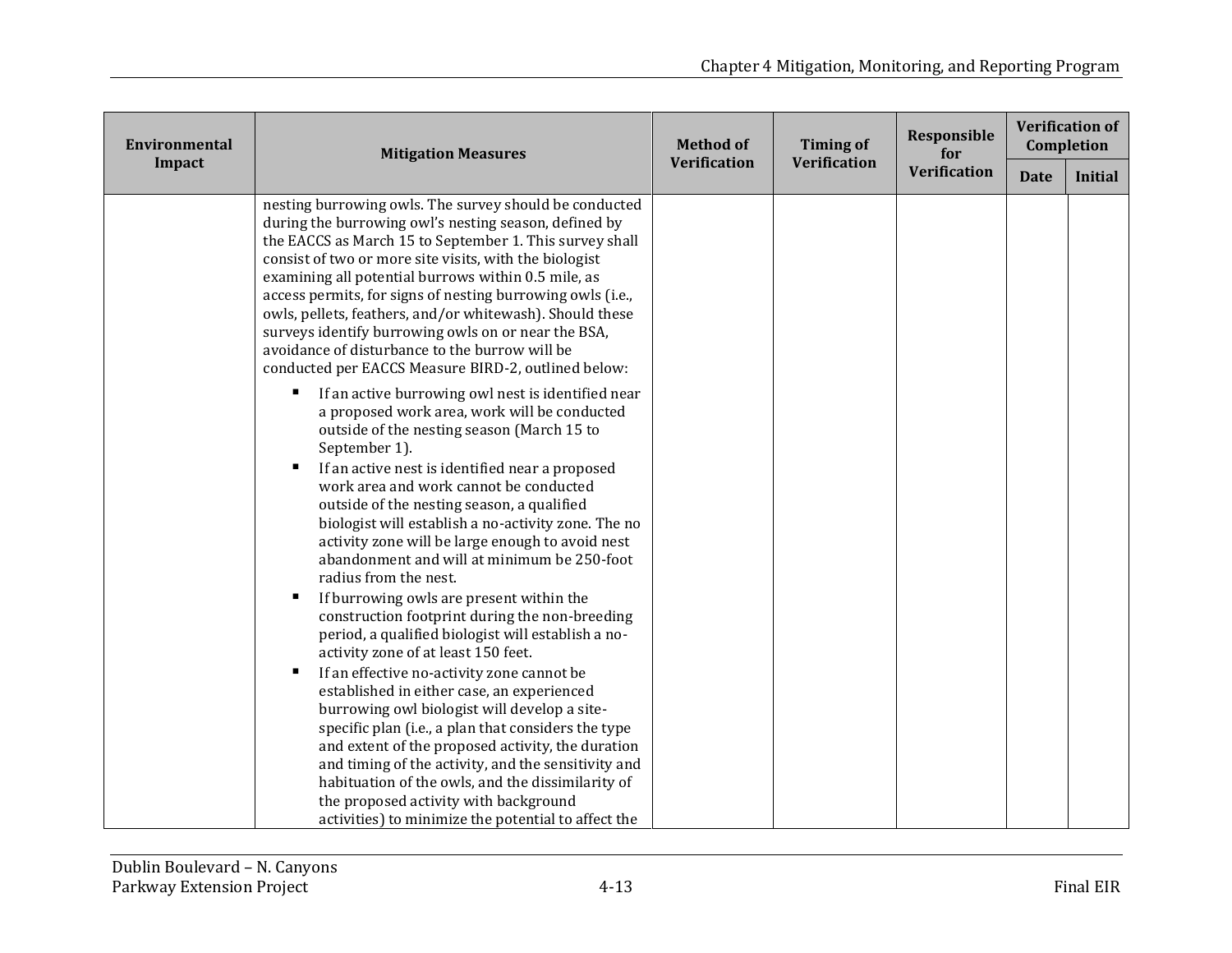| Environmental | <b>Mitigation Measures</b>                                                                                                                                                                                                                                                                                                                                                                                                                                                                                                                                                                                                                                                                                                                                                                                                                                                                                                                                                                                                                                                                                                                                     | <b>Method of</b><br><b>Verification</b> | <b>Timing of</b>    | Responsible<br>for<br><b>Verification</b> | <b>Verification of</b><br>Completion |                |
|---------------|----------------------------------------------------------------------------------------------------------------------------------------------------------------------------------------------------------------------------------------------------------------------------------------------------------------------------------------------------------------------------------------------------------------------------------------------------------------------------------------------------------------------------------------------------------------------------------------------------------------------------------------------------------------------------------------------------------------------------------------------------------------------------------------------------------------------------------------------------------------------------------------------------------------------------------------------------------------------------------------------------------------------------------------------------------------------------------------------------------------------------------------------------------------|-----------------------------------------|---------------------|-------------------------------------------|--------------------------------------|----------------|
| Impact        |                                                                                                                                                                                                                                                                                                                                                                                                                                                                                                                                                                                                                                                                                                                                                                                                                                                                                                                                                                                                                                                                                                                                                                |                                         | <b>Verification</b> |                                           | <b>Date</b>                          | <b>Initial</b> |
|               | nesting burrowing owls. The survey should be conducted<br>during the burrowing owl's nesting season, defined by<br>the EACCS as March 15 to September 1. This survey shall<br>consist of two or more site visits, with the biologist<br>examining all potential burrows within 0.5 mile, as<br>access permits, for signs of nesting burrowing owls (i.e.,<br>owls, pellets, feathers, and/or whitewash). Should these<br>surveys identify burrowing owls on or near the BSA,<br>avoidance of disturbance to the burrow will be<br>conducted per EACCS Measure BIRD-2, outlined below:                                                                                                                                                                                                                                                                                                                                                                                                                                                                                                                                                                          |                                         |                     |                                           |                                      |                |
|               | If an active burrowing owl nest is identified near<br>a proposed work area, work will be conducted<br>outside of the nesting season (March 15 to<br>September 1).<br>If an active nest is identified near a proposed<br>work area and work cannot be conducted<br>outside of the nesting season, a qualified<br>biologist will establish a no-activity zone. The no<br>activity zone will be large enough to avoid nest<br>abandonment and will at minimum be 250-foot<br>radius from the nest.<br>If burrowing owls are present within the<br>construction footprint during the non-breeding<br>period, a qualified biologist will establish a no-<br>activity zone of at least 150 feet.<br>If an effective no-activity zone cannot be<br>established in either case, an experienced<br>burrowing owl biologist will develop a site-<br>specific plan (i.e., a plan that considers the type<br>and extent of the proposed activity, the duration<br>and timing of the activity, and the sensitivity and<br>habituation of the owls, and the dissimilarity of<br>the proposed activity with background<br>activities) to minimize the potential to affect the |                                         |                     |                                           |                                      |                |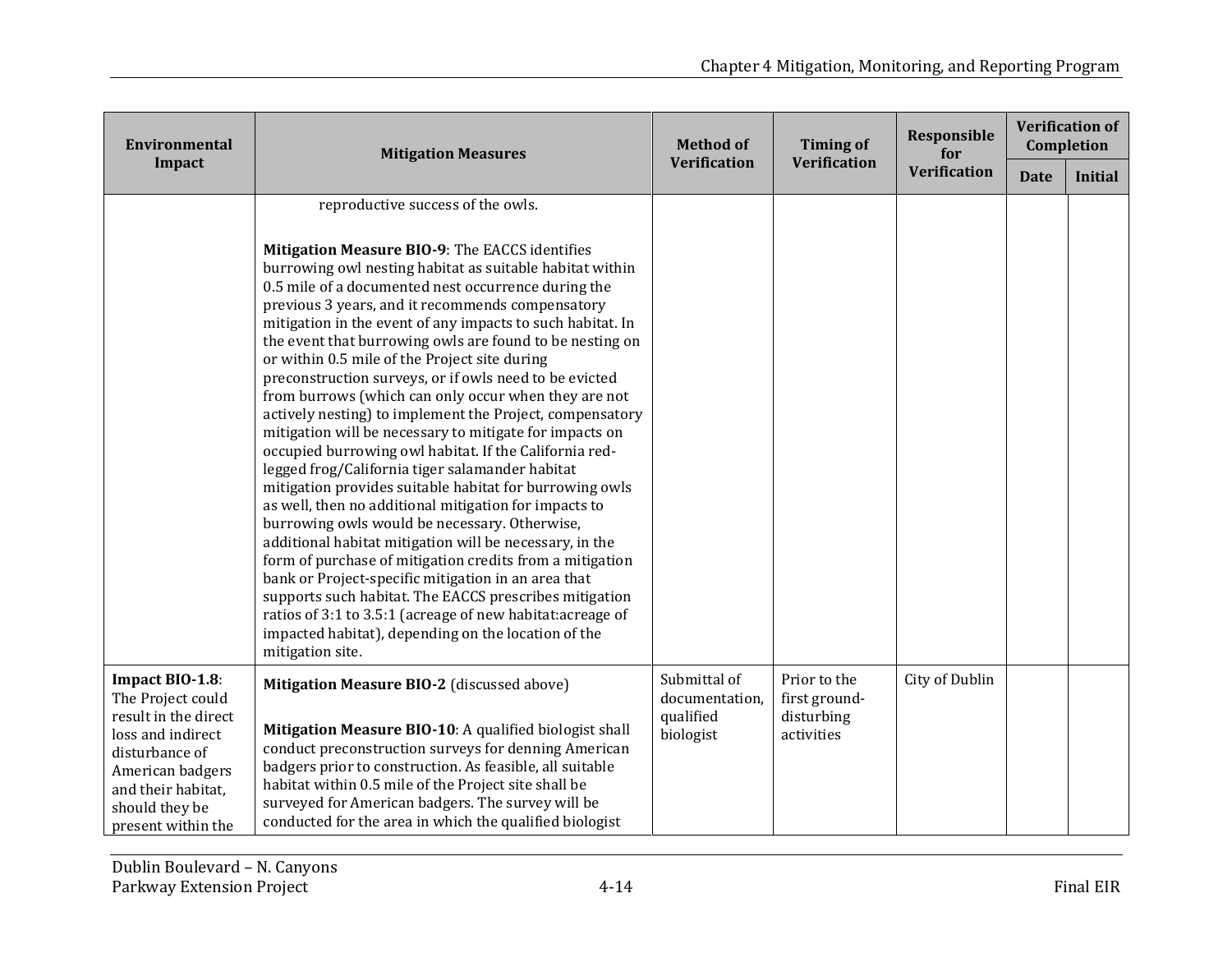| <b>Environmental</b>                                                                                                                                                                  | <b>Mitigation Measures</b>                                                                                                                                                                                                                                                                                                                                                                                                                                                                                                                                                                                                                                                                                                                                                                                                                                                                                                                                                                                                                                                                                                                                                                                                                                                                                                                        | <b>Method of</b><br><b>Verification</b>                  | <b>Timing of</b>                                          | Responsible<br>for  | <b>Verification of</b><br>Completion |         |
|---------------------------------------------------------------------------------------------------------------------------------------------------------------------------------------|---------------------------------------------------------------------------------------------------------------------------------------------------------------------------------------------------------------------------------------------------------------------------------------------------------------------------------------------------------------------------------------------------------------------------------------------------------------------------------------------------------------------------------------------------------------------------------------------------------------------------------------------------------------------------------------------------------------------------------------------------------------------------------------------------------------------------------------------------------------------------------------------------------------------------------------------------------------------------------------------------------------------------------------------------------------------------------------------------------------------------------------------------------------------------------------------------------------------------------------------------------------------------------------------------------------------------------------------------|----------------------------------------------------------|-----------------------------------------------------------|---------------------|--------------------------------------|---------|
| Impact                                                                                                                                                                                |                                                                                                                                                                                                                                                                                                                                                                                                                                                                                                                                                                                                                                                                                                                                                                                                                                                                                                                                                                                                                                                                                                                                                                                                                                                                                                                                                   |                                                          | <b>Verification</b>                                       | <b>Verification</b> | <b>Date</b>                          | Initial |
|                                                                                                                                                                                       | reproductive success of the owls.<br>Mitigation Measure BIO-9: The EACCS identifies<br>burrowing owl nesting habitat as suitable habitat within<br>0.5 mile of a documented nest occurrence during the<br>previous 3 years, and it recommends compensatory<br>mitigation in the event of any impacts to such habitat. In<br>the event that burrowing owls are found to be nesting on<br>or within 0.5 mile of the Project site during<br>preconstruction surveys, or if owls need to be evicted<br>from burrows (which can only occur when they are not<br>actively nesting) to implement the Project, compensatory<br>mitigation will be necessary to mitigate for impacts on<br>occupied burrowing owl habitat. If the California red-<br>legged frog/California tiger salamander habitat<br>mitigation provides suitable habitat for burrowing owls<br>as well, then no additional mitigation for impacts to<br>burrowing owls would be necessary. Otherwise,<br>additional habitat mitigation will be necessary, in the<br>form of purchase of mitigation credits from a mitigation<br>bank or Project-specific mitigation in an area that<br>supports such habitat. The EACCS prescribes mitigation<br>ratios of 3:1 to 3.5:1 (acreage of new habitat: acreage of<br>impacted habitat), depending on the location of the<br>mitigation site. |                                                          |                                                           |                     |                                      |         |
| Impact BIO-1.8:<br>The Project could<br>result in the direct<br>loss and indirect<br>disturbance of<br>American badgers<br>and their habitat,<br>should they be<br>present within the | Mitigation Measure BIO-2 (discussed above)<br>Mitigation Measure BIO-10: A qualified biologist shall<br>conduct preconstruction surveys for denning American<br>badgers prior to construction. As feasible, all suitable<br>habitat within 0.5 mile of the Project site shall be<br>surveyed for American badgers. The survey will be<br>conducted for the area in which the qualified biologist                                                                                                                                                                                                                                                                                                                                                                                                                                                                                                                                                                                                                                                                                                                                                                                                                                                                                                                                                  | Submittal of<br>documentation,<br>qualified<br>biologist | Prior to the<br>first ground-<br>disturbing<br>activities | City of Dublin      |                                      |         |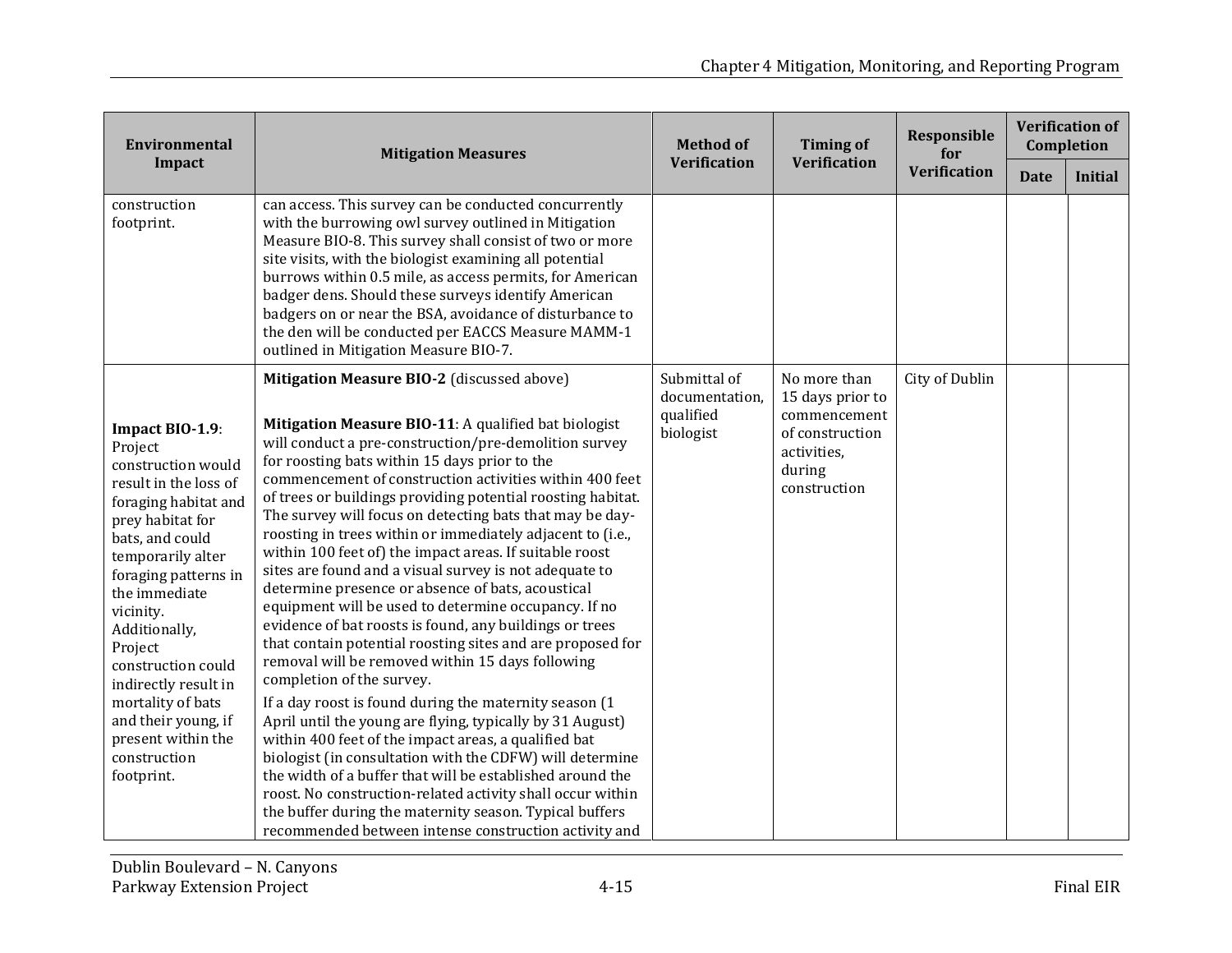| <b>Environmental</b>                                                                                                                                                                                                                                                                                                                                                                          | <b>Mitigation Measures</b>                                                                                                                                                                                                                                                                                                                                                                                                                                                                                                                                                                                                                                                                                                                                                                                                                                                                                                                                                                                                                                                                                                                                                                                                                                                                                                                                                                             | <b>Method of</b><br><b>Verification</b>                  | <b>Timing of</b><br><b>Verification</b>                                                                      | Responsible<br>for<br><b>Verification</b> |             | <b>Verification of</b><br>Completion |  |
|-----------------------------------------------------------------------------------------------------------------------------------------------------------------------------------------------------------------------------------------------------------------------------------------------------------------------------------------------------------------------------------------------|--------------------------------------------------------------------------------------------------------------------------------------------------------------------------------------------------------------------------------------------------------------------------------------------------------------------------------------------------------------------------------------------------------------------------------------------------------------------------------------------------------------------------------------------------------------------------------------------------------------------------------------------------------------------------------------------------------------------------------------------------------------------------------------------------------------------------------------------------------------------------------------------------------------------------------------------------------------------------------------------------------------------------------------------------------------------------------------------------------------------------------------------------------------------------------------------------------------------------------------------------------------------------------------------------------------------------------------------------------------------------------------------------------|----------------------------------------------------------|--------------------------------------------------------------------------------------------------------------|-------------------------------------------|-------------|--------------------------------------|--|
| Impact                                                                                                                                                                                                                                                                                                                                                                                        |                                                                                                                                                                                                                                                                                                                                                                                                                                                                                                                                                                                                                                                                                                                                                                                                                                                                                                                                                                                                                                                                                                                                                                                                                                                                                                                                                                                                        |                                                          |                                                                                                              |                                           | <b>Date</b> | Initial                              |  |
| construction<br>footprint.                                                                                                                                                                                                                                                                                                                                                                    | can access. This survey can be conducted concurrently<br>with the burrowing owl survey outlined in Mitigation<br>Measure BIO-8. This survey shall consist of two or more<br>site visits, with the biologist examining all potential<br>burrows within 0.5 mile, as access permits, for American<br>badger dens. Should these surveys identify American<br>badgers on or near the BSA, avoidance of disturbance to<br>the den will be conducted per EACCS Measure MAMM-1<br>outlined in Mitigation Measure BIO-7.                                                                                                                                                                                                                                                                                                                                                                                                                                                                                                                                                                                                                                                                                                                                                                                                                                                                                       |                                                          |                                                                                                              |                                           |             |                                      |  |
| Impact BIO-1.9:<br>Project<br>construction would<br>result in the loss of<br>foraging habitat and<br>prey habitat for<br>bats, and could<br>temporarily alter<br>foraging patterns in<br>the immediate<br>vicinity.<br>Additionally,<br>Project<br>construction could<br>indirectly result in<br>mortality of bats<br>and their young, if<br>present within the<br>construction<br>footprint. | Mitigation Measure BIO-2 (discussed above)<br>Mitigation Measure BIO-11: A qualified bat biologist<br>will conduct a pre-construction/pre-demolition survey<br>for roosting bats within 15 days prior to the<br>commencement of construction activities within 400 feet<br>of trees or buildings providing potential roosting habitat.<br>The survey will focus on detecting bats that may be day-<br>roosting in trees within or immediately adjacent to (i.e.,<br>within 100 feet of) the impact areas. If suitable roost<br>sites are found and a visual survey is not adequate to<br>determine presence or absence of bats, acoustical<br>equipment will be used to determine occupancy. If no<br>evidence of bat roosts is found, any buildings or trees<br>that contain potential roosting sites and are proposed for<br>removal will be removed within 15 days following<br>completion of the survey.<br>If a day roost is found during the maternity season (1<br>April until the young are flying, typically by 31 August)<br>within 400 feet of the impact areas, a qualified bat<br>biologist (in consultation with the CDFW) will determine<br>the width of a buffer that will be established around the<br>roost. No construction-related activity shall occur within<br>the buffer during the maternity season. Typical buffers<br>recommended between intense construction activity and | Submittal of<br>documentation,<br>qualified<br>biologist | No more than<br>15 days prior to<br>commencement<br>of construction<br>activities,<br>during<br>construction | City of Dublin                            |             |                                      |  |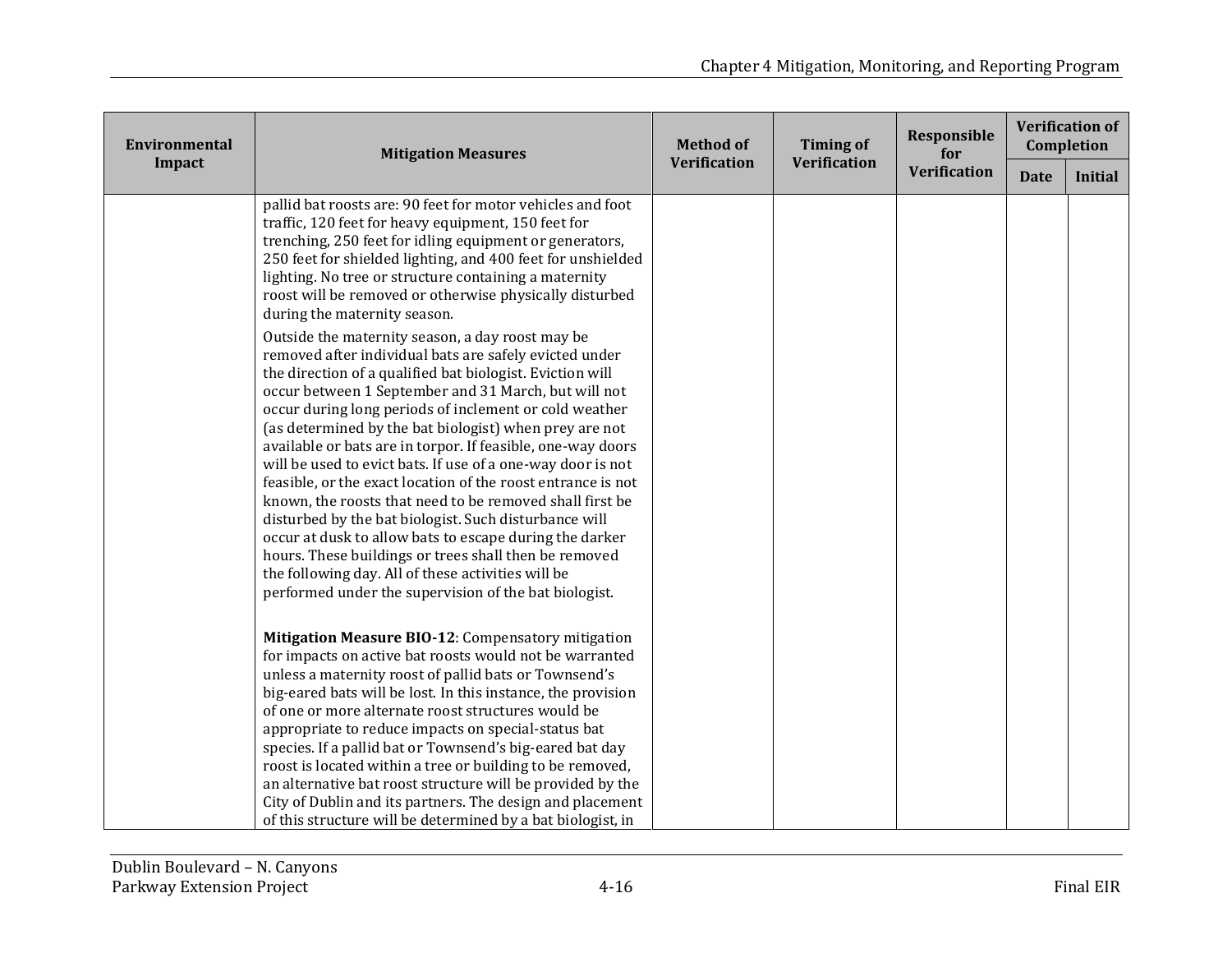| <b>Environmental</b><br>Impact | <b>Mitigation Measures</b>                                                                                                                                                                                                                                                                                                                                                                                                                                                                                                                                                                                                                                                                                                                                                                                                                                                                                                                                                                                                                                                                                                                                                                                                                                                                                   | <b>Method of</b><br><b>Verification</b> | <b>Timing of</b><br><b>Verification</b> | Responsible<br>for<br><b>Verification</b> |             | <b>Verification of</b><br>Completion |  |
|--------------------------------|--------------------------------------------------------------------------------------------------------------------------------------------------------------------------------------------------------------------------------------------------------------------------------------------------------------------------------------------------------------------------------------------------------------------------------------------------------------------------------------------------------------------------------------------------------------------------------------------------------------------------------------------------------------------------------------------------------------------------------------------------------------------------------------------------------------------------------------------------------------------------------------------------------------------------------------------------------------------------------------------------------------------------------------------------------------------------------------------------------------------------------------------------------------------------------------------------------------------------------------------------------------------------------------------------------------|-----------------------------------------|-----------------------------------------|-------------------------------------------|-------------|--------------------------------------|--|
|                                |                                                                                                                                                                                                                                                                                                                                                                                                                                                                                                                                                                                                                                                                                                                                                                                                                                                                                                                                                                                                                                                                                                                                                                                                                                                                                                              |                                         |                                         |                                           | <b>Date</b> | <b>Initial</b>                       |  |
|                                | pallid bat roosts are: 90 feet for motor vehicles and foot<br>traffic, 120 feet for heavy equipment, 150 feet for<br>trenching, 250 feet for idling equipment or generators,<br>250 feet for shielded lighting, and 400 feet for unshielded<br>lighting. No tree or structure containing a maternity<br>roost will be removed or otherwise physically disturbed<br>during the maternity season.<br>Outside the maternity season, a day roost may be<br>removed after individual bats are safely evicted under<br>the direction of a qualified bat biologist. Eviction will<br>occur between 1 September and 31 March, but will not<br>occur during long periods of inclement or cold weather<br>(as determined by the bat biologist) when prey are not<br>available or bats are in torpor. If feasible, one-way doors<br>will be used to evict bats. If use of a one-way door is not<br>feasible, or the exact location of the roost entrance is not<br>known, the roosts that need to be removed shall first be<br>disturbed by the bat biologist. Such disturbance will<br>occur at dusk to allow bats to escape during the darker<br>hours. These buildings or trees shall then be removed<br>the following day. All of these activities will be<br>performed under the supervision of the bat biologist. |                                         |                                         |                                           |             |                                      |  |
|                                | Mitigation Measure BIO-12: Compensatory mitigation<br>for impacts on active bat roosts would not be warranted<br>unless a maternity roost of pallid bats or Townsend's<br>big-eared bats will be lost. In this instance, the provision<br>of one or more alternate roost structures would be<br>appropriate to reduce impacts on special-status bat<br>species. If a pallid bat or Townsend's big-eared bat day<br>roost is located within a tree or building to be removed,<br>an alternative bat roost structure will be provided by the<br>City of Dublin and its partners. The design and placement<br>of this structure will be determined by a bat biologist, in                                                                                                                                                                                                                                                                                                                                                                                                                                                                                                                                                                                                                                       |                                         |                                         |                                           |             |                                      |  |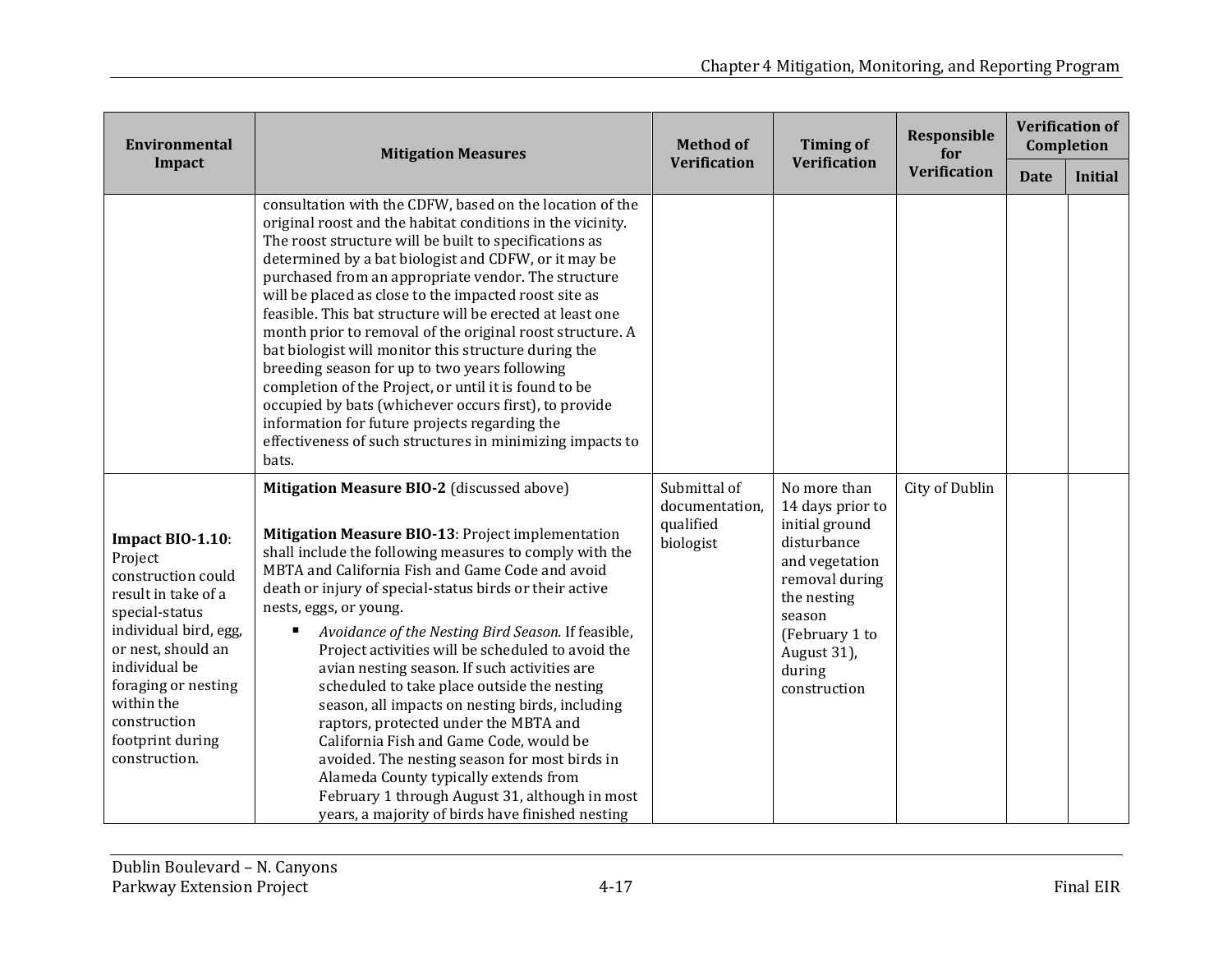| <b>Environmental</b><br>Impact                                                                                                                                                                                                                              | <b>Mitigation Measures</b>                                                                                                                                                                                                                                                                                                                                                                                                                                                                                                                                                                                                                                                                                                                                                                                                                                | <b>Method of</b><br><b>Verification</b>                  | <b>Timing of</b><br><b>Verification</b>                                                                                                                                                   | Responsible<br>for<br><b>Verification</b> | <b>Verification of</b><br>Completion |                |
|-------------------------------------------------------------------------------------------------------------------------------------------------------------------------------------------------------------------------------------------------------------|-----------------------------------------------------------------------------------------------------------------------------------------------------------------------------------------------------------------------------------------------------------------------------------------------------------------------------------------------------------------------------------------------------------------------------------------------------------------------------------------------------------------------------------------------------------------------------------------------------------------------------------------------------------------------------------------------------------------------------------------------------------------------------------------------------------------------------------------------------------|----------------------------------------------------------|-------------------------------------------------------------------------------------------------------------------------------------------------------------------------------------------|-------------------------------------------|--------------------------------------|----------------|
|                                                                                                                                                                                                                                                             |                                                                                                                                                                                                                                                                                                                                                                                                                                                                                                                                                                                                                                                                                                                                                                                                                                                           |                                                          |                                                                                                                                                                                           |                                           | <b>Date</b>                          | <b>Initial</b> |
|                                                                                                                                                                                                                                                             | consultation with the CDFW, based on the location of the<br>original roost and the habitat conditions in the vicinity.<br>The roost structure will be built to specifications as<br>determined by a bat biologist and CDFW, or it may be<br>purchased from an appropriate vendor. The structure<br>will be placed as close to the impacted roost site as<br>feasible. This bat structure will be erected at least one<br>month prior to removal of the original roost structure. A<br>bat biologist will monitor this structure during the<br>breeding season for up to two years following<br>completion of the Project, or until it is found to be<br>occupied by bats (whichever occurs first), to provide<br>information for future projects regarding the<br>effectiveness of such structures in minimizing impacts to<br>bats.                      |                                                          |                                                                                                                                                                                           |                                           |                                      |                |
| <b>Impact BIO-1.10:</b><br>Project<br>construction could<br>result in take of a<br>special-status<br>individual bird, egg,<br>or nest, should an<br>individual be<br>foraging or nesting<br>within the<br>construction<br>footprint during<br>construction. | Mitigation Measure BIO-2 (discussed above)<br>Mitigation Measure BIO-13: Project implementation<br>shall include the following measures to comply with the<br>MBTA and California Fish and Game Code and avoid<br>death or injury of special-status birds or their active<br>nests, eggs, or young.<br>п<br>Avoidance of the Nesting Bird Season. If feasible,<br>Project activities will be scheduled to avoid the<br>avian nesting season. If such activities are<br>scheduled to take place outside the nesting<br>season, all impacts on nesting birds, including<br>raptors, protected under the MBTA and<br>California Fish and Game Code, would be<br>avoided. The nesting season for most birds in<br>Alameda County typically extends from<br>February 1 through August 31, although in most<br>years, a majority of birds have finished nesting | Submittal of<br>documentation,<br>qualified<br>biologist | No more than<br>14 days prior to<br>initial ground<br>disturbance<br>and vegetation<br>removal during<br>the nesting<br>season<br>(February 1 to<br>August 31),<br>during<br>construction | City of Dublin                            |                                      |                |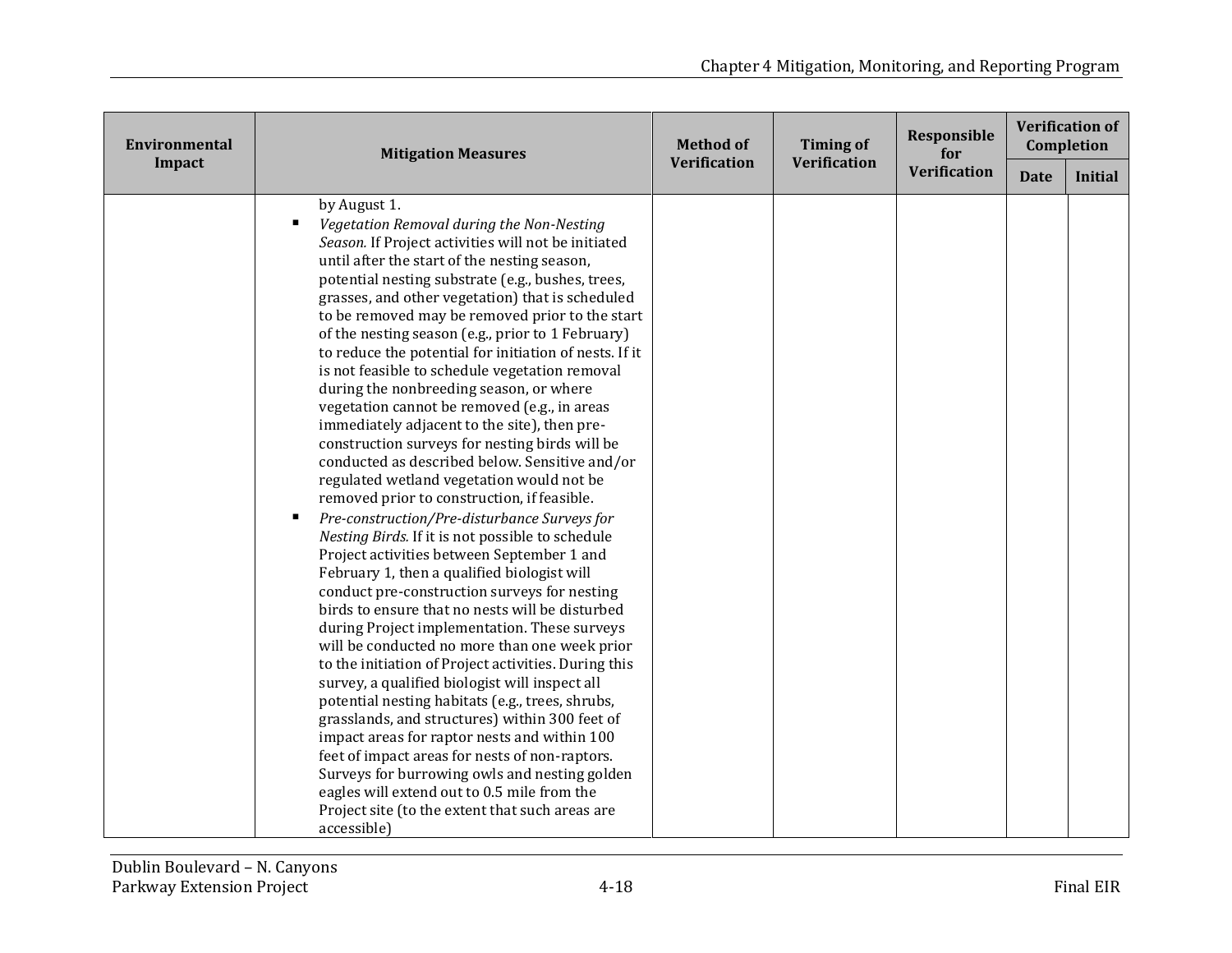| <b>Environmental</b><br>Impact | <b>Mitigation Measures</b>                                                                                                                                                                                                                                                                                                                                                                                                                                                                                                                                                                                                                                                                                                                                                                                                                                                                                                                                                                                                                                                                                                                                                                                                                                                                                                                                                                                                                                                                                                                                                                                                                                                                                                        | <b>Method of</b><br><b>Verification</b> | <b>Timing of</b><br><b>Verification</b> | Responsible<br>for<br><b>Verification</b> | <b>Verification of</b><br>Completion |                |
|--------------------------------|-----------------------------------------------------------------------------------------------------------------------------------------------------------------------------------------------------------------------------------------------------------------------------------------------------------------------------------------------------------------------------------------------------------------------------------------------------------------------------------------------------------------------------------------------------------------------------------------------------------------------------------------------------------------------------------------------------------------------------------------------------------------------------------------------------------------------------------------------------------------------------------------------------------------------------------------------------------------------------------------------------------------------------------------------------------------------------------------------------------------------------------------------------------------------------------------------------------------------------------------------------------------------------------------------------------------------------------------------------------------------------------------------------------------------------------------------------------------------------------------------------------------------------------------------------------------------------------------------------------------------------------------------------------------------------------------------------------------------------------|-----------------------------------------|-----------------------------------------|-------------------------------------------|--------------------------------------|----------------|
|                                |                                                                                                                                                                                                                                                                                                                                                                                                                                                                                                                                                                                                                                                                                                                                                                                                                                                                                                                                                                                                                                                                                                                                                                                                                                                                                                                                                                                                                                                                                                                                                                                                                                                                                                                                   |                                         |                                         |                                           | <b>Date</b>                          | <b>Initial</b> |
|                                | by August 1.<br>Vegetation Removal during the Non-Nesting<br>Season. If Project activities will not be initiated<br>until after the start of the nesting season,<br>potential nesting substrate (e.g., bushes, trees,<br>grasses, and other vegetation) that is scheduled<br>to be removed may be removed prior to the start<br>of the nesting season (e.g., prior to 1 February)<br>to reduce the potential for initiation of nests. If it<br>is not feasible to schedule vegetation removal<br>during the nonbreeding season, or where<br>vegetation cannot be removed (e.g., in areas<br>immediately adjacent to the site), then pre-<br>construction surveys for nesting birds will be<br>conducted as described below. Sensitive and/or<br>regulated wetland vegetation would not be<br>removed prior to construction, if feasible.<br>Pre-construction/Pre-disturbance Surveys for<br>Nesting Birds. If it is not possible to schedule<br>Project activities between September 1 and<br>February 1, then a qualified biologist will<br>conduct pre-construction surveys for nesting<br>birds to ensure that no nests will be disturbed<br>during Project implementation. These surveys<br>will be conducted no more than one week prior<br>to the initiation of Project activities. During this<br>survey, a qualified biologist will inspect all<br>potential nesting habitats (e.g., trees, shrubs,<br>grasslands, and structures) within 300 feet of<br>impact areas for raptor nests and within 100<br>feet of impact areas for nests of non-raptors.<br>Surveys for burrowing owls and nesting golden<br>eagles will extend out to 0.5 mile from the<br>Project site (to the extent that such areas are<br>accessible) |                                         |                                         |                                           |                                      |                |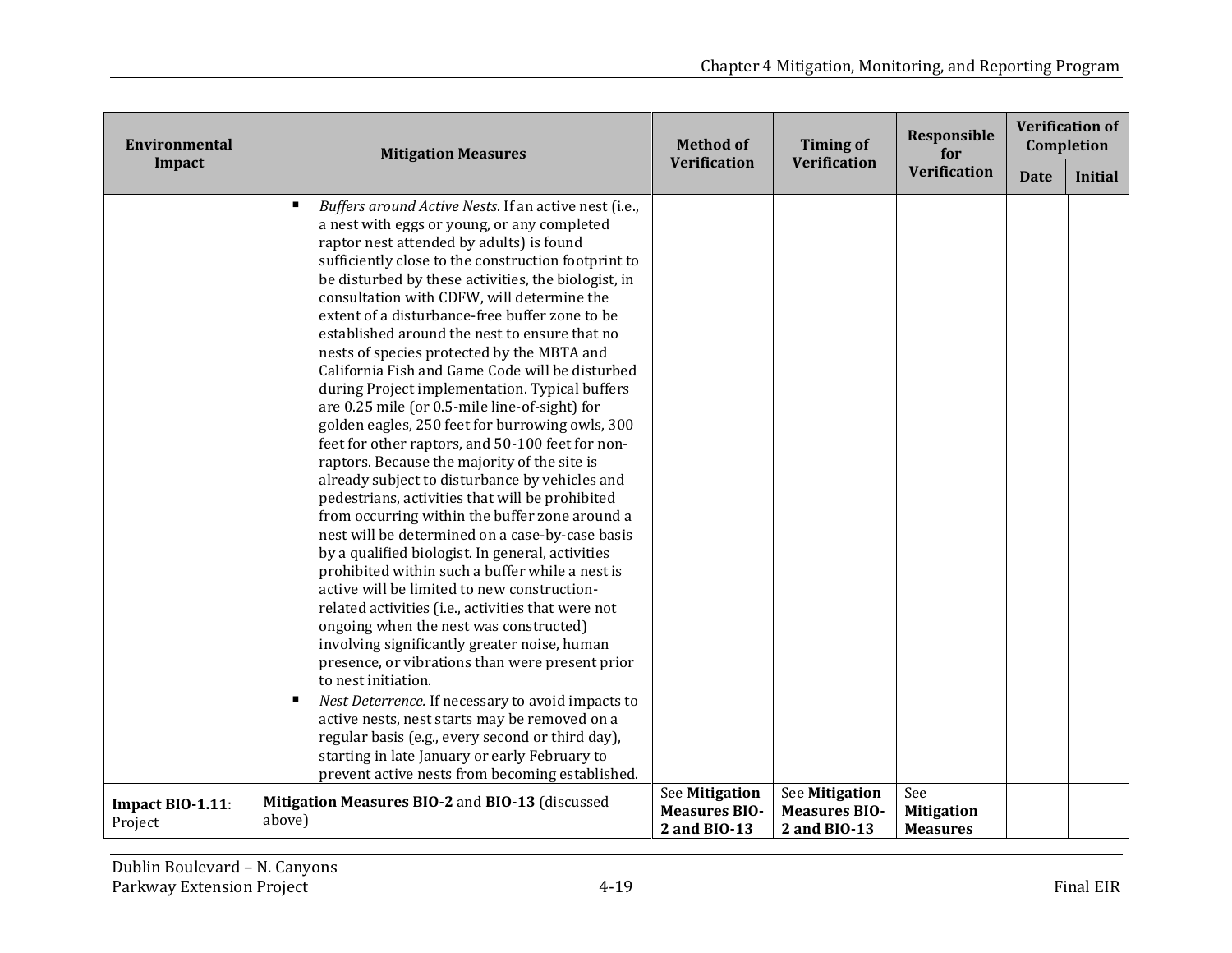| <b>Environmental</b><br>Impact     | <b>Mitigation Measures</b>                                                                                                                                                                                                                                                                                                                                                                                                                                                                                                                                                                                                                                                                                                                                                                                                                                                                                                                                                                                                                                                                                                                                                                                                                                                                                                                                                                                                                                                                                                                                                                                                         | <b>Method of</b><br><b>Verification</b> | <b>Timing of</b>                     | Responsible<br>for<br><b>Verification</b> |             | <b>Verification of</b><br>Completion |  |
|------------------------------------|------------------------------------------------------------------------------------------------------------------------------------------------------------------------------------------------------------------------------------------------------------------------------------------------------------------------------------------------------------------------------------------------------------------------------------------------------------------------------------------------------------------------------------------------------------------------------------------------------------------------------------------------------------------------------------------------------------------------------------------------------------------------------------------------------------------------------------------------------------------------------------------------------------------------------------------------------------------------------------------------------------------------------------------------------------------------------------------------------------------------------------------------------------------------------------------------------------------------------------------------------------------------------------------------------------------------------------------------------------------------------------------------------------------------------------------------------------------------------------------------------------------------------------------------------------------------------------------------------------------------------------|-----------------------------------------|--------------------------------------|-------------------------------------------|-------------|--------------------------------------|--|
|                                    |                                                                                                                                                                                                                                                                                                                                                                                                                                                                                                                                                                                                                                                                                                                                                                                                                                                                                                                                                                                                                                                                                                                                                                                                                                                                                                                                                                                                                                                                                                                                                                                                                                    |                                         | <b>Verification</b>                  |                                           | <b>Date</b> | <b>Initial</b>                       |  |
|                                    | Buffers around Active Nests. If an active nest (i.e.,<br>a nest with eggs or young, or any completed<br>raptor nest attended by adults) is found<br>sufficiently close to the construction footprint to<br>be disturbed by these activities, the biologist, in<br>consultation with CDFW, will determine the<br>extent of a disturbance-free buffer zone to be<br>established around the nest to ensure that no<br>nests of species protected by the MBTA and<br>California Fish and Game Code will be disturbed<br>during Project implementation. Typical buffers<br>are 0.25 mile (or 0.5-mile line-of-sight) for<br>golden eagles, 250 feet for burrowing owls, 300<br>feet for other raptors, and 50-100 feet for non-<br>raptors. Because the majority of the site is<br>already subject to disturbance by vehicles and<br>pedestrians, activities that will be prohibited<br>from occurring within the buffer zone around a<br>nest will be determined on a case-by-case basis<br>by a qualified biologist. In general, activities<br>prohibited within such a buffer while a nest is<br>active will be limited to new construction-<br>related activities (i.e., activities that were not<br>ongoing when the nest was constructed)<br>involving significantly greater noise, human<br>presence, or vibrations than were present prior<br>to nest initiation.<br>Nest Deterrence. If necessary to avoid impacts to<br>active nests, nest starts may be removed on a<br>regular basis (e.g., every second or third day),<br>starting in late January or early February to<br>prevent active nests from becoming established. | <b>See Mitigation</b>                   | <b>See Mitigation</b>                | See                                       |             |                                      |  |
| <b>Impact BIO-1.11:</b><br>Project | Mitigation Measures BIO-2 and BIO-13 (discussed<br>above)                                                                                                                                                                                                                                                                                                                                                                                                                                                                                                                                                                                                                                                                                                                                                                                                                                                                                                                                                                                                                                                                                                                                                                                                                                                                                                                                                                                                                                                                                                                                                                          | <b>Measures BIO-</b><br>2 and BIO-13    | <b>Measures BIO-</b><br>2 and BIO-13 | <b>Mitigation</b><br><b>Measures</b>      |             |                                      |  |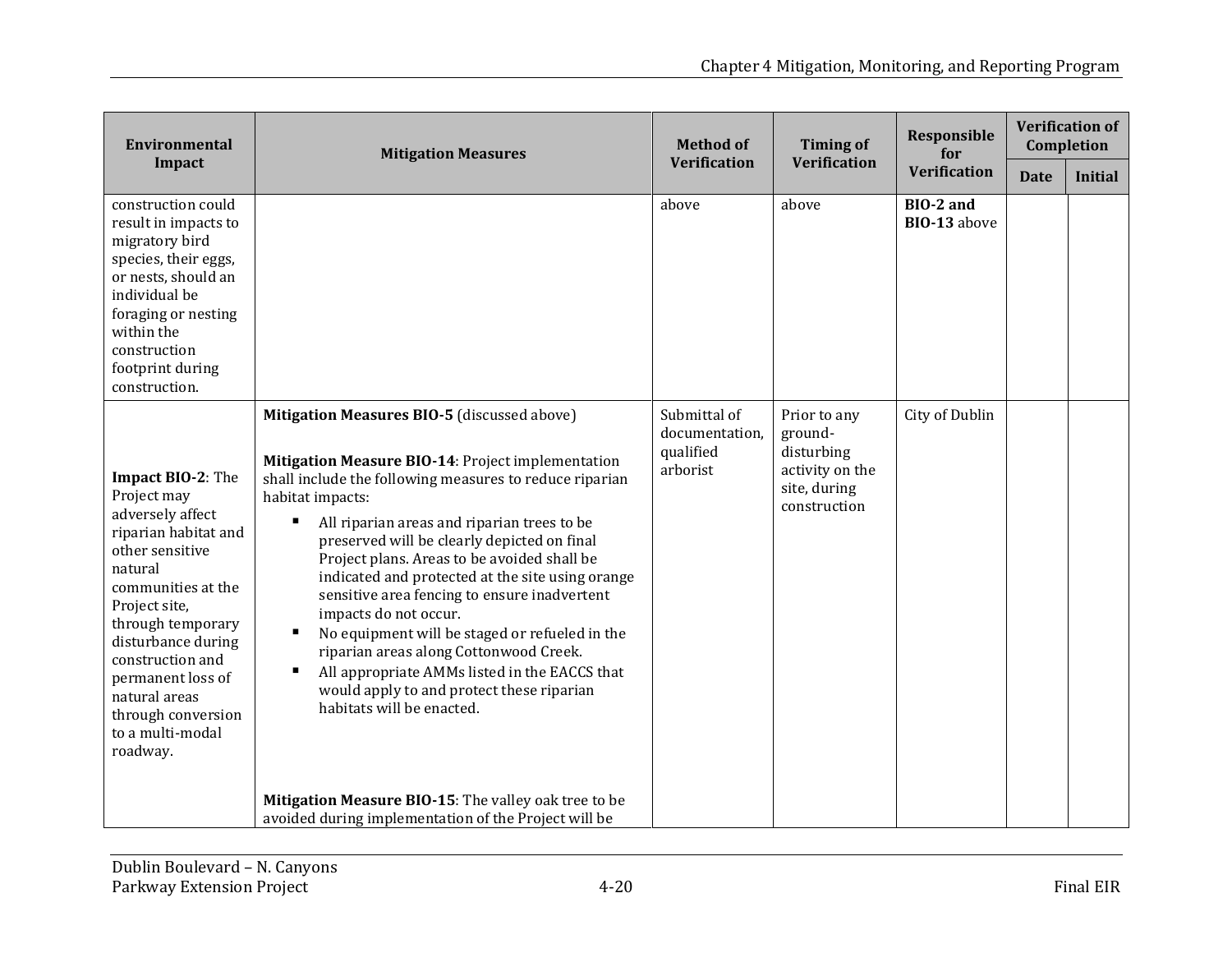| Environmental                                                                                                                                                                                                                                                                                                | <b>Mitigation Measures</b>                                                                                                                                                                                                                                                                                                                                                                                                                                                                                                                                                                                                                                                                 | <b>Method of</b><br><b>Verification</b>                 | <b>Timing of</b><br><b>Verification</b>                                                  | Responsible<br>for<br><b>Verification</b> |             | <b>Verification of</b><br>Completion |  |
|--------------------------------------------------------------------------------------------------------------------------------------------------------------------------------------------------------------------------------------------------------------------------------------------------------------|--------------------------------------------------------------------------------------------------------------------------------------------------------------------------------------------------------------------------------------------------------------------------------------------------------------------------------------------------------------------------------------------------------------------------------------------------------------------------------------------------------------------------------------------------------------------------------------------------------------------------------------------------------------------------------------------|---------------------------------------------------------|------------------------------------------------------------------------------------------|-------------------------------------------|-------------|--------------------------------------|--|
| Impact                                                                                                                                                                                                                                                                                                       |                                                                                                                                                                                                                                                                                                                                                                                                                                                                                                                                                                                                                                                                                            |                                                         |                                                                                          |                                           | <b>Date</b> | <b>Initial</b>                       |  |
| construction could<br>result in impacts to<br>migratory bird<br>species, their eggs,<br>or nests, should an<br>individual be<br>foraging or nesting<br>within the<br>construction<br>footprint during<br>construction.                                                                                       |                                                                                                                                                                                                                                                                                                                                                                                                                                                                                                                                                                                                                                                                                            | above                                                   | above                                                                                    | BIO-2 and<br>BIO-13 above                 |             |                                      |  |
| Impact BIO-2: The<br>Project may<br>adversely affect<br>riparian habitat and<br>other sensitive<br>natural<br>communities at the<br>Project site,<br>through temporary<br>disturbance during<br>construction and<br>permanent loss of<br>natural areas<br>through conversion<br>to a multi-modal<br>roadway. | Mitigation Measures BIO-5 (discussed above)<br>Mitigation Measure BIO-14: Project implementation<br>shall include the following measures to reduce riparian<br>habitat impacts:<br>All riparian areas and riparian trees to be<br>п<br>preserved will be clearly depicted on final<br>Project plans. Areas to be avoided shall be<br>indicated and protected at the site using orange<br>sensitive area fencing to ensure inadvertent<br>impacts do not occur.<br>No equipment will be staged or refueled in the<br>riparian areas along Cottonwood Creek.<br>All appropriate AMMs listed in the EACCS that<br>٠<br>would apply to and protect these riparian<br>habitats will be enacted. | Submittal of<br>documentation.<br>qualified<br>arborist | Prior to any<br>ground-<br>disturbing<br>activity on the<br>site, during<br>construction | City of Dublin                            |             |                                      |  |
|                                                                                                                                                                                                                                                                                                              | Mitigation Measure BIO-15: The valley oak tree to be<br>avoided during implementation of the Project will be                                                                                                                                                                                                                                                                                                                                                                                                                                                                                                                                                                               |                                                         |                                                                                          |                                           |             |                                      |  |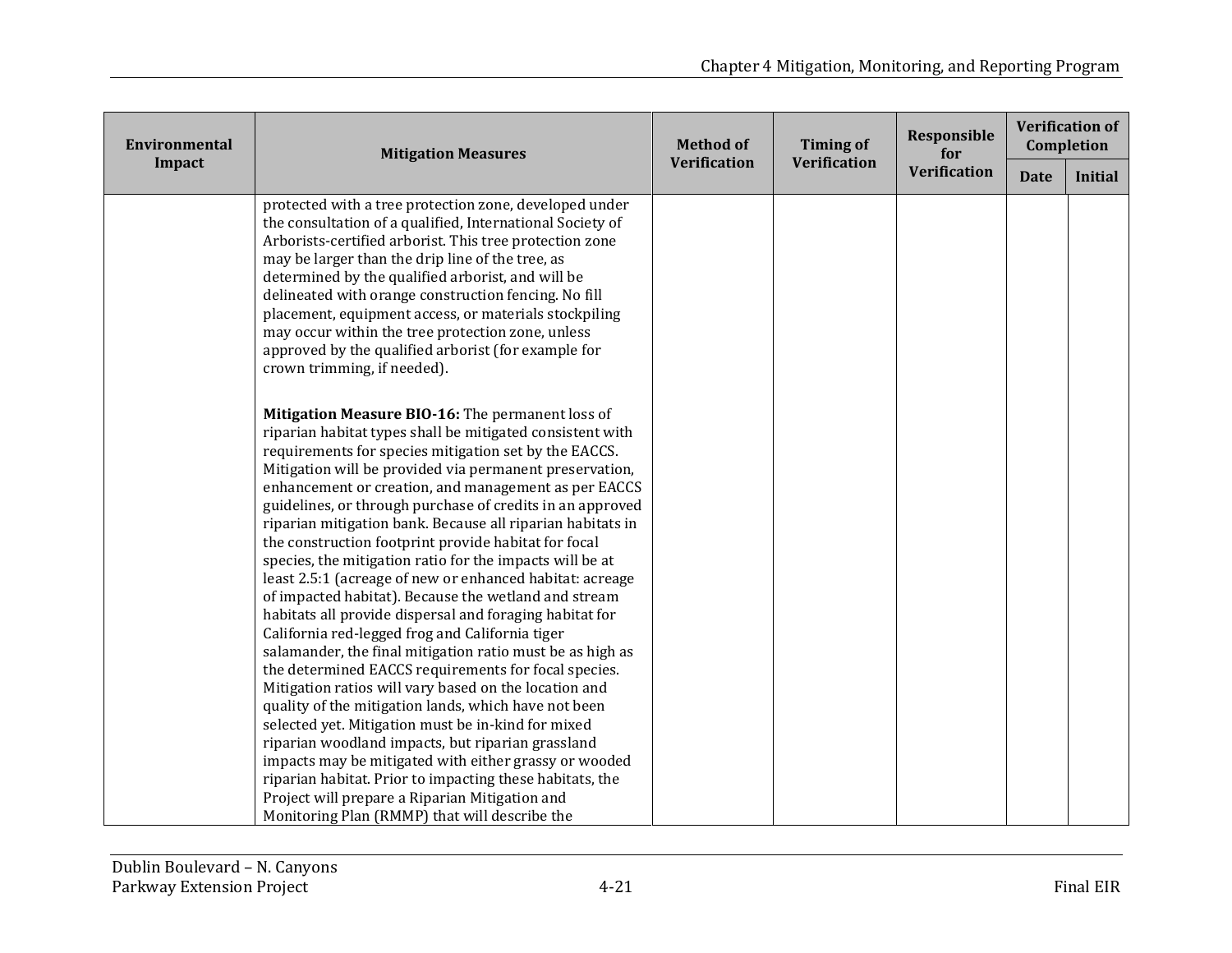| <b>Mitigation Measures</b>                                                                                                                                                                                                                                                                                                                                                                                                                                                                                                                                                                                                                                                                                                                                                                                                                                                                                                                                                                                                                                                                                                                                                                                                                       | <b>Method of</b>                                                                                | <b>Timing of</b><br><b>Verification</b> | Responsible<br>for<br><b>Verification</b> | <b>Verification of</b><br>Completion |                |
|--------------------------------------------------------------------------------------------------------------------------------------------------------------------------------------------------------------------------------------------------------------------------------------------------------------------------------------------------------------------------------------------------------------------------------------------------------------------------------------------------------------------------------------------------------------------------------------------------------------------------------------------------------------------------------------------------------------------------------------------------------------------------------------------------------------------------------------------------------------------------------------------------------------------------------------------------------------------------------------------------------------------------------------------------------------------------------------------------------------------------------------------------------------------------------------------------------------------------------------------------|-------------------------------------------------------------------------------------------------|-----------------------------------------|-------------------------------------------|--------------------------------------|----------------|
|                                                                                                                                                                                                                                                                                                                                                                                                                                                                                                                                                                                                                                                                                                                                                                                                                                                                                                                                                                                                                                                                                                                                                                                                                                                  |                                                                                                 |                                         |                                           | <b>Date</b>                          | <b>Initial</b> |
| protected with a tree protection zone, developed under<br>the consultation of a qualified, International Society of<br>Arborists-certified arborist. This tree protection zone<br>may be larger than the drip line of the tree, as<br>determined by the qualified arborist, and will be<br>delineated with orange construction fencing. No fill<br>placement, equipment access, or materials stockpiling<br>may occur within the tree protection zone, unless<br>approved by the qualified arborist (for example for<br>crown trimming, if needed).                                                                                                                                                                                                                                                                                                                                                                                                                                                                                                                                                                                                                                                                                              |                                                                                                 |                                         |                                           |                                      |                |
| Mitigation Measure BIO-16: The permanent loss of<br>riparian habitat types shall be mitigated consistent with<br>requirements for species mitigation set by the EACCS.<br>Mitigation will be provided via permanent preservation,<br>enhancement or creation, and management as per EACCS<br>guidelines, or through purchase of credits in an approved<br>riparian mitigation bank. Because all riparian habitats in<br>the construction footprint provide habitat for focal<br>species, the mitigation ratio for the impacts will be at<br>least 2.5:1 (acreage of new or enhanced habitat: acreage<br>of impacted habitat). Because the wetland and stream<br>habitats all provide dispersal and foraging habitat for<br>California red-legged frog and California tiger<br>salamander, the final mitigation ratio must be as high as<br>the determined EACCS requirements for focal species.<br>Mitigation ratios will vary based on the location and<br>quality of the mitigation lands, which have not been<br>selected yet. Mitigation must be in-kind for mixed<br>riparian woodland impacts, but riparian grassland<br>impacts may be mitigated with either grassy or wooded<br>riparian habitat. Prior to impacting these habitats, the |                                                                                                 |                                         |                                           |                                      |                |
|                                                                                                                                                                                                                                                                                                                                                                                                                                                                                                                                                                                                                                                                                                                                                                                                                                                                                                                                                                                                                                                                                                                                                                                                                                                  | Project will prepare a Riparian Mitigation and<br>Monitoring Plan (RMMP) that will describe the | <b>Verification</b>                     |                                           |                                      |                |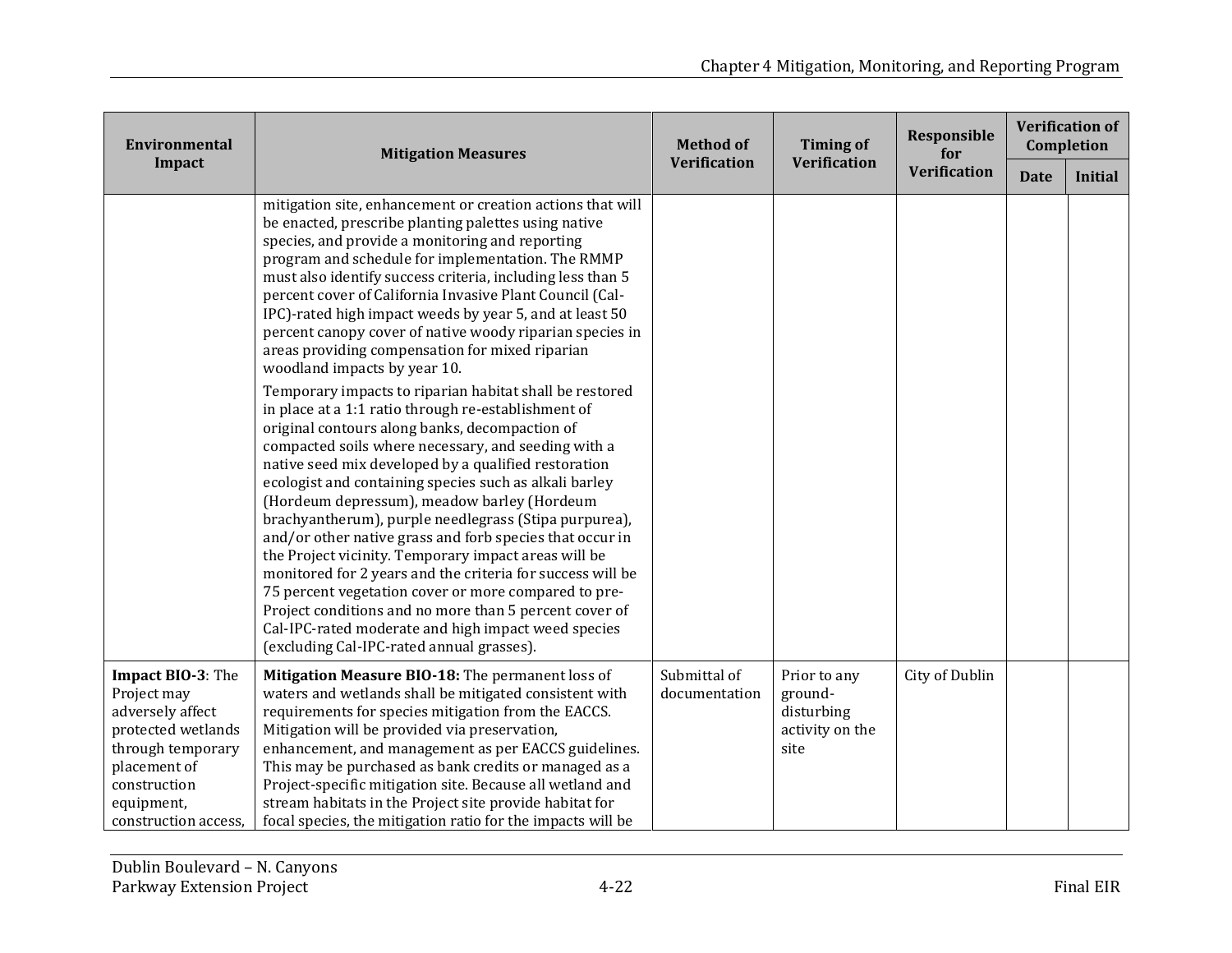| Environmental<br>Impact                                                                                                                                               | <b>Mitigation Measures</b>                                                                                                                                                                                                                                                                                                                                                                                                                                                                                                                                                                                                                                                                                                                                                                                                                                                                                                                                                                                                                                                                                                                                                                                                                                                                                                                                                                                                  | <b>Method of</b><br><b>Verification</b> | <b>Timing of</b><br><b>Verification</b>                          | Responsible<br>for<br><b>Verification</b> | <b>Verification of</b><br>Completion |                |
|-----------------------------------------------------------------------------------------------------------------------------------------------------------------------|-----------------------------------------------------------------------------------------------------------------------------------------------------------------------------------------------------------------------------------------------------------------------------------------------------------------------------------------------------------------------------------------------------------------------------------------------------------------------------------------------------------------------------------------------------------------------------------------------------------------------------------------------------------------------------------------------------------------------------------------------------------------------------------------------------------------------------------------------------------------------------------------------------------------------------------------------------------------------------------------------------------------------------------------------------------------------------------------------------------------------------------------------------------------------------------------------------------------------------------------------------------------------------------------------------------------------------------------------------------------------------------------------------------------------------|-----------------------------------------|------------------------------------------------------------------|-------------------------------------------|--------------------------------------|----------------|
|                                                                                                                                                                       |                                                                                                                                                                                                                                                                                                                                                                                                                                                                                                                                                                                                                                                                                                                                                                                                                                                                                                                                                                                                                                                                                                                                                                                                                                                                                                                                                                                                                             |                                         |                                                                  |                                           | <b>Date</b>                          | <b>Initial</b> |
|                                                                                                                                                                       | mitigation site, enhancement or creation actions that will<br>be enacted, prescribe planting palettes using native<br>species, and provide a monitoring and reporting<br>program and schedule for implementation. The RMMP<br>must also identify success criteria, including less than 5<br>percent cover of California Invasive Plant Council (Cal-<br>IPC)-rated high impact weeds by year 5, and at least 50<br>percent canopy cover of native woody riparian species in<br>areas providing compensation for mixed riparian<br>woodland impacts by year 10.<br>Temporary impacts to riparian habitat shall be restored<br>in place at a 1:1 ratio through re-establishment of<br>original contours along banks, decompaction of<br>compacted soils where necessary, and seeding with a<br>native seed mix developed by a qualified restoration<br>ecologist and containing species such as alkali barley<br>(Hordeum depressum), meadow barley (Hordeum<br>brachyantherum), purple needlegrass (Stipa purpurea),<br>and/or other native grass and forb species that occur in<br>the Project vicinity. Temporary impact areas will be<br>monitored for 2 years and the criteria for success will be<br>75 percent vegetation cover or more compared to pre-<br>Project conditions and no more than 5 percent cover of<br>Cal-IPC-rated moderate and high impact weed species<br>(excluding Cal-IPC-rated annual grasses). |                                         |                                                                  |                                           |                                      |                |
| Impact BIO-3: The<br>Project may<br>adversely affect<br>protected wetlands<br>through temporary<br>placement of<br>construction<br>equipment,<br>construction access. | Mitigation Measure BIO-18: The permanent loss of<br>waters and wetlands shall be mitigated consistent with<br>requirements for species mitigation from the EACCS.<br>Mitigation will be provided via preservation,<br>enhancement, and management as per EACCS guidelines.<br>This may be purchased as bank credits or managed as a<br>Project-specific mitigation site. Because all wetland and<br>stream habitats in the Project site provide habitat for<br>focal species, the mitigation ratio for the impacts will be                                                                                                                                                                                                                                                                                                                                                                                                                                                                                                                                                                                                                                                                                                                                                                                                                                                                                                  | Submittal of<br>documentation           | Prior to any<br>ground-<br>disturbing<br>activity on the<br>site | City of Dublin                            |                                      |                |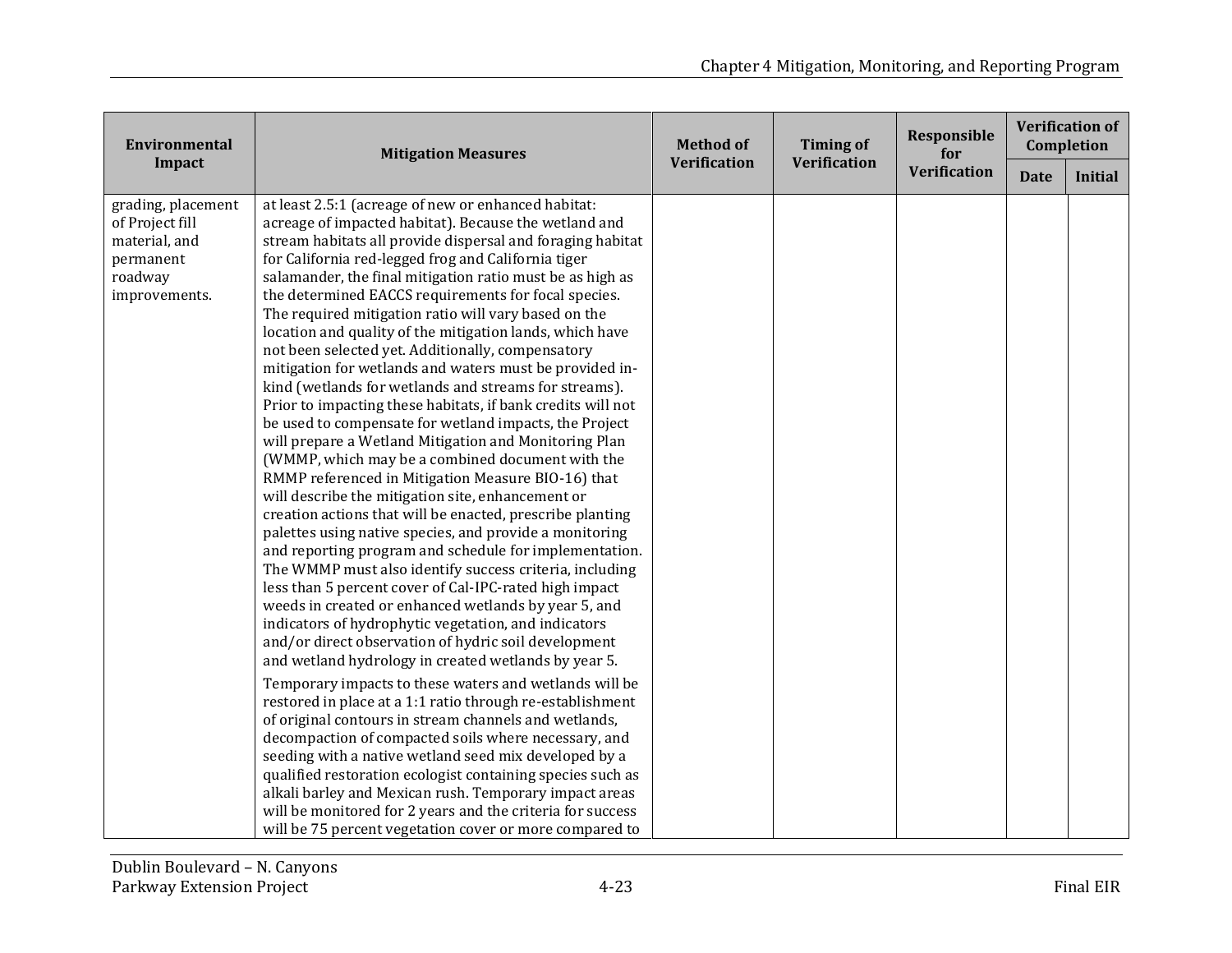| <b>Environmental</b><br>Impact                                                                  | <b>Mitigation Measures</b>                                                                                                                                                                                                                                                                                                                                                                                                                                                                                                                                                                                                                                                                                                                                                                                                                                                                                                                                                                                                                                                                                                                                                                                                                                                                                                                                                                                                                                                                                                                                                                                                                                                                                                                                                                                                                                                                                                                                                                                                                                                                    | <b>Method of</b><br><b>Verification</b> | <b>Timing of</b><br><b>Verification</b> | <b>Responsible</b><br>for<br><b>Verification</b> |             | <b>Verification of</b><br>Completion |  |
|-------------------------------------------------------------------------------------------------|-----------------------------------------------------------------------------------------------------------------------------------------------------------------------------------------------------------------------------------------------------------------------------------------------------------------------------------------------------------------------------------------------------------------------------------------------------------------------------------------------------------------------------------------------------------------------------------------------------------------------------------------------------------------------------------------------------------------------------------------------------------------------------------------------------------------------------------------------------------------------------------------------------------------------------------------------------------------------------------------------------------------------------------------------------------------------------------------------------------------------------------------------------------------------------------------------------------------------------------------------------------------------------------------------------------------------------------------------------------------------------------------------------------------------------------------------------------------------------------------------------------------------------------------------------------------------------------------------------------------------------------------------------------------------------------------------------------------------------------------------------------------------------------------------------------------------------------------------------------------------------------------------------------------------------------------------------------------------------------------------------------------------------------------------------------------------------------------------|-----------------------------------------|-----------------------------------------|--------------------------------------------------|-------------|--------------------------------------|--|
|                                                                                                 |                                                                                                                                                                                                                                                                                                                                                                                                                                                                                                                                                                                                                                                                                                                                                                                                                                                                                                                                                                                                                                                                                                                                                                                                                                                                                                                                                                                                                                                                                                                                                                                                                                                                                                                                                                                                                                                                                                                                                                                                                                                                                               |                                         |                                         |                                                  | <b>Date</b> | Initial                              |  |
| grading, placement<br>of Project fill<br>material, and<br>permanent<br>roadway<br>improvements. | at least 2.5:1 (acreage of new or enhanced habitat:<br>acreage of impacted habitat). Because the wetland and<br>stream habitats all provide dispersal and foraging habitat<br>for California red-legged frog and California tiger<br>salamander, the final mitigation ratio must be as high as<br>the determined EACCS requirements for focal species.<br>The required mitigation ratio will vary based on the<br>location and quality of the mitigation lands, which have<br>not been selected yet. Additionally, compensatory<br>mitigation for wetlands and waters must be provided in-<br>kind (wetlands for wetlands and streams for streams).<br>Prior to impacting these habitats, if bank credits will not<br>be used to compensate for wetland impacts, the Project<br>will prepare a Wetland Mitigation and Monitoring Plan<br>(WMMP, which may be a combined document with the<br>RMMP referenced in Mitigation Measure BIO-16) that<br>will describe the mitigation site, enhancement or<br>creation actions that will be enacted, prescribe planting<br>palettes using native species, and provide a monitoring<br>and reporting program and schedule for implementation.<br>The WMMP must also identify success criteria, including<br>less than 5 percent cover of Cal-IPC-rated high impact<br>weeds in created or enhanced wetlands by year 5, and<br>indicators of hydrophytic vegetation, and indicators<br>and/or direct observation of hydric soil development<br>and wetland hydrology in created wetlands by year 5.<br>Temporary impacts to these waters and wetlands will be<br>restored in place at a 1:1 ratio through re-establishment<br>of original contours in stream channels and wetlands,<br>decompaction of compacted soils where necessary, and<br>seeding with a native wetland seed mix developed by a<br>qualified restoration ecologist containing species such as<br>alkali barley and Mexican rush. Temporary impact areas<br>will be monitored for 2 years and the criteria for success<br>will be 75 percent vegetation cover or more compared to |                                         |                                         |                                                  |             |                                      |  |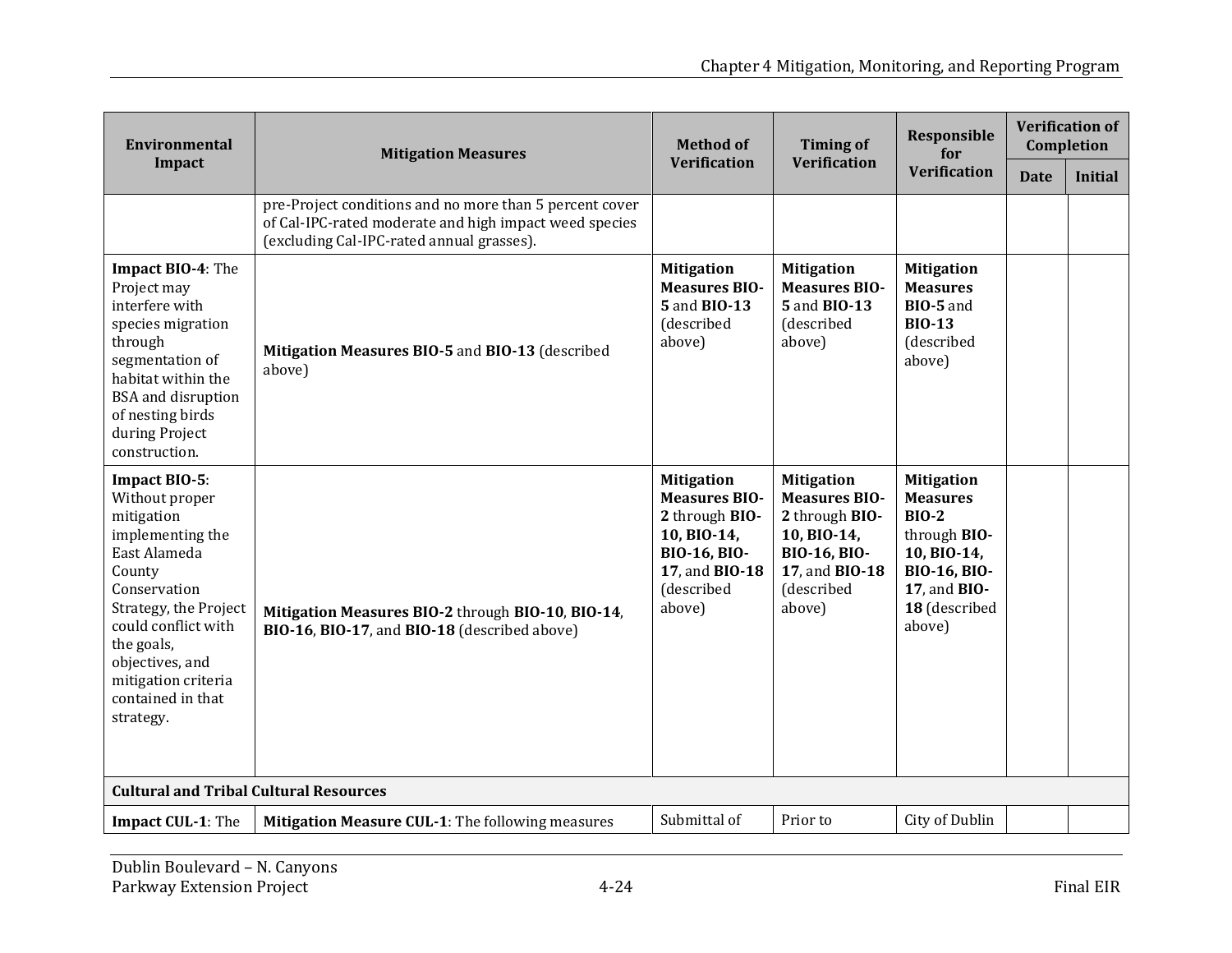| <b>Environmental</b><br>Impact                                                                                                                                                                                                                        | <b>Mitigation Measures</b>                                                                                                                                     | <b>Method of</b><br><b>Verification</b>                                                                                                            | <b>Timing of</b><br><b>Verification</b>                                                                                                     | Responsible<br>for<br><b>Verification</b>                                                                                                               | <b>Verification of</b><br>Completion |                |  |
|-------------------------------------------------------------------------------------------------------------------------------------------------------------------------------------------------------------------------------------------------------|----------------------------------------------------------------------------------------------------------------------------------------------------------------|----------------------------------------------------------------------------------------------------------------------------------------------------|---------------------------------------------------------------------------------------------------------------------------------------------|---------------------------------------------------------------------------------------------------------------------------------------------------------|--------------------------------------|----------------|--|
|                                                                                                                                                                                                                                                       |                                                                                                                                                                |                                                                                                                                                    |                                                                                                                                             |                                                                                                                                                         | <b>Date</b>                          | <b>Initial</b> |  |
|                                                                                                                                                                                                                                                       | pre-Project conditions and no more than 5 percent cover<br>of Cal-IPC-rated moderate and high impact weed species<br>(excluding Cal-IPC-rated annual grasses). |                                                                                                                                                    |                                                                                                                                             |                                                                                                                                                         |                                      |                |  |
| Impact BIO-4: The<br>Project may<br>interfere with<br>species migration<br>through<br>segmentation of<br>habitat within the<br><b>BSA</b> and disruption<br>of nesting birds<br>during Project<br>construction.                                       | Mitigation Measures BIO-5 and BIO-13 (described<br>above)                                                                                                      | <b>Mitigation</b><br><b>Measures BIO-</b><br>5 and <b>BIO-13</b><br>(described<br>above)                                                           | <b>Mitigation</b><br><b>Measures BIO-</b><br>5 and <b>BIO-13</b><br>(described<br>above)                                                    | <b>Mitigation</b><br><b>Measures</b><br>BIO-5 and<br><b>BIO-13</b><br>(described<br>above)                                                              |                                      |                |  |
| Impact BIO-5:<br>Without proper<br>mitigation<br>implementing the<br>East Alameda<br>County<br>Conservation<br>Strategy, the Project<br>could conflict with<br>the goals,<br>objectives, and<br>mitigation criteria<br>contained in that<br>strategy. | Mitigation Measures BIO-2 through BIO-10, BIO-14,<br>BIO-16, BIO-17, and BIO-18 (described above)                                                              | <b>Mitigation</b><br><b>Measures BIO-</b><br>2 through BIO-<br>10, BIO-14,<br><b>BIO-16, BIO-</b><br>17, and <b>BIO-18</b><br>(described<br>above) | <b>Mitigation</b><br><b>Measures BIO-</b><br>2 through BIO-<br>10, BIO-14,<br>BIO-16, BIO-<br>17, and <b>BIO-18</b><br>(described<br>above) | <b>Mitigation</b><br><b>Measures</b><br>$BIO-2$<br>through BIO-<br>10, BIO-14,<br><b>BIO-16, BIO-</b><br>17, and <b>BIO-</b><br>18 (described<br>above) |                                      |                |  |
| <b>Cultural and Tribal Cultural Resources</b>                                                                                                                                                                                                         |                                                                                                                                                                |                                                                                                                                                    |                                                                                                                                             |                                                                                                                                                         |                                      |                |  |
| Impact CUL-1: The                                                                                                                                                                                                                                     | Mitigation Measure CUL-1: The following measures                                                                                                               | Submittal of                                                                                                                                       | Prior to                                                                                                                                    | City of Dublin                                                                                                                                          |                                      |                |  |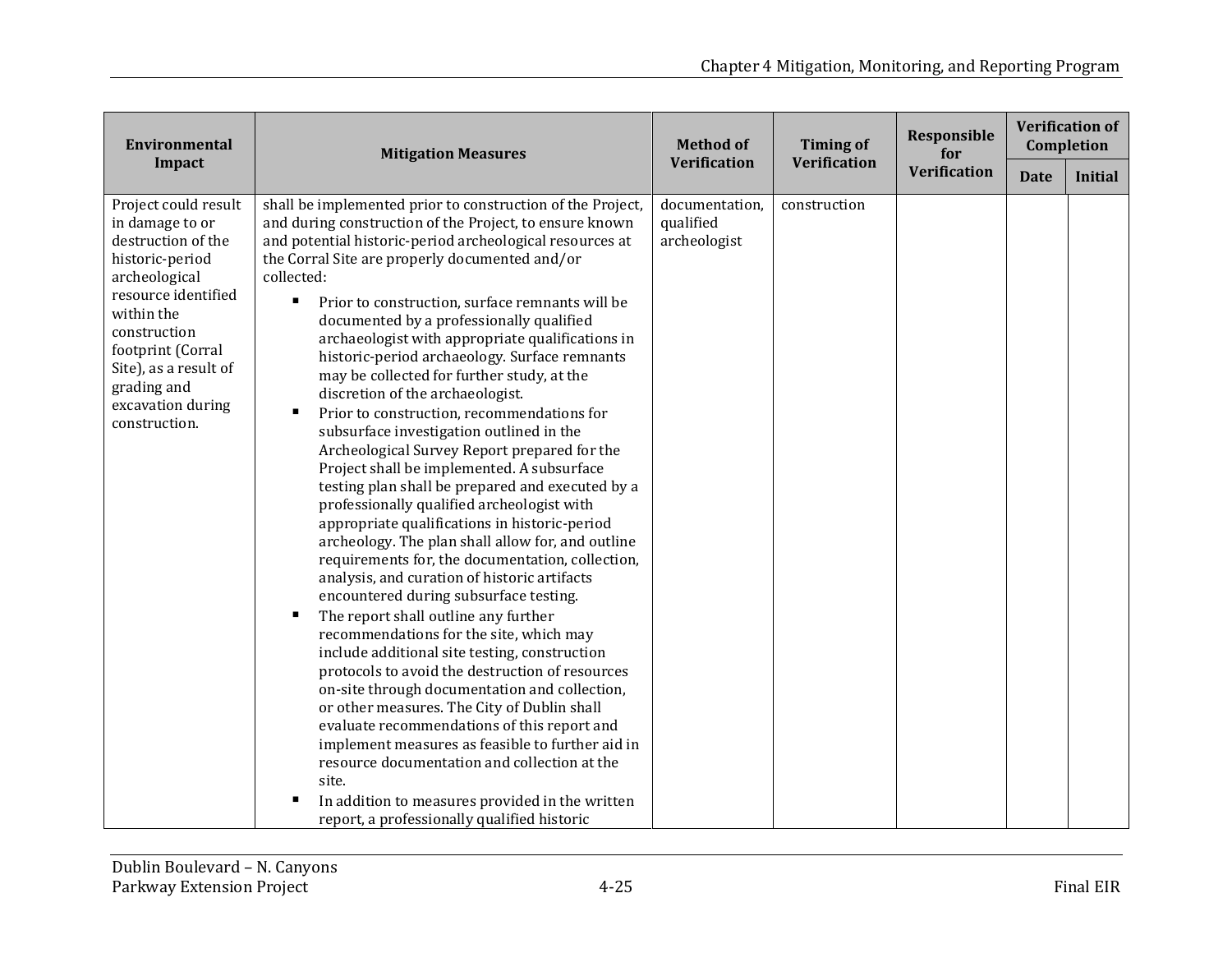| Environmental                                                                                                                                                                                                                                             | <b>Mitigation Measures</b>                                                                                                                                                                                                                                                                                                                                                                                                                                                                                                                                                                                                                                                                                                                                                                                                                                                                                                                                                                                                                                                                                                                                                                                                                                                                                                                                                                                                                                                                                                                                                                                                                           | <b>Method of</b><br><b>Verification</b>     | <b>Timing of</b><br><b>Verification</b> | Responsible<br>for<br><b>Verification</b> | <b>Verification of</b><br>Completion |                |
|-----------------------------------------------------------------------------------------------------------------------------------------------------------------------------------------------------------------------------------------------------------|------------------------------------------------------------------------------------------------------------------------------------------------------------------------------------------------------------------------------------------------------------------------------------------------------------------------------------------------------------------------------------------------------------------------------------------------------------------------------------------------------------------------------------------------------------------------------------------------------------------------------------------------------------------------------------------------------------------------------------------------------------------------------------------------------------------------------------------------------------------------------------------------------------------------------------------------------------------------------------------------------------------------------------------------------------------------------------------------------------------------------------------------------------------------------------------------------------------------------------------------------------------------------------------------------------------------------------------------------------------------------------------------------------------------------------------------------------------------------------------------------------------------------------------------------------------------------------------------------------------------------------------------------|---------------------------------------------|-----------------------------------------|-------------------------------------------|--------------------------------------|----------------|
| Impact                                                                                                                                                                                                                                                    |                                                                                                                                                                                                                                                                                                                                                                                                                                                                                                                                                                                                                                                                                                                                                                                                                                                                                                                                                                                                                                                                                                                                                                                                                                                                                                                                                                                                                                                                                                                                                                                                                                                      |                                             |                                         |                                           | <b>Date</b>                          | <b>Initial</b> |
| Project could result<br>in damage to or<br>destruction of the<br>historic-period<br>archeological<br>resource identified<br>within the<br>construction<br>footprint (Corral<br>Site), as a result of<br>grading and<br>excavation during<br>construction. | shall be implemented prior to construction of the Project,<br>and during construction of the Project, to ensure known<br>and potential historic-period archeological resources at<br>the Corral Site are properly documented and/or<br>collected:<br>Prior to construction, surface remnants will be<br>п<br>documented by a professionally qualified<br>archaeologist with appropriate qualifications in<br>historic-period archaeology. Surface remnants<br>may be collected for further study, at the<br>discretion of the archaeologist.<br>Prior to construction, recommendations for<br>subsurface investigation outlined in the<br>Archeological Survey Report prepared for the<br>Project shall be implemented. A subsurface<br>testing plan shall be prepared and executed by a<br>professionally qualified archeologist with<br>appropriate qualifications in historic-period<br>archeology. The plan shall allow for, and outline<br>requirements for, the documentation, collection,<br>analysis, and curation of historic artifacts<br>encountered during subsurface testing.<br>The report shall outline any further<br>٠<br>recommendations for the site, which may<br>include additional site testing, construction<br>protocols to avoid the destruction of resources<br>on-site through documentation and collection,<br>or other measures. The City of Dublin shall<br>evaluate recommendations of this report and<br>implement measures as feasible to further aid in<br>resource documentation and collection at the<br>site.<br>In addition to measures provided in the written<br>report, a professionally qualified historic | documentation,<br>qualified<br>archeologist | construction                            |                                           |                                      |                |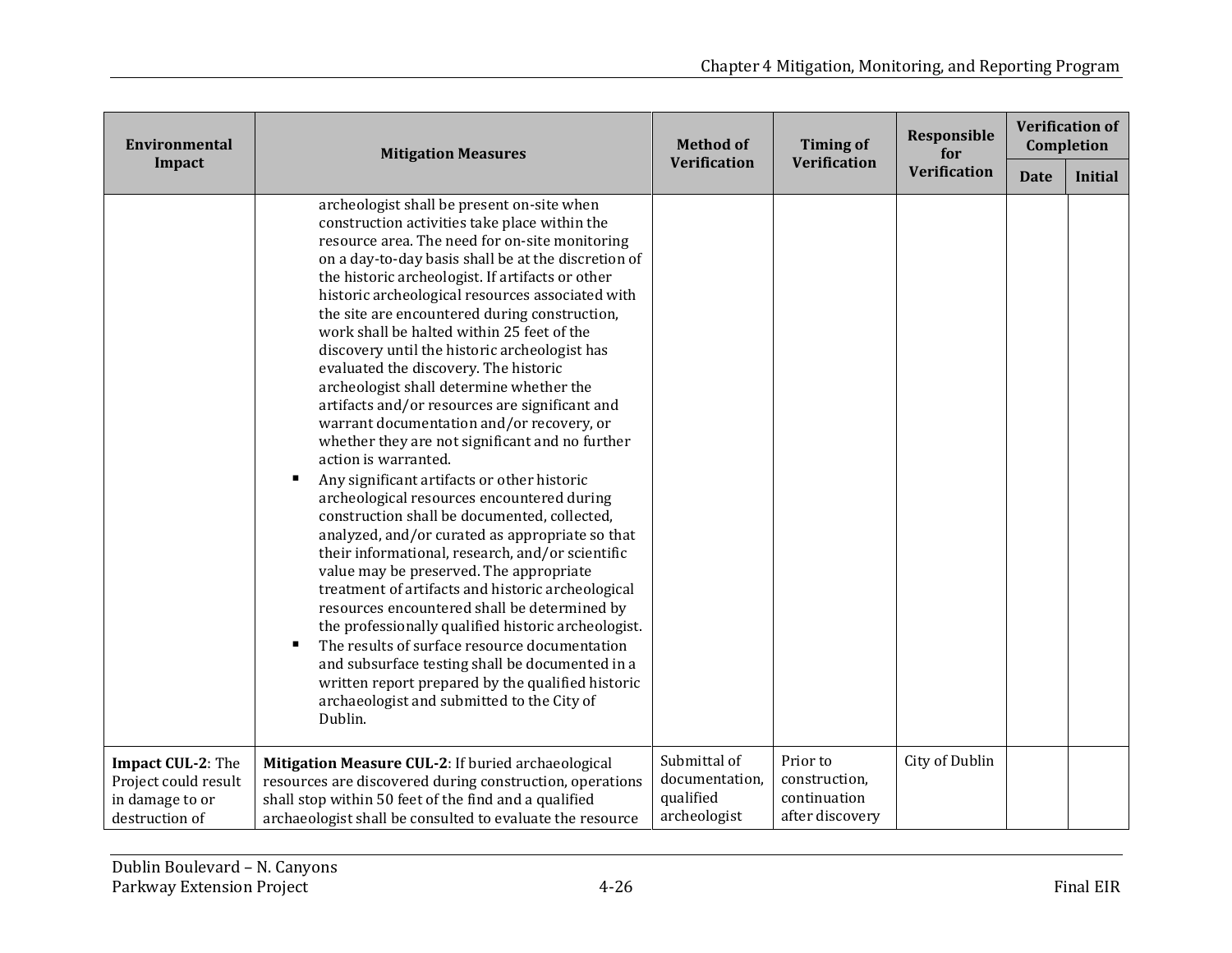| <b>Environmental</b><br>Impact                                                 | <b>Mitigation Measures</b>                                                                                                                                                                                                                                                                                                                                                                                                                                                                                                                                                                                                                                                                                                                                                                                                                                                                                                                                                                                                                                                                                                                                                                                                                                                                                                                                                                               | <b>Method of</b><br><b>Verification</b>                     | <b>Timing of</b><br><b>Verification</b>                      | Responsible<br>for<br><b>Verification</b> | <b>Verification of</b><br>Completion |                |
|--------------------------------------------------------------------------------|----------------------------------------------------------------------------------------------------------------------------------------------------------------------------------------------------------------------------------------------------------------------------------------------------------------------------------------------------------------------------------------------------------------------------------------------------------------------------------------------------------------------------------------------------------------------------------------------------------------------------------------------------------------------------------------------------------------------------------------------------------------------------------------------------------------------------------------------------------------------------------------------------------------------------------------------------------------------------------------------------------------------------------------------------------------------------------------------------------------------------------------------------------------------------------------------------------------------------------------------------------------------------------------------------------------------------------------------------------------------------------------------------------|-------------------------------------------------------------|--------------------------------------------------------------|-------------------------------------------|--------------------------------------|----------------|
|                                                                                |                                                                                                                                                                                                                                                                                                                                                                                                                                                                                                                                                                                                                                                                                                                                                                                                                                                                                                                                                                                                                                                                                                                                                                                                                                                                                                                                                                                                          |                                                             |                                                              |                                           | <b>Date</b>                          | <b>Initial</b> |
|                                                                                | archeologist shall be present on-site when<br>construction activities take place within the<br>resource area. The need for on-site monitoring<br>on a day-to-day basis shall be at the discretion of<br>the historic archeologist. If artifacts or other<br>historic archeological resources associated with<br>the site are encountered during construction,<br>work shall be halted within 25 feet of the<br>discovery until the historic archeologist has<br>evaluated the discovery. The historic<br>archeologist shall determine whether the<br>artifacts and/or resources are significant and<br>warrant documentation and/or recovery, or<br>whether they are not significant and no further<br>action is warranted.<br>Any significant artifacts or other historic<br>archeological resources encountered during<br>construction shall be documented, collected,<br>analyzed, and/or curated as appropriate so that<br>their informational, research, and/or scientific<br>value may be preserved. The appropriate<br>treatment of artifacts and historic archeological<br>resources encountered shall be determined by<br>the professionally qualified historic archeologist.<br>The results of surface resource documentation<br>and subsurface testing shall be documented in a<br>written report prepared by the qualified historic<br>archaeologist and submitted to the City of<br>Dublin. |                                                             |                                                              |                                           |                                      |                |
| Impact CUL-2: The<br>Project could result<br>in damage to or<br>destruction of | Mitigation Measure CUL-2: If buried archaeological<br>resources are discovered during construction, operations<br>shall stop within 50 feet of the find and a qualified<br>archaeologist shall be consulted to evaluate the resource                                                                                                                                                                                                                                                                                                                                                                                                                                                                                                                                                                                                                                                                                                                                                                                                                                                                                                                                                                                                                                                                                                                                                                     | Submittal of<br>documentation,<br>qualified<br>archeologist | Prior to<br>construction,<br>continuation<br>after discovery | City of Dublin                            |                                      |                |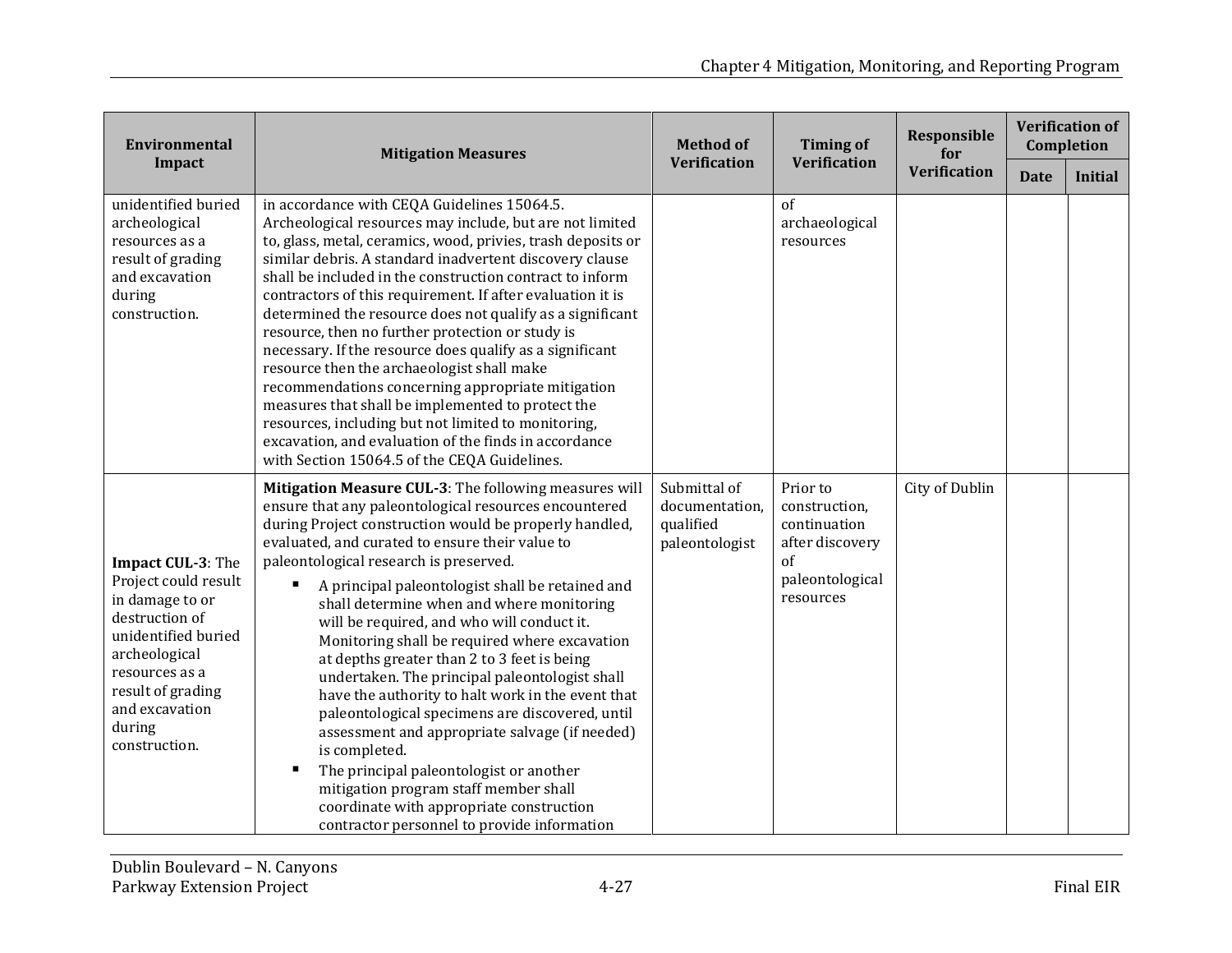| Environmental                                                                                                                                                                                              | <b>Mitigation Measures</b>                                                                                                                                                                                                                                                                                                                                                                                                                                                                                                                                                                                                                                                                                                                                                                                                                                                                                                            | <b>Method of</b><br><b>Verification</b>                       | <b>Timing of</b><br><b>Verification</b>                                                            | Responsible<br>for<br><b>Verification</b> | <b>Verification of</b><br>Completion |                |
|------------------------------------------------------------------------------------------------------------------------------------------------------------------------------------------------------------|---------------------------------------------------------------------------------------------------------------------------------------------------------------------------------------------------------------------------------------------------------------------------------------------------------------------------------------------------------------------------------------------------------------------------------------------------------------------------------------------------------------------------------------------------------------------------------------------------------------------------------------------------------------------------------------------------------------------------------------------------------------------------------------------------------------------------------------------------------------------------------------------------------------------------------------|---------------------------------------------------------------|----------------------------------------------------------------------------------------------------|-------------------------------------------|--------------------------------------|----------------|
| Impact                                                                                                                                                                                                     |                                                                                                                                                                                                                                                                                                                                                                                                                                                                                                                                                                                                                                                                                                                                                                                                                                                                                                                                       |                                                               |                                                                                                    |                                           | <b>Date</b>                          | <b>Initial</b> |
| unidentified buried<br>archeological<br>resources as a<br>result of grading<br>and excavation<br>during<br>construction.                                                                                   | in accordance with CEQA Guidelines 15064.5.<br>Archeological resources may include, but are not limited<br>to, glass, metal, ceramics, wood, privies, trash deposits or<br>similar debris. A standard inadvertent discovery clause<br>shall be included in the construction contract to inform<br>contractors of this requirement. If after evaluation it is<br>determined the resource does not qualify as a significant<br>resource, then no further protection or study is<br>necessary. If the resource does qualify as a significant<br>resource then the archaeologist shall make<br>recommendations concerning appropriate mitigation<br>measures that shall be implemented to protect the<br>resources, including but not limited to monitoring,<br>excavation, and evaluation of the finds in accordance<br>with Section 15064.5 of the CEQA Guidelines.                                                                     |                                                               | of<br>archaeological<br>resources                                                                  |                                           |                                      |                |
| Impact CUL-3: The<br>Project could result<br>in damage to or<br>destruction of<br>unidentified buried<br>archeological<br>resources as a<br>result of grading<br>and excavation<br>during<br>construction. | Mitigation Measure CUL-3: The following measures will<br>ensure that any paleontological resources encountered<br>during Project construction would be properly handled,<br>evaluated, and curated to ensure their value to<br>paleontological research is preserved.<br>A principal paleontologist shall be retained and<br>shall determine when and where monitoring<br>will be required, and who will conduct it.<br>Monitoring shall be required where excavation<br>at depths greater than 2 to 3 feet is being<br>undertaken. The principal paleontologist shall<br>have the authority to halt work in the event that<br>paleontological specimens are discovered, until<br>assessment and appropriate salvage (if needed)<br>is completed.<br>The principal paleontologist or another<br>п<br>mitigation program staff member shall<br>coordinate with appropriate construction<br>contractor personnel to provide information | Submittal of<br>documentation,<br>qualified<br>paleontologist | Prior to<br>construction,<br>continuation<br>after discovery<br>of<br>paleontological<br>resources | City of Dublin                            |                                      |                |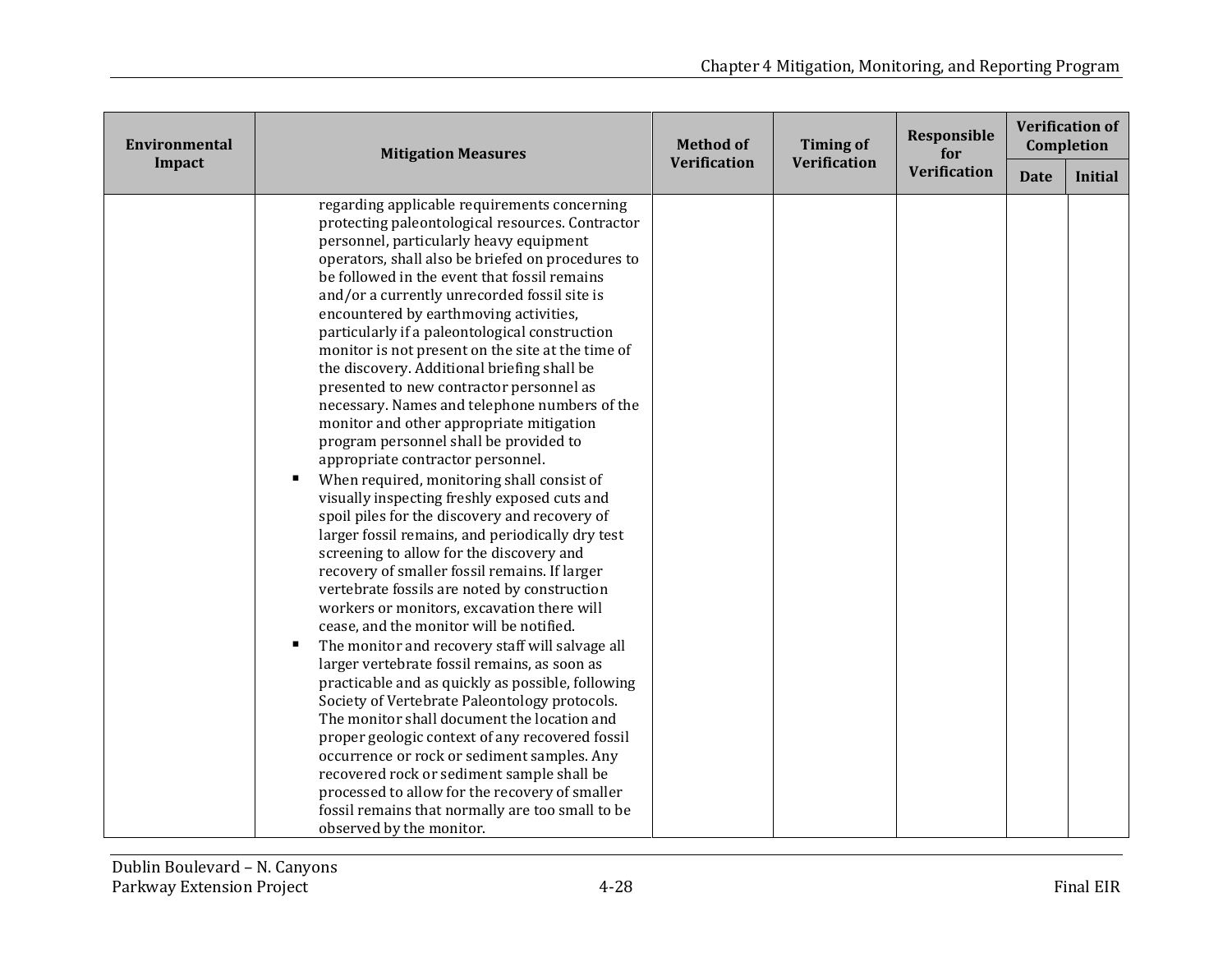| <b>Environmental</b> | <b>Method of</b><br><b>Mitigation Measures</b><br><b>Verification</b><br>Impact                                                                                                                                                                                                                                                                                                                                                                                                                                                                                                                                                                                                                                                                                                                                                                                                                                                                                                                                                                                                                                                                                                                                                                                                                                                                                                                                                                                                                                                                                                                                                                                                                                   | <b>Timing of</b> | Responsible<br>for  | <b>Verification of</b><br>Completion |             |                |
|----------------------|-------------------------------------------------------------------------------------------------------------------------------------------------------------------------------------------------------------------------------------------------------------------------------------------------------------------------------------------------------------------------------------------------------------------------------------------------------------------------------------------------------------------------------------------------------------------------------------------------------------------------------------------------------------------------------------------------------------------------------------------------------------------------------------------------------------------------------------------------------------------------------------------------------------------------------------------------------------------------------------------------------------------------------------------------------------------------------------------------------------------------------------------------------------------------------------------------------------------------------------------------------------------------------------------------------------------------------------------------------------------------------------------------------------------------------------------------------------------------------------------------------------------------------------------------------------------------------------------------------------------------------------------------------------------------------------------------------------------|------------------|---------------------|--------------------------------------|-------------|----------------|
|                      |                                                                                                                                                                                                                                                                                                                                                                                                                                                                                                                                                                                                                                                                                                                                                                                                                                                                                                                                                                                                                                                                                                                                                                                                                                                                                                                                                                                                                                                                                                                                                                                                                                                                                                                   |                  | <b>Verification</b> | <b>Verification</b>                  | <b>Date</b> | <b>Initial</b> |
|                      | regarding applicable requirements concerning<br>protecting paleontological resources. Contractor<br>personnel, particularly heavy equipment<br>operators, shall also be briefed on procedures to<br>be followed in the event that fossil remains<br>and/or a currently unrecorded fossil site is<br>encountered by earthmoving activities,<br>particularly if a paleontological construction<br>monitor is not present on the site at the time of<br>the discovery. Additional briefing shall be<br>presented to new contractor personnel as<br>necessary. Names and telephone numbers of the<br>monitor and other appropriate mitigation<br>program personnel shall be provided to<br>appropriate contractor personnel.<br>When required, monitoring shall consist of<br>п<br>visually inspecting freshly exposed cuts and<br>spoil piles for the discovery and recovery of<br>larger fossil remains, and periodically dry test<br>screening to allow for the discovery and<br>recovery of smaller fossil remains. If larger<br>vertebrate fossils are noted by construction<br>workers or monitors, excavation there will<br>cease, and the monitor will be notified.<br>The monitor and recovery staff will salvage all<br>larger vertebrate fossil remains, as soon as<br>practicable and as quickly as possible, following<br>Society of Vertebrate Paleontology protocols.<br>The monitor shall document the location and<br>proper geologic context of any recovered fossil<br>occurrence or rock or sediment samples. Any<br>recovered rock or sediment sample shall be<br>processed to allow for the recovery of smaller<br>fossil remains that normally are too small to be<br>observed by the monitor. |                  |                     |                                      |             |                |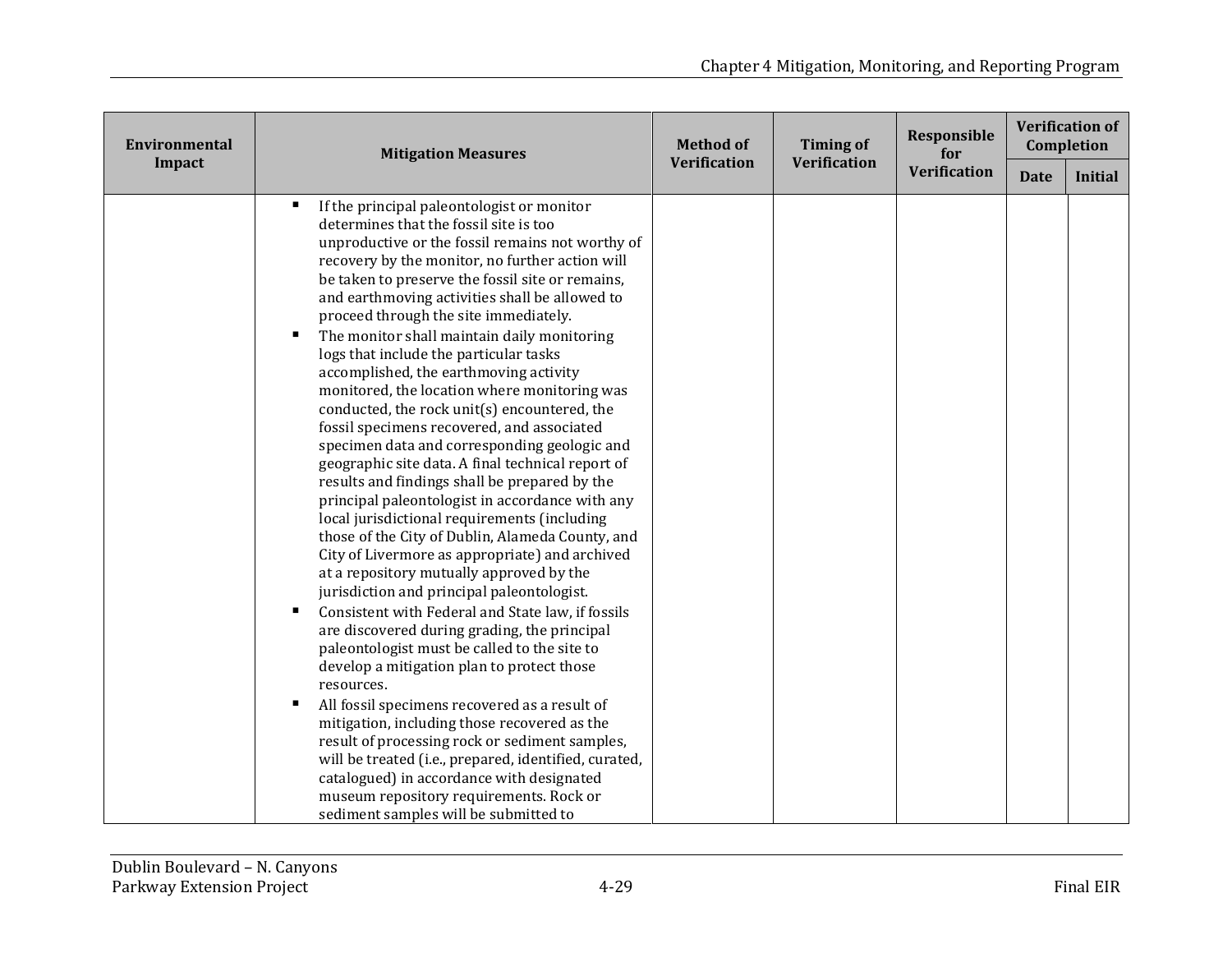| <b>Environmental</b><br><b>Mitigation Measures</b> |                                                                                                                                                                                                                                                                                                                                                                                                                                                                                                                                                                                                                                                                                                                                                                                                                                                                                                                                                                                                                                                                                                                                                                                                                                                                                                                                                                                                                                                                                                                                                                                                                                                    | <b>Method of</b>    | <b>Timing of</b><br><b>Verification</b> | Responsible<br>for<br><b>Verification</b> | <b>Verification of</b><br>Completion |                |
|----------------------------------------------------|----------------------------------------------------------------------------------------------------------------------------------------------------------------------------------------------------------------------------------------------------------------------------------------------------------------------------------------------------------------------------------------------------------------------------------------------------------------------------------------------------------------------------------------------------------------------------------------------------------------------------------------------------------------------------------------------------------------------------------------------------------------------------------------------------------------------------------------------------------------------------------------------------------------------------------------------------------------------------------------------------------------------------------------------------------------------------------------------------------------------------------------------------------------------------------------------------------------------------------------------------------------------------------------------------------------------------------------------------------------------------------------------------------------------------------------------------------------------------------------------------------------------------------------------------------------------------------------------------------------------------------------------------|---------------------|-----------------------------------------|-------------------------------------------|--------------------------------------|----------------|
| Impact                                             |                                                                                                                                                                                                                                                                                                                                                                                                                                                                                                                                                                                                                                                                                                                                                                                                                                                                                                                                                                                                                                                                                                                                                                                                                                                                                                                                                                                                                                                                                                                                                                                                                                                    | <b>Verification</b> |                                         |                                           | <b>Date</b>                          | <b>Initial</b> |
|                                                    | If the principal paleontologist or monitor<br>determines that the fossil site is too<br>unproductive or the fossil remains not worthy of<br>recovery by the monitor, no further action will<br>be taken to preserve the fossil site or remains,<br>and earthmoving activities shall be allowed to<br>proceed through the site immediately.<br>The monitor shall maintain daily monitoring<br>logs that include the particular tasks<br>accomplished, the earthmoving activity<br>monitored, the location where monitoring was<br>conducted, the rock unit(s) encountered, the<br>fossil specimens recovered, and associated<br>specimen data and corresponding geologic and<br>geographic site data. A final technical report of<br>results and findings shall be prepared by the<br>principal paleontologist in accordance with any<br>local jurisdictional requirements (including<br>those of the City of Dublin, Alameda County, and<br>City of Livermore as appropriate) and archived<br>at a repository mutually approved by the<br>jurisdiction and principal paleontologist.<br>Consistent with Federal and State law, if fossils<br>are discovered during grading, the principal<br>paleontologist must be called to the site to<br>develop a mitigation plan to protect those<br>resources.<br>All fossil specimens recovered as a result of<br>mitigation, including those recovered as the<br>result of processing rock or sediment samples,<br>will be treated (i.e., prepared, identified, curated,<br>catalogued) in accordance with designated<br>museum repository requirements. Rock or<br>sediment samples will be submitted to |                     |                                         |                                           |                                      |                |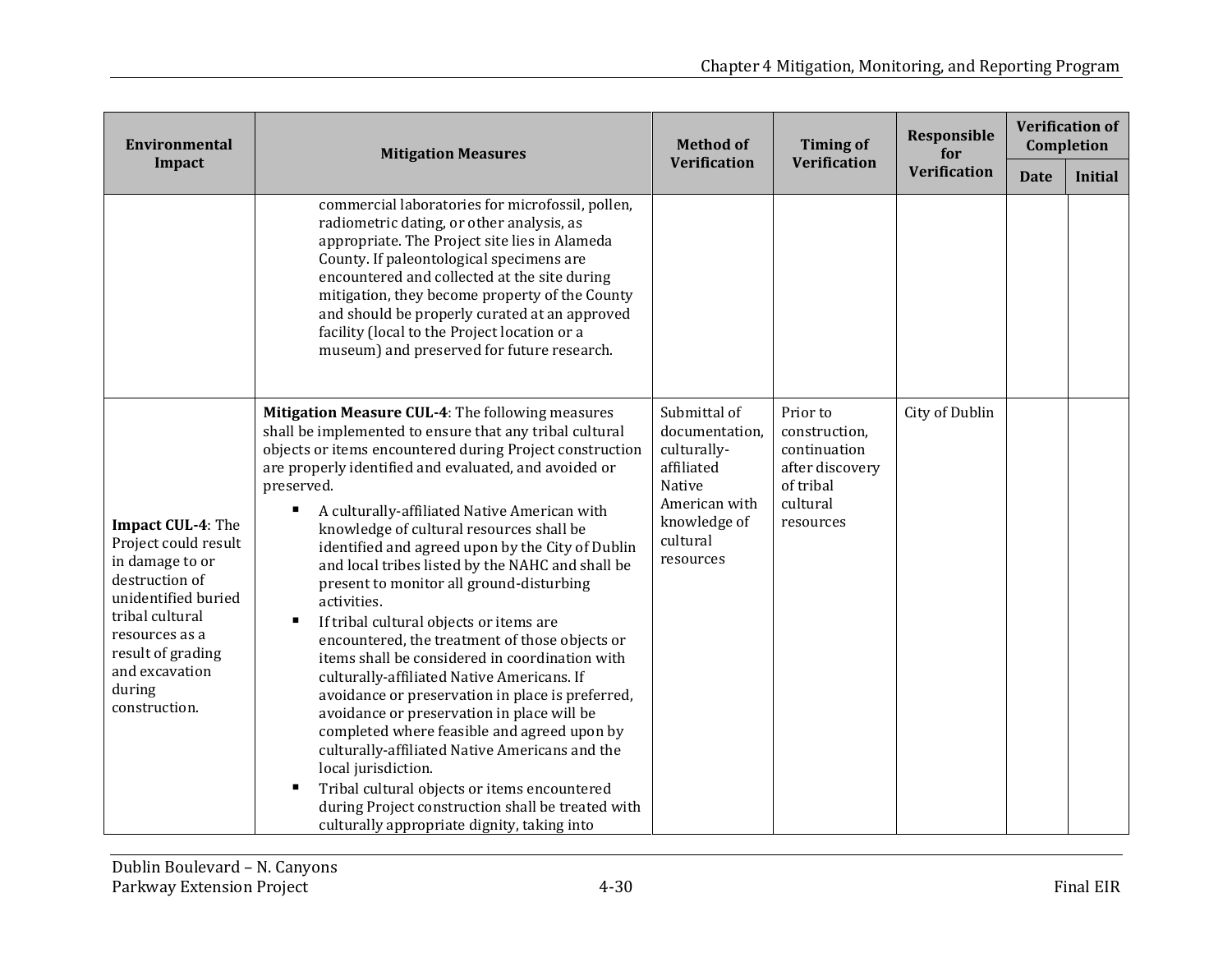| <b>Environmental</b><br>Impact                                                                                                                                                                               | <b>Mitigation Measures</b>                                                                                                                                                                                                                                                                                                                                                                                                                                                                                                                                                                                                                                                                                                                                                                                                                                                                                                                                                                                                                                                               | <b>Method of</b>                                                                                                                | <b>Timing of</b><br><b>Verification</b>                                                            | Responsible<br>for<br><b>Verification</b> | <b>Verification of</b><br>Completion |                |
|--------------------------------------------------------------------------------------------------------------------------------------------------------------------------------------------------------------|------------------------------------------------------------------------------------------------------------------------------------------------------------------------------------------------------------------------------------------------------------------------------------------------------------------------------------------------------------------------------------------------------------------------------------------------------------------------------------------------------------------------------------------------------------------------------------------------------------------------------------------------------------------------------------------------------------------------------------------------------------------------------------------------------------------------------------------------------------------------------------------------------------------------------------------------------------------------------------------------------------------------------------------------------------------------------------------|---------------------------------------------------------------------------------------------------------------------------------|----------------------------------------------------------------------------------------------------|-------------------------------------------|--------------------------------------|----------------|
|                                                                                                                                                                                                              |                                                                                                                                                                                                                                                                                                                                                                                                                                                                                                                                                                                                                                                                                                                                                                                                                                                                                                                                                                                                                                                                                          | <b>Verification</b>                                                                                                             |                                                                                                    |                                           | <b>Date</b>                          | <b>Initial</b> |
|                                                                                                                                                                                                              | commercial laboratories for microfossil, pollen,<br>radiometric dating, or other analysis, as<br>appropriate. The Project site lies in Alameda<br>County. If paleontological specimens are<br>encountered and collected at the site during<br>mitigation, they become property of the County<br>and should be properly curated at an approved<br>facility (local to the Project location or a<br>museum) and preserved for future research.                                                                                                                                                                                                                                                                                                                                                                                                                                                                                                                                                                                                                                              |                                                                                                                                 |                                                                                                    |                                           |                                      |                |
| Impact CUL-4: The<br>Project could result<br>in damage to or<br>destruction of<br>unidentified buried<br>tribal cultural<br>resources as a<br>result of grading<br>and excavation<br>during<br>construction. | Mitigation Measure CUL-4: The following measures<br>shall be implemented to ensure that any tribal cultural<br>objects or items encountered during Project construction<br>are properly identified and evaluated, and avoided or<br>preserved.<br>A culturally-affiliated Native American with<br>knowledge of cultural resources shall be<br>identified and agreed upon by the City of Dublin<br>and local tribes listed by the NAHC and shall be<br>present to monitor all ground-disturbing<br>activities.<br>If tribal cultural objects or items are<br>encountered, the treatment of those objects or<br>items shall be considered in coordination with<br>culturally-affiliated Native Americans. If<br>avoidance or preservation in place is preferred,<br>avoidance or preservation in place will be<br>completed where feasible and agreed upon by<br>culturally-affiliated Native Americans and the<br>local jurisdiction.<br>Tribal cultural objects or items encountered<br>during Project construction shall be treated with<br>culturally appropriate dignity, taking into | Submittal of<br>documentation,<br>culturally-<br>affiliated<br>Native<br>American with<br>knowledge of<br>cultural<br>resources | Prior to<br>construction,<br>continuation<br>after discovery<br>of tribal<br>cultural<br>resources | City of Dublin                            |                                      |                |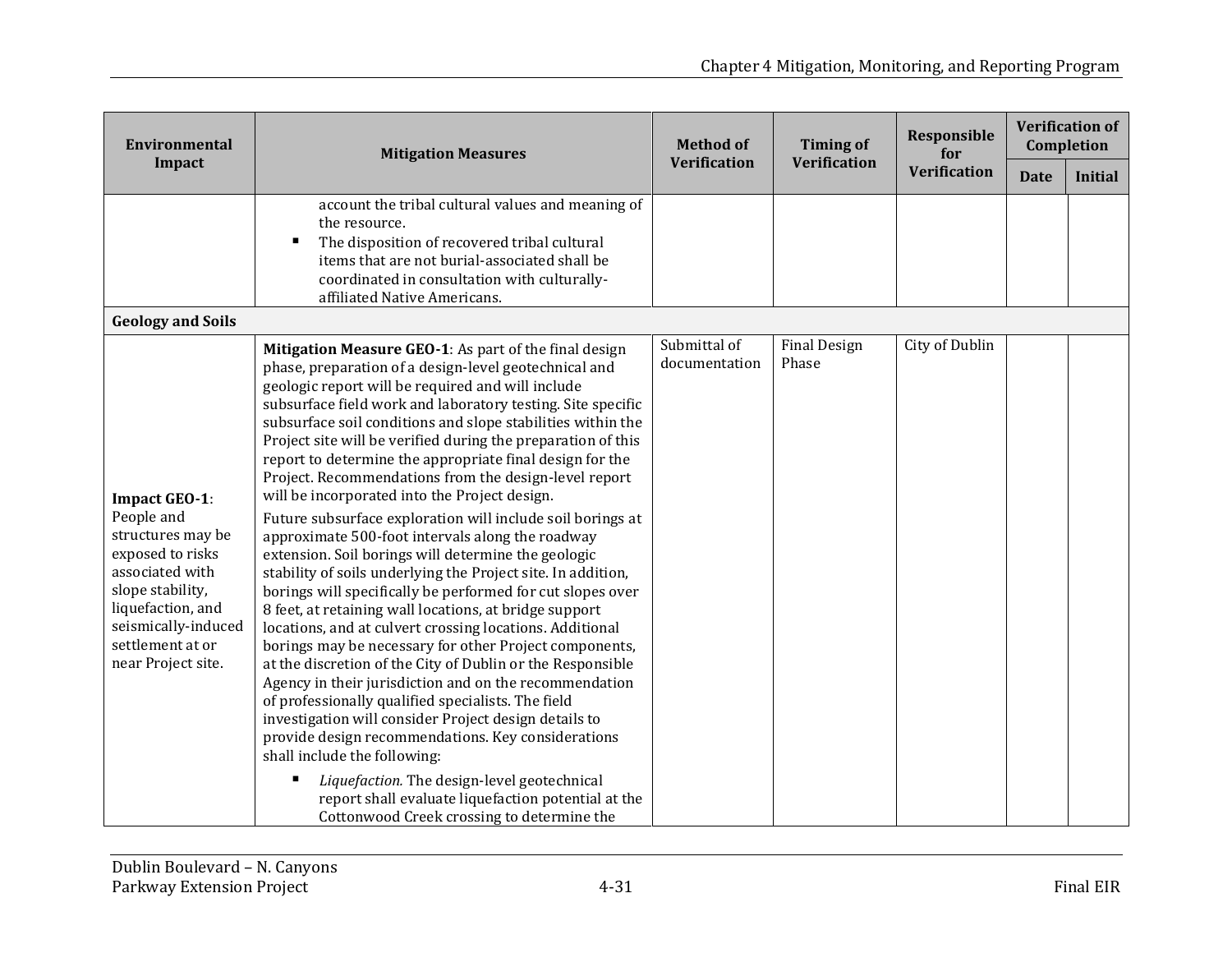| Environmental<br>Impact                                                                                                                                                                                  | <b>Mitigation Measures</b>                                                                                                                                                                                                                                                                                                                                                                                                                                                                                                                                                                                                                                                                                                                                                                                                                                                                                                                                                                                                                                                                                                                                                                                                                                                                                                                                                                                                                                                                                      | <b>Method of</b><br><b>Verification</b> | <b>Timing of</b><br><b>Verification</b> | <b>Responsible</b><br>for<br><b>Verification</b> | <b>Verification of</b><br>Completion |         |
|----------------------------------------------------------------------------------------------------------------------------------------------------------------------------------------------------------|-----------------------------------------------------------------------------------------------------------------------------------------------------------------------------------------------------------------------------------------------------------------------------------------------------------------------------------------------------------------------------------------------------------------------------------------------------------------------------------------------------------------------------------------------------------------------------------------------------------------------------------------------------------------------------------------------------------------------------------------------------------------------------------------------------------------------------------------------------------------------------------------------------------------------------------------------------------------------------------------------------------------------------------------------------------------------------------------------------------------------------------------------------------------------------------------------------------------------------------------------------------------------------------------------------------------------------------------------------------------------------------------------------------------------------------------------------------------------------------------------------------------|-----------------------------------------|-----------------------------------------|--------------------------------------------------|--------------------------------------|---------|
|                                                                                                                                                                                                          |                                                                                                                                                                                                                                                                                                                                                                                                                                                                                                                                                                                                                                                                                                                                                                                                                                                                                                                                                                                                                                                                                                                                                                                                                                                                                                                                                                                                                                                                                                                 |                                         |                                         |                                                  | <b>Date</b>                          | Initial |
| <b>Geology and Soils</b>                                                                                                                                                                                 | account the tribal cultural values and meaning of<br>the resource.<br>The disposition of recovered tribal cultural<br>items that are not burial-associated shall be<br>coordinated in consultation with culturally-<br>affiliated Native Americans.                                                                                                                                                                                                                                                                                                                                                                                                                                                                                                                                                                                                                                                                                                                                                                                                                                                                                                                                                                                                                                                                                                                                                                                                                                                             |                                         |                                         |                                                  |                                      |         |
| <b>Impact GEO-1:</b><br>People and<br>structures may be<br>exposed to risks<br>associated with<br>slope stability,<br>liquefaction, and<br>seismically-induced<br>settlement at or<br>near Project site. | Mitigation Measure GEO-1: As part of the final design<br>phase, preparation of a design-level geotechnical and<br>geologic report will be required and will include<br>subsurface field work and laboratory testing. Site specific<br>subsurface soil conditions and slope stabilities within the<br>Project site will be verified during the preparation of this<br>report to determine the appropriate final design for the<br>Project. Recommendations from the design-level report<br>will be incorporated into the Project design.<br>Future subsurface exploration will include soil borings at<br>approximate 500-foot intervals along the roadway<br>extension. Soil borings will determine the geologic<br>stability of soils underlying the Project site. In addition,<br>borings will specifically be performed for cut slopes over<br>8 feet, at retaining wall locations, at bridge support<br>locations, and at culvert crossing locations. Additional<br>borings may be necessary for other Project components,<br>at the discretion of the City of Dublin or the Responsible<br>Agency in their jurisdiction and on the recommendation<br>of professionally qualified specialists. The field<br>investigation will consider Project design details to<br>provide design recommendations. Key considerations<br>shall include the following:<br>Liquefaction. The design-level geotechnical<br>report shall evaluate liquefaction potential at the<br>Cottonwood Creek crossing to determine the | Submittal of<br>documentation           | <b>Final Design</b><br>Phase            | City of Dublin                                   |                                      |         |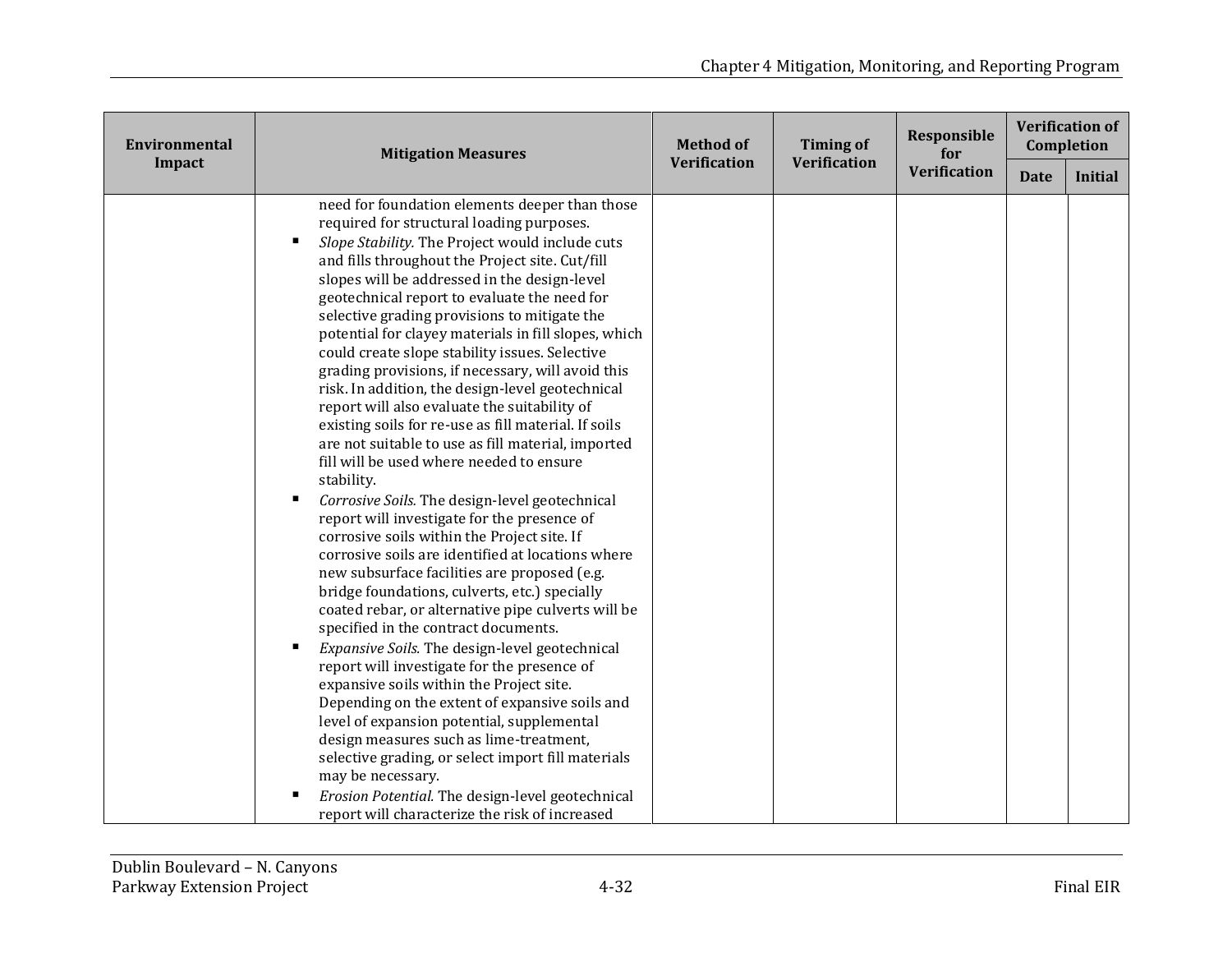| <b>Environmental</b><br>Impact | <b>Mitigation Measures</b>                                                                                                                                                                                                                                                                                                                                                                                                                                                                                                                                                                                                                                                                                                                                                                                                                                                                                                                                                                                                                                                                                                                                                                                                                                                                                                                                                                                                                                                                                                                                                                                                                                                | <b>Method of</b><br><b>Timing of</b><br><b>Verification</b><br><b>Verification</b> | Responsible<br>for | <b>Verification of</b><br>Completion |             |                |
|--------------------------------|---------------------------------------------------------------------------------------------------------------------------------------------------------------------------------------------------------------------------------------------------------------------------------------------------------------------------------------------------------------------------------------------------------------------------------------------------------------------------------------------------------------------------------------------------------------------------------------------------------------------------------------------------------------------------------------------------------------------------------------------------------------------------------------------------------------------------------------------------------------------------------------------------------------------------------------------------------------------------------------------------------------------------------------------------------------------------------------------------------------------------------------------------------------------------------------------------------------------------------------------------------------------------------------------------------------------------------------------------------------------------------------------------------------------------------------------------------------------------------------------------------------------------------------------------------------------------------------------------------------------------------------------------------------------------|------------------------------------------------------------------------------------|--------------------|--------------------------------------|-------------|----------------|
|                                |                                                                                                                                                                                                                                                                                                                                                                                                                                                                                                                                                                                                                                                                                                                                                                                                                                                                                                                                                                                                                                                                                                                                                                                                                                                                                                                                                                                                                                                                                                                                                                                                                                                                           |                                                                                    |                    | <b>Verification</b>                  | <b>Date</b> | <b>Initial</b> |
|                                | need for foundation elements deeper than those<br>required for structural loading purposes.<br>Slope Stability. The Project would include cuts<br>and fills throughout the Project site. Cut/fill<br>slopes will be addressed in the design-level<br>geotechnical report to evaluate the need for<br>selective grading provisions to mitigate the<br>potential for clayey materials in fill slopes, which<br>could create slope stability issues. Selective<br>grading provisions, if necessary, will avoid this<br>risk. In addition, the design-level geotechnical<br>report will also evaluate the suitability of<br>existing soils for re-use as fill material. If soils<br>are not suitable to use as fill material, imported<br>fill will be used where needed to ensure<br>stability.<br>Corrosive Soils. The design-level geotechnical<br>report will investigate for the presence of<br>corrosive soils within the Project site. If<br>corrosive soils are identified at locations where<br>new subsurface facilities are proposed (e.g.<br>bridge foundations, culverts, etc.) specially<br>coated rebar, or alternative pipe culverts will be<br>specified in the contract documents.<br>Expansive Soils. The design-level geotechnical<br>report will investigate for the presence of<br>expansive soils within the Project site.<br>Depending on the extent of expansive soils and<br>level of expansion potential, supplemental<br>design measures such as lime-treatment,<br>selective grading, or select import fill materials<br>may be necessary.<br>Erosion Potential. The design-level geotechnical<br>report will characterize the risk of increased |                                                                                    |                    |                                      |             |                |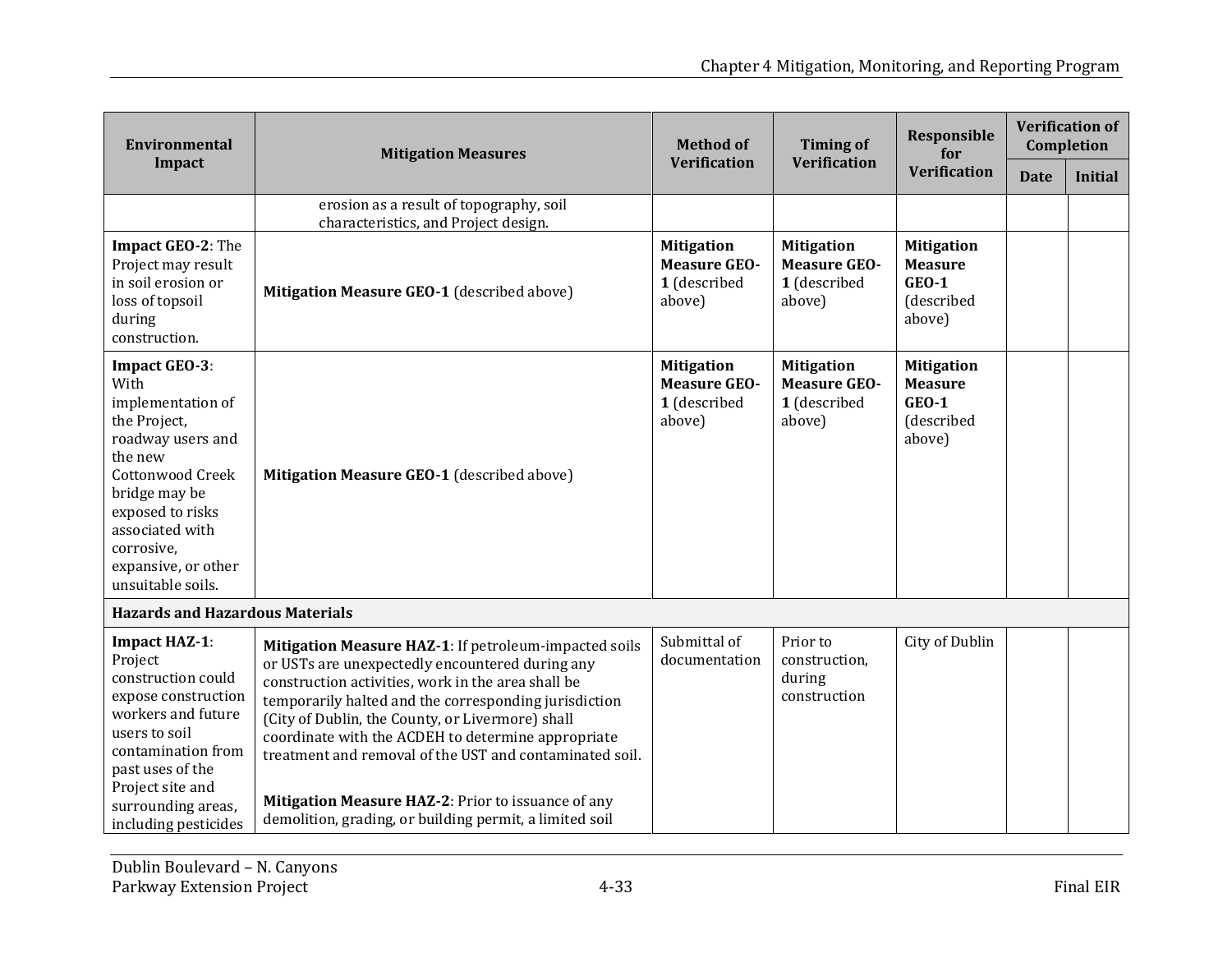| <b>Environmental</b>                                                                                                                                                                                                                    | <b>Mitigation Measures</b>                                                                                                                                                                                                                                                                                                                                                                                                                                                                                    | <b>Method of</b><br><b>Verification</b>                            | <b>Timing of</b><br><b>Verification</b>                            | Responsible<br>for<br><b>Verification</b>                              | <b>Verification of</b><br>Completion |                |
|-----------------------------------------------------------------------------------------------------------------------------------------------------------------------------------------------------------------------------------------|---------------------------------------------------------------------------------------------------------------------------------------------------------------------------------------------------------------------------------------------------------------------------------------------------------------------------------------------------------------------------------------------------------------------------------------------------------------------------------------------------------------|--------------------------------------------------------------------|--------------------------------------------------------------------|------------------------------------------------------------------------|--------------------------------------|----------------|
| Impact                                                                                                                                                                                                                                  |                                                                                                                                                                                                                                                                                                                                                                                                                                                                                                               |                                                                    |                                                                    |                                                                        | <b>Date</b>                          | <b>Initial</b> |
|                                                                                                                                                                                                                                         | erosion as a result of topography, soil<br>characteristics, and Project design.                                                                                                                                                                                                                                                                                                                                                                                                                               |                                                                    |                                                                    |                                                                        |                                      |                |
| Impact GEO-2: The<br>Project may result<br>in soil erosion or<br>loss of topsoil<br>during<br>construction.                                                                                                                             | Mitigation Measure GEO-1 (described above)                                                                                                                                                                                                                                                                                                                                                                                                                                                                    | <b>Mitigation</b><br><b>Measure GEO-</b><br>1 (described<br>above) | <b>Mitigation</b><br><b>Measure GEO-</b><br>1 (described<br>above) | <b>Mitigation</b><br><b>Measure</b><br>$GEO-1$<br>(described<br>above) |                                      |                |
| <b>Impact GEO-3:</b><br>With<br>implementation of<br>the Project,<br>roadway users and<br>the new<br>Cottonwood Creek<br>bridge may be<br>exposed to risks<br>associated with<br>corrosive,<br>expansive, or other<br>unsuitable soils. | Mitigation Measure GEO-1 (described above)                                                                                                                                                                                                                                                                                                                                                                                                                                                                    | <b>Mitigation</b><br><b>Measure GEO-</b><br>1 (described<br>above) | <b>Mitigation</b><br><b>Measure GEO-</b><br>1 (described<br>above) | <b>Mitigation</b><br><b>Measure</b><br>$GEO-1$<br>(described<br>above) |                                      |                |
| <b>Hazards and Hazardous Materials</b>                                                                                                                                                                                                  |                                                                                                                                                                                                                                                                                                                                                                                                                                                                                                               |                                                                    |                                                                    |                                                                        |                                      |                |
| <b>Impact HAZ-1:</b><br>Project<br>construction could<br>expose construction<br>workers and future<br>users to soil<br>contamination from<br>past uses of the<br>Project site and<br>surrounding areas,<br>including pesticides         | Mitigation Measure HAZ-1: If petroleum-impacted soils<br>or USTs are unexpectedly encountered during any<br>construction activities, work in the area shall be<br>temporarily halted and the corresponding jurisdiction<br>(City of Dublin, the County, or Livermore) shall<br>coordinate with the ACDEH to determine appropriate<br>treatment and removal of the UST and contaminated soil.<br>Mitigation Measure HAZ-2: Prior to issuance of any<br>demolition, grading, or building permit, a limited soil | Submittal of<br>documentation                                      | Prior to<br>construction,<br>during<br>construction                | City of Dublin                                                         |                                      |                |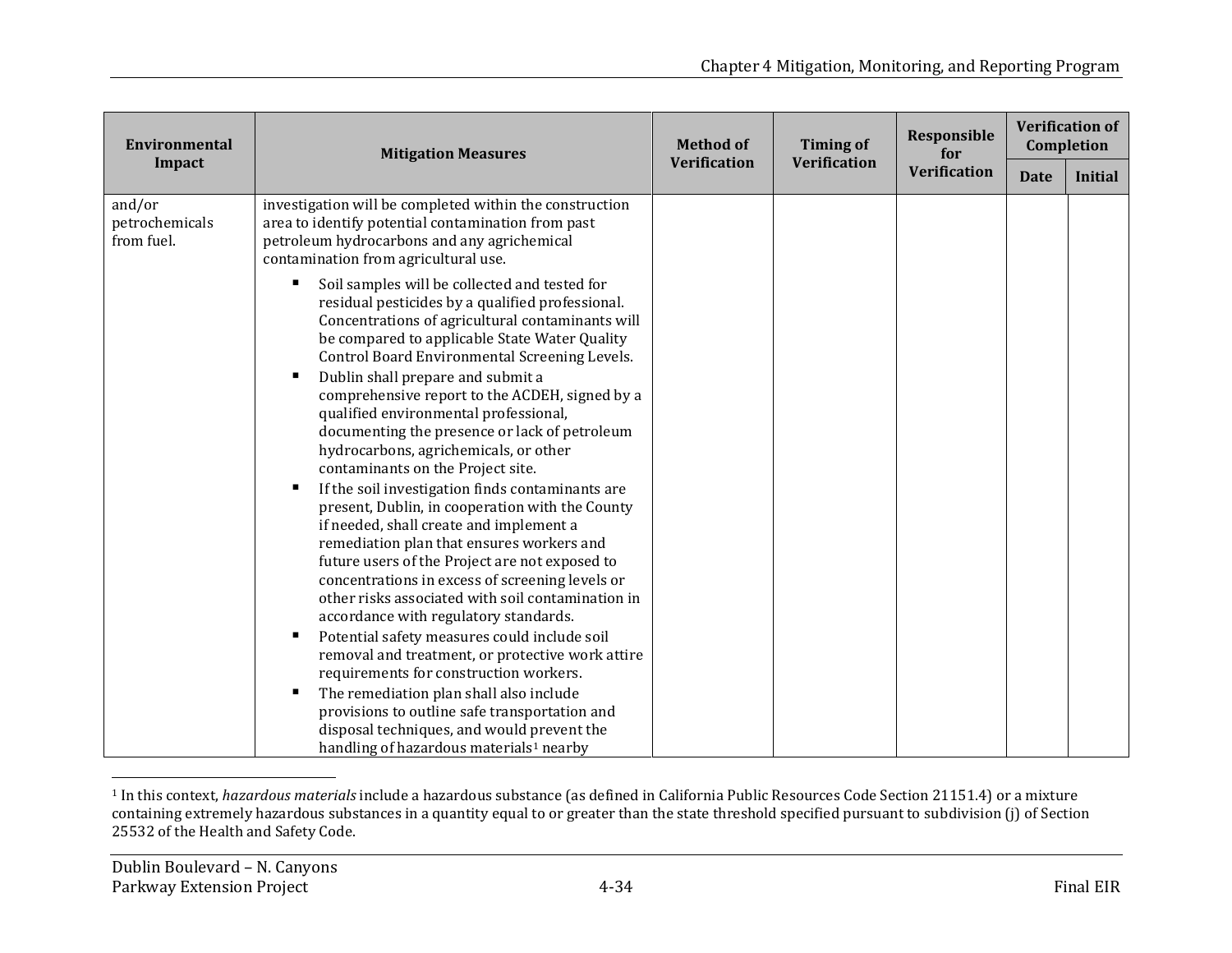| <b>Environmental</b><br>Impact         | <b>Mitigation Measures</b>                                                                                                                                                                                                                                                                                                                                                                                                                                                                                                                                                                                                                                                                                                                         | <b>Method of</b><br><b>Verification</b> | <b>Timing of</b>    | Responsible<br>for  | <b>Verification of</b><br>Completion |                |
|----------------------------------------|----------------------------------------------------------------------------------------------------------------------------------------------------------------------------------------------------------------------------------------------------------------------------------------------------------------------------------------------------------------------------------------------------------------------------------------------------------------------------------------------------------------------------------------------------------------------------------------------------------------------------------------------------------------------------------------------------------------------------------------------------|-----------------------------------------|---------------------|---------------------|--------------------------------------|----------------|
|                                        |                                                                                                                                                                                                                                                                                                                                                                                                                                                                                                                                                                                                                                                                                                                                                    |                                         | <b>Verification</b> | <b>Verification</b> | <b>Date</b>                          | <b>Initial</b> |
| and/or<br>petrochemicals<br>from fuel. | investigation will be completed within the construction<br>area to identify potential contamination from past<br>petroleum hydrocarbons and any agrichemical<br>contamination from agricultural use.<br>Soil samples will be collected and tested for<br>residual pesticides by a qualified professional.                                                                                                                                                                                                                                                                                                                                                                                                                                          |                                         |                     |                     |                                      |                |
|                                        | Concentrations of agricultural contaminants will<br>be compared to applicable State Water Quality<br>Control Board Environmental Screening Levels.<br>Dublin shall prepare and submit a<br>comprehensive report to the ACDEH, signed by a<br>qualified environmental professional,<br>documenting the presence or lack of petroleum<br>hydrocarbons, agrichemicals, or other<br>contaminants on the Project site.                                                                                                                                                                                                                                                                                                                                  |                                         |                     |                     |                                      |                |
|                                        | If the soil investigation finds contaminants are<br>present, Dublin, in cooperation with the County<br>if needed, shall create and implement a<br>remediation plan that ensures workers and<br>future users of the Project are not exposed to<br>concentrations in excess of screening levels or<br>other risks associated with soil contamination in<br>accordance with regulatory standards.<br>Potential safety measures could include soil<br>п<br>removal and treatment, or protective work attire<br>requirements for construction workers.<br>The remediation plan shall also include<br>provisions to outline safe transportation and<br>disposal techniques, and would prevent the<br>handling of hazardous materials <sup>1</sup> nearby |                                         |                     |                     |                                      |                |

<sup>1</sup> In this context, *hazardous materials* include a hazardous substance (as defined in California Public Resources Code Section 21151.4) or a mixture containing extremely hazardous substances in a quantity equal to or greater than the state threshold specified pursuant to subdivision (j) of Section 25532 of the Health and Safety Code.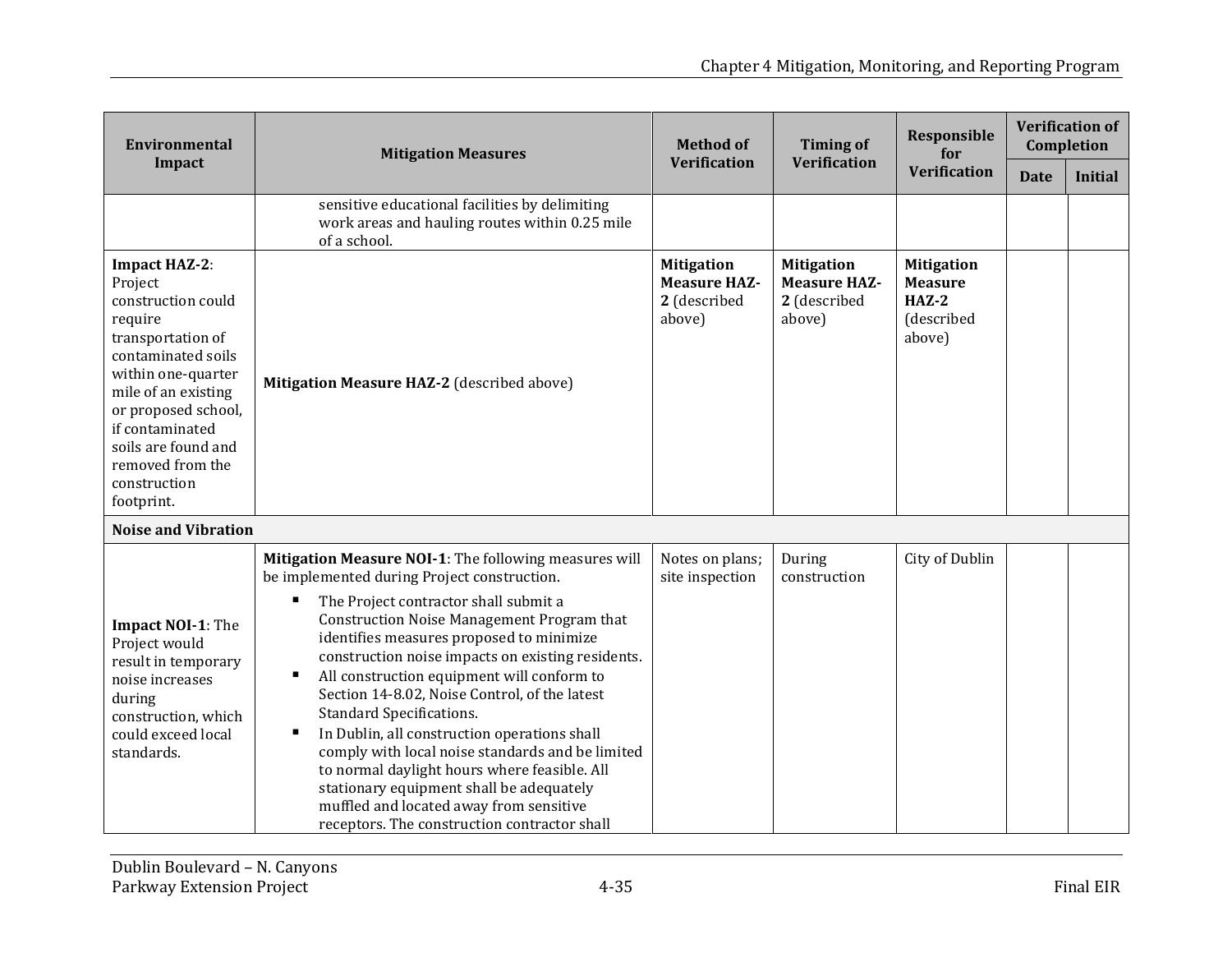| <b>Environmental</b><br><b>Impact</b>                                                                                                                                                                                                                                       | <b>Mitigation Measures</b>                                                                                                                                                                                                                                                                                                                                                                                                                                                                                                                                                                                                                                                                                                               | <b>Method of</b><br><b>Verification</b>                            | <b>Timing of</b><br><b>Verification</b>                            | <b>Responsible</b><br>for<br><b>Verification</b>                       | <b>Verification of</b><br>Completion |                |
|-----------------------------------------------------------------------------------------------------------------------------------------------------------------------------------------------------------------------------------------------------------------------------|------------------------------------------------------------------------------------------------------------------------------------------------------------------------------------------------------------------------------------------------------------------------------------------------------------------------------------------------------------------------------------------------------------------------------------------------------------------------------------------------------------------------------------------------------------------------------------------------------------------------------------------------------------------------------------------------------------------------------------------|--------------------------------------------------------------------|--------------------------------------------------------------------|------------------------------------------------------------------------|--------------------------------------|----------------|
|                                                                                                                                                                                                                                                                             |                                                                                                                                                                                                                                                                                                                                                                                                                                                                                                                                                                                                                                                                                                                                          |                                                                    |                                                                    |                                                                        | <b>Date</b>                          | <b>Initial</b> |
|                                                                                                                                                                                                                                                                             | sensitive educational facilities by delimiting<br>work areas and hauling routes within 0.25 mile<br>of a school.                                                                                                                                                                                                                                                                                                                                                                                                                                                                                                                                                                                                                         |                                                                    |                                                                    |                                                                        |                                      |                |
| <b>Impact HAZ-2:</b><br>Project<br>construction could<br>require<br>transportation of<br>contaminated soils<br>within one-quarter<br>mile of an existing<br>or proposed school,<br>if contaminated<br>soils are found and<br>removed from the<br>construction<br>footprint. | Mitigation Measure HAZ-2 (described above)                                                                                                                                                                                                                                                                                                                                                                                                                                                                                                                                                                                                                                                                                               | <b>Mitigation</b><br><b>Measure HAZ-</b><br>2 (described<br>above) | <b>Mitigation</b><br><b>Measure HAZ-</b><br>2 (described<br>above) | <b>Mitigation</b><br><b>Measure</b><br>$HAZ-2$<br>(described<br>above) |                                      |                |
| <b>Noise and Vibration</b>                                                                                                                                                                                                                                                  |                                                                                                                                                                                                                                                                                                                                                                                                                                                                                                                                                                                                                                                                                                                                          |                                                                    |                                                                    |                                                                        |                                      |                |
| Impact NOI-1: The<br>Project would<br>result in temporary<br>noise increases<br>during<br>construction, which<br>could exceed local<br>standards.                                                                                                                           | Mitigation Measure NOI-1: The following measures will<br>be implemented during Project construction.<br>The Project contractor shall submit a<br>п<br>Construction Noise Management Program that<br>identifies measures proposed to minimize<br>construction noise impacts on existing residents.<br>All construction equipment will conform to<br>Е<br>Section 14-8.02, Noise Control, of the latest<br><b>Standard Specifications.</b><br>In Dublin, all construction operations shall<br>п<br>comply with local noise standards and be limited<br>to normal daylight hours where feasible. All<br>stationary equipment shall be adequately<br>muffled and located away from sensitive<br>receptors. The construction contractor shall | Notes on plans;<br>site inspection                                 | During<br>construction                                             | City of Dublin                                                         |                                      |                |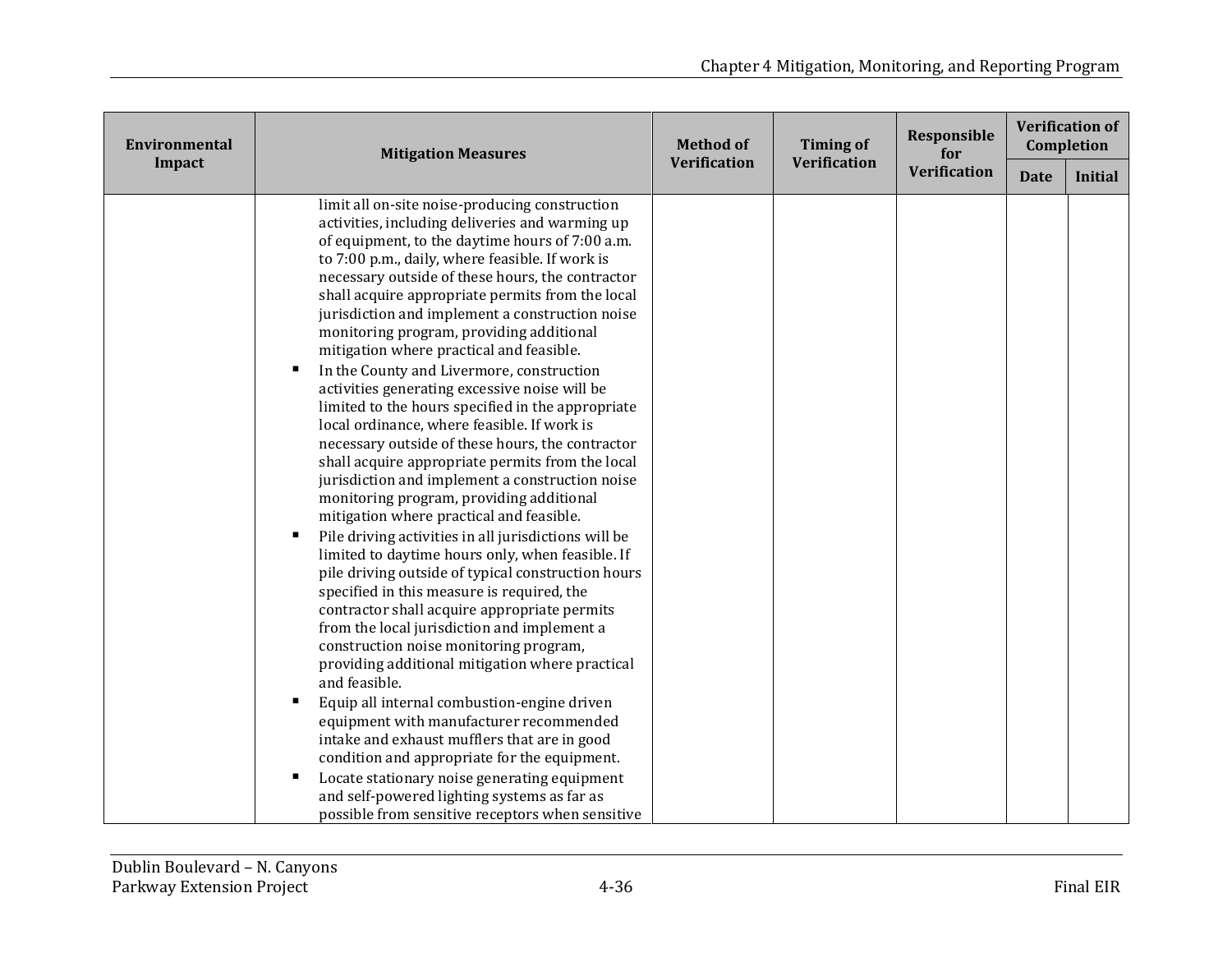| <b>Environmental</b> | <b>Method of</b><br><b>Mitigation Measures</b><br><b>Verification</b>                                                                                                                                                                                                                                                                                                                                                                                                                                                                                                                                                                                                                                                                                                                                                                                                                                                                                                                                                                                                                                                                                                                                                                                                                                                                                                                                                                                                                                                                                                                                                                                                                     | <b>Timing of</b> | Responsible<br>for  | <b>Verification of</b><br>Completion |             |                |
|----------------------|-------------------------------------------------------------------------------------------------------------------------------------------------------------------------------------------------------------------------------------------------------------------------------------------------------------------------------------------------------------------------------------------------------------------------------------------------------------------------------------------------------------------------------------------------------------------------------------------------------------------------------------------------------------------------------------------------------------------------------------------------------------------------------------------------------------------------------------------------------------------------------------------------------------------------------------------------------------------------------------------------------------------------------------------------------------------------------------------------------------------------------------------------------------------------------------------------------------------------------------------------------------------------------------------------------------------------------------------------------------------------------------------------------------------------------------------------------------------------------------------------------------------------------------------------------------------------------------------------------------------------------------------------------------------------------------------|------------------|---------------------|--------------------------------------|-------------|----------------|
| Impact               |                                                                                                                                                                                                                                                                                                                                                                                                                                                                                                                                                                                                                                                                                                                                                                                                                                                                                                                                                                                                                                                                                                                                                                                                                                                                                                                                                                                                                                                                                                                                                                                                                                                                                           |                  | <b>Verification</b> | <b>Verification</b>                  | <b>Date</b> | <b>Initial</b> |
|                      | limit all on-site noise-producing construction<br>activities, including deliveries and warming up<br>of equipment, to the daytime hours of 7:00 a.m.<br>to 7:00 p.m., daily, where feasible. If work is<br>necessary outside of these hours, the contractor<br>shall acquire appropriate permits from the local<br>jurisdiction and implement a construction noise<br>monitoring program, providing additional<br>mitigation where practical and feasible.<br>In the County and Livermore, construction<br>activities generating excessive noise will be<br>limited to the hours specified in the appropriate<br>local ordinance, where feasible. If work is<br>necessary outside of these hours, the contractor<br>shall acquire appropriate permits from the local<br>jurisdiction and implement a construction noise<br>monitoring program, providing additional<br>mitigation where practical and feasible.<br>Pile driving activities in all jurisdictions will be<br>limited to daytime hours only, when feasible. If<br>pile driving outside of typical construction hours<br>specified in this measure is required, the<br>contractor shall acquire appropriate permits<br>from the local jurisdiction and implement a<br>construction noise monitoring program,<br>providing additional mitigation where practical<br>and feasible.<br>Equip all internal combustion-engine driven<br>equipment with manufacturer recommended<br>intake and exhaust mufflers that are in good<br>condition and appropriate for the equipment.<br>Locate stationary noise generating equipment<br>and self-powered lighting systems as far as<br>possible from sensitive receptors when sensitive |                  |                     |                                      |             |                |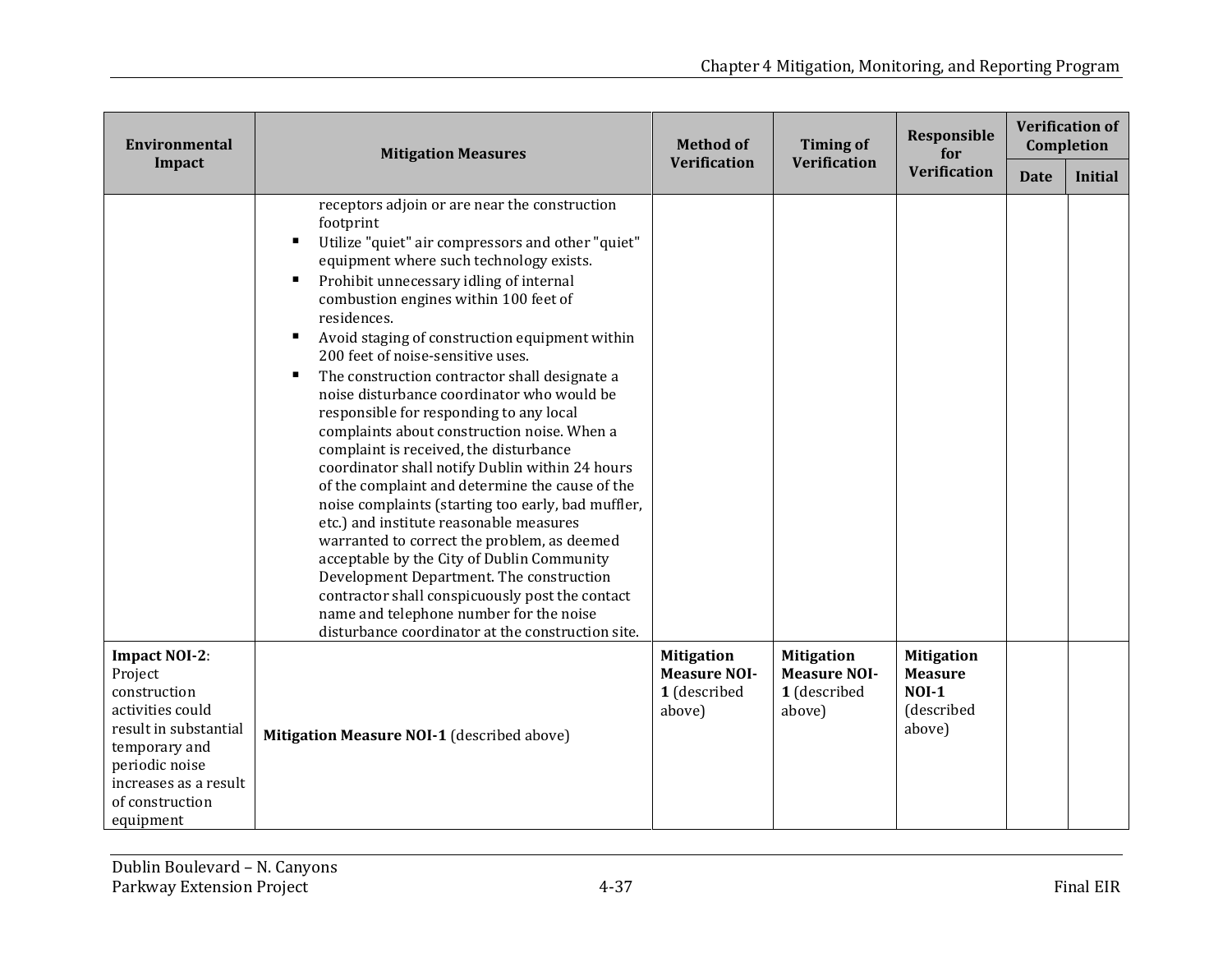| Environmental                                                                                                                                                                            | <b>Mitigation Measures</b>                                                                                                                                                                                                                                                                                                                                                                                                                                                                                                                                                                                                                                                                                                                                                                                                                                                                                                                                                                                                                                                                      | <b>Method of</b><br><b>Verification</b>                            |                                                                    | <b>Timing of</b><br><b>Verification</b>                                | Responsible<br>for |                | <b>Verification of</b><br>Completion |  |
|------------------------------------------------------------------------------------------------------------------------------------------------------------------------------------------|-------------------------------------------------------------------------------------------------------------------------------------------------------------------------------------------------------------------------------------------------------------------------------------------------------------------------------------------------------------------------------------------------------------------------------------------------------------------------------------------------------------------------------------------------------------------------------------------------------------------------------------------------------------------------------------------------------------------------------------------------------------------------------------------------------------------------------------------------------------------------------------------------------------------------------------------------------------------------------------------------------------------------------------------------------------------------------------------------|--------------------------------------------------------------------|--------------------------------------------------------------------|------------------------------------------------------------------------|--------------------|----------------|--------------------------------------|--|
| Impact                                                                                                                                                                                   |                                                                                                                                                                                                                                                                                                                                                                                                                                                                                                                                                                                                                                                                                                                                                                                                                                                                                                                                                                                                                                                                                                 |                                                                    |                                                                    | <b>Verification</b>                                                    | <b>Date</b>        | <b>Initial</b> |                                      |  |
|                                                                                                                                                                                          | receptors adjoin or are near the construction<br>footprint<br>Utilize "quiet" air compressors and other "quiet"<br>equipment where such technology exists.<br>Prohibit unnecessary idling of internal<br>combustion engines within 100 feet of<br>residences.<br>Avoid staging of construction equipment within<br>200 feet of noise-sensitive uses.<br>The construction contractor shall designate a<br>٠<br>noise disturbance coordinator who would be<br>responsible for responding to any local<br>complaints about construction noise. When a<br>complaint is received, the disturbance<br>coordinator shall notify Dublin within 24 hours<br>of the complaint and determine the cause of the<br>noise complaints (starting too early, bad muffler,<br>etc.) and institute reasonable measures<br>warranted to correct the problem, as deemed<br>acceptable by the City of Dublin Community<br>Development Department. The construction<br>contractor shall conspicuously post the contact<br>name and telephone number for the noise<br>disturbance coordinator at the construction site. |                                                                    |                                                                    |                                                                        |                    |                |                                      |  |
| <b>Impact NOI-2:</b><br>Project<br>construction<br>activities could<br>result in substantial<br>temporary and<br>periodic noise<br>increases as a result<br>of construction<br>equipment | Mitigation Measure NOI-1 (described above)                                                                                                                                                                                                                                                                                                                                                                                                                                                                                                                                                                                                                                                                                                                                                                                                                                                                                                                                                                                                                                                      | <b>Mitigation</b><br><b>Measure NOI-</b><br>1 (described<br>above) | <b>Mitigation</b><br><b>Measure NOI-</b><br>1 (described<br>above) | <b>Mitigation</b><br><b>Measure</b><br>$NOI-1$<br>(described<br>above) |                    |                |                                      |  |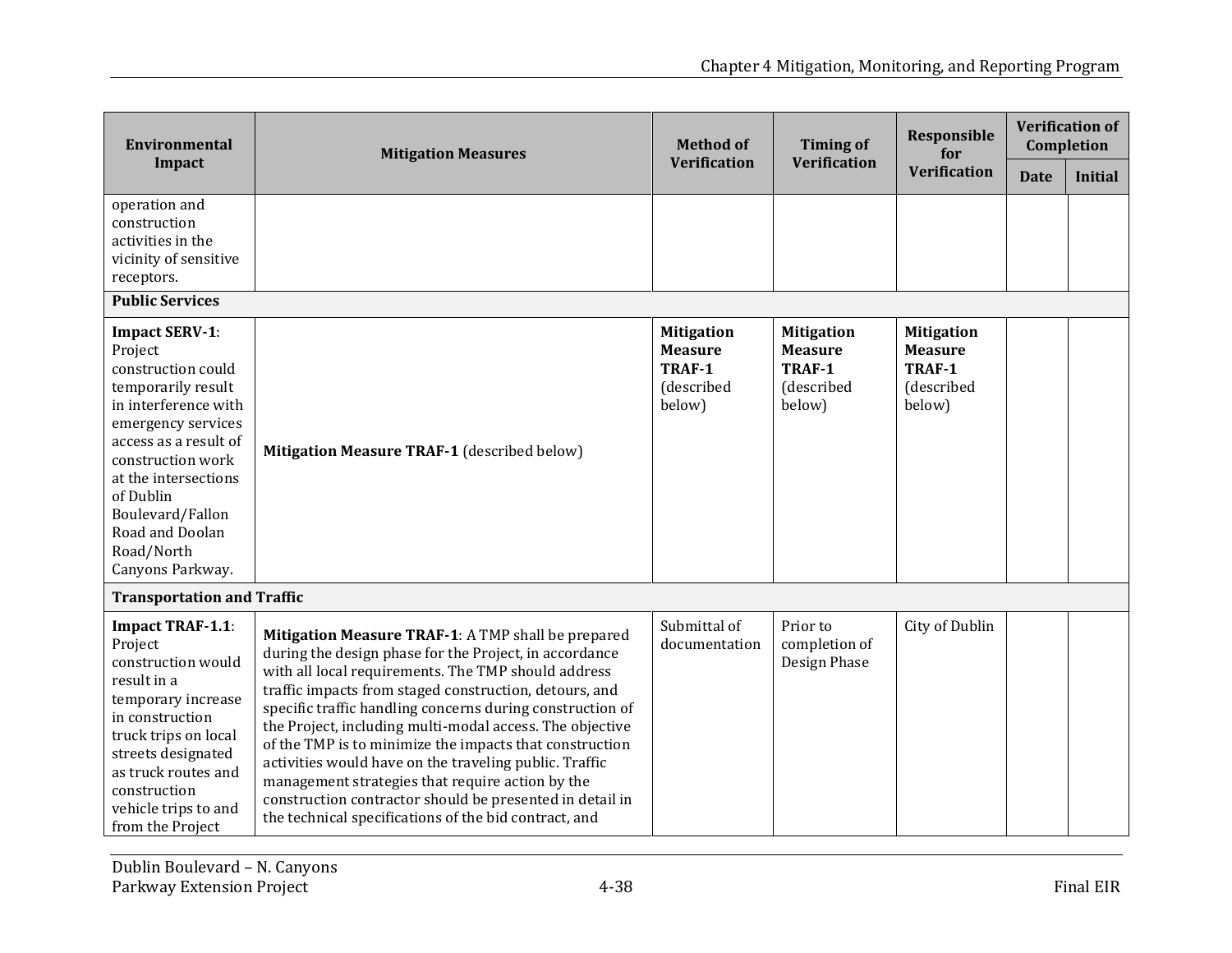| Environmental<br>Impact                                                                                                                                                                                                                                                                | <b>Mitigation Measures</b>                                                                                                                                                                                                                                                                                                                                                                                                                                                                                                                                                                                                                           | <b>Method of</b><br><b>Verification</b>                                      | <b>Timing of</b><br><b>Verification</b>                                       | Responsible<br>for<br><b>Verification</b>                                     | <b>Verification of</b><br>Completion |         |
|----------------------------------------------------------------------------------------------------------------------------------------------------------------------------------------------------------------------------------------------------------------------------------------|------------------------------------------------------------------------------------------------------------------------------------------------------------------------------------------------------------------------------------------------------------------------------------------------------------------------------------------------------------------------------------------------------------------------------------------------------------------------------------------------------------------------------------------------------------------------------------------------------------------------------------------------------|------------------------------------------------------------------------------|-------------------------------------------------------------------------------|-------------------------------------------------------------------------------|--------------------------------------|---------|
|                                                                                                                                                                                                                                                                                        |                                                                                                                                                                                                                                                                                                                                                                                                                                                                                                                                                                                                                                                      |                                                                              |                                                                               |                                                                               | <b>Date</b>                          | Initial |
| operation and<br>construction<br>activities in the<br>vicinity of sensitive<br>receptors.                                                                                                                                                                                              |                                                                                                                                                                                                                                                                                                                                                                                                                                                                                                                                                                                                                                                      |                                                                              |                                                                               |                                                                               |                                      |         |
| <b>Public Services</b>                                                                                                                                                                                                                                                                 |                                                                                                                                                                                                                                                                                                                                                                                                                                                                                                                                                                                                                                                      |                                                                              |                                                                               |                                                                               |                                      |         |
| <b>Impact SERV-1:</b><br>Project<br>construction could<br>temporarily result<br>in interference with<br>emergency services<br>access as a result of<br>construction work<br>at the intersections<br>of Dublin<br>Boulevard/Fallon<br>Road and Doolan<br>Road/North<br>Canyons Parkway. | Mitigation Measure TRAF-1 (described below)                                                                                                                                                                                                                                                                                                                                                                                                                                                                                                                                                                                                          | <b>Mitigation</b><br><b>Measure</b><br>TRAF-1<br><i>(described</i><br>below) | <b>Mitigation</b><br><b>Measure</b><br>TRAF-1<br><i>(described)</i><br>below) | <b>Mitigation</b><br><b>Measure</b><br>TRAF-1<br><i>(described)</i><br>below) |                                      |         |
| <b>Transportation and Traffic</b>                                                                                                                                                                                                                                                      |                                                                                                                                                                                                                                                                                                                                                                                                                                                                                                                                                                                                                                                      |                                                                              |                                                                               |                                                                               |                                      |         |
| <b>Impact TRAF-1.1:</b><br>Project<br>construction would<br>result in a<br>temporary increase<br>in construction<br>truck trips on local<br>streets designated<br>as truck routes and<br>construction<br>vehicle trips to and<br>from the Project                                      | Mitigation Measure TRAF-1: A TMP shall be prepared<br>during the design phase for the Project, in accordance<br>with all local requirements. The TMP should address<br>traffic impacts from staged construction, detours, and<br>specific traffic handling concerns during construction of<br>the Project, including multi-modal access. The objective<br>of the TMP is to minimize the impacts that construction<br>activities would have on the traveling public. Traffic<br>management strategies that require action by the<br>construction contractor should be presented in detail in<br>the technical specifications of the bid contract, and | Submittal of<br>documentation                                                | Prior to<br>completion of<br>Design Phase                                     | City of Dublin                                                                |                                      |         |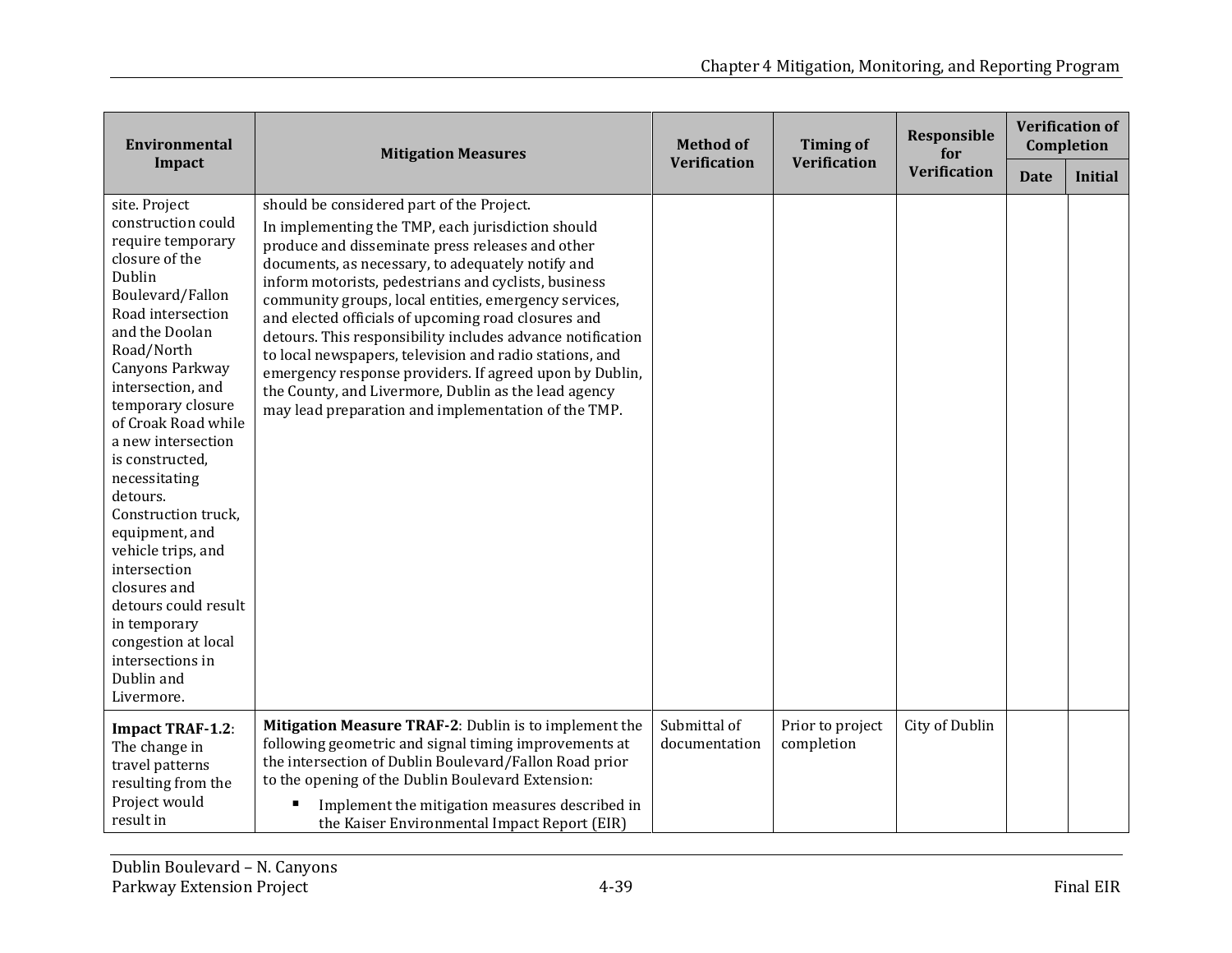| <b>Environmental</b><br>Impact                                                                                                                                                                                                                                                                                                                                                                                                                                                                                                        | <b>Mitigation Measures</b>                                                                                                                                                                                                                                                                                                                                                                                                                                                                                                                                                                                                                                                         | <b>Method of</b>              | <b>Timing of</b>               | <b>Responsible</b><br>for<br><b>Verification</b> | <b>Verification of</b><br>Completion |         |
|---------------------------------------------------------------------------------------------------------------------------------------------------------------------------------------------------------------------------------------------------------------------------------------------------------------------------------------------------------------------------------------------------------------------------------------------------------------------------------------------------------------------------------------|------------------------------------------------------------------------------------------------------------------------------------------------------------------------------------------------------------------------------------------------------------------------------------------------------------------------------------------------------------------------------------------------------------------------------------------------------------------------------------------------------------------------------------------------------------------------------------------------------------------------------------------------------------------------------------|-------------------------------|--------------------------------|--------------------------------------------------|--------------------------------------|---------|
|                                                                                                                                                                                                                                                                                                                                                                                                                                                                                                                                       |                                                                                                                                                                                                                                                                                                                                                                                                                                                                                                                                                                                                                                                                                    | <b>Verification</b>           | <b>Verification</b>            |                                                  | <b>Date</b>                          | Initial |
| site. Project<br>construction could<br>require temporary<br>closure of the<br>Dublin<br>Boulevard/Fallon<br>Road intersection<br>and the Doolan<br>Road/North<br>Canyons Parkway<br>intersection, and<br>temporary closure<br>of Croak Road while<br>a new intersection<br>is constructed,<br>necessitating<br>detours.<br>Construction truck,<br>equipment, and<br>vehicle trips, and<br>intersection<br>closures and<br>detours could result<br>in temporary<br>congestion at local<br>intersections in<br>Dublin and<br>Livermore. | should be considered part of the Project.<br>In implementing the TMP, each jurisdiction should<br>produce and disseminate press releases and other<br>documents, as necessary, to adequately notify and<br>inform motorists, pedestrians and cyclists, business<br>community groups, local entities, emergency services,<br>and elected officials of upcoming road closures and<br>detours. This responsibility includes advance notification<br>to local newspapers, television and radio stations, and<br>emergency response providers. If agreed upon by Dublin,<br>the County, and Livermore, Dublin as the lead agency<br>may lead preparation and implementation of the TMP. |                               |                                |                                                  |                                      |         |
| Impact TRAF-1.2:<br>The change in<br>travel patterns<br>resulting from the                                                                                                                                                                                                                                                                                                                                                                                                                                                            | Mitigation Measure TRAF-2: Dublin is to implement the<br>following geometric and signal timing improvements at<br>the intersection of Dublin Boulevard/Fallon Road prior<br>to the opening of the Dublin Boulevard Extension:                                                                                                                                                                                                                                                                                                                                                                                                                                                      | Submittal of<br>documentation | Prior to project<br>completion | City of Dublin                                   |                                      |         |
| Project would<br>result in                                                                                                                                                                                                                                                                                                                                                                                                                                                                                                            | Implement the mitigation measures described in<br>the Kaiser Environmental Impact Report (EIR)                                                                                                                                                                                                                                                                                                                                                                                                                                                                                                                                                                                     |                               |                                |                                                  |                                      |         |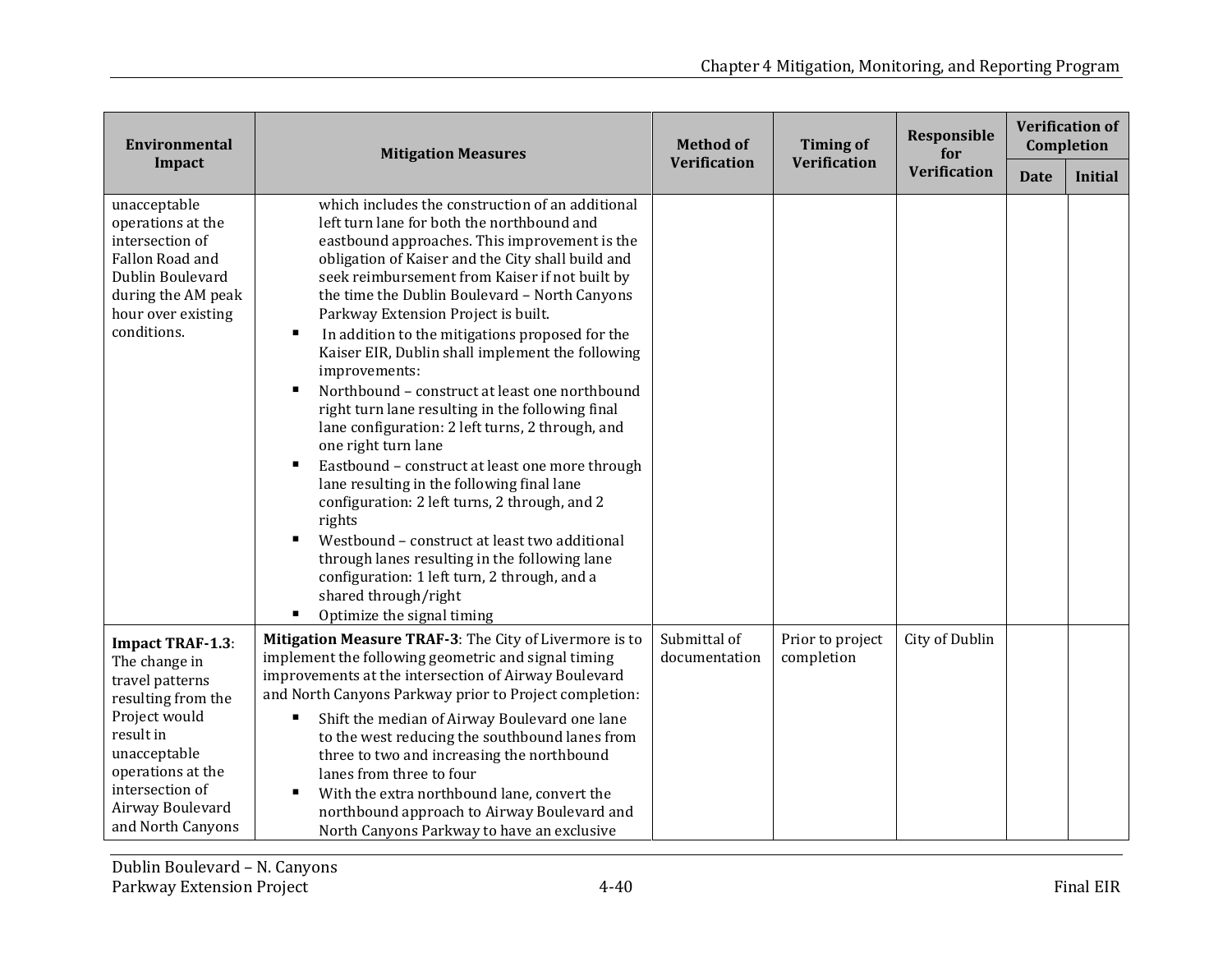| <b>Environmental</b><br>Impact                                                                                                                                                                                   | <b>Mitigation Measures</b>                                                                                                                                                                                                                                                                                                                                                                                                                                                                                                                                                                                                                                                                                                                                                                                                                                                                                                                                                                                                                 | <b>Method of</b><br><b>Verification</b> | <b>Timing of</b><br><b>Verification</b> | Responsible<br>for<br><b>Verification</b> | <b>Verification of</b><br>Completion |                |
|------------------------------------------------------------------------------------------------------------------------------------------------------------------------------------------------------------------|--------------------------------------------------------------------------------------------------------------------------------------------------------------------------------------------------------------------------------------------------------------------------------------------------------------------------------------------------------------------------------------------------------------------------------------------------------------------------------------------------------------------------------------------------------------------------------------------------------------------------------------------------------------------------------------------------------------------------------------------------------------------------------------------------------------------------------------------------------------------------------------------------------------------------------------------------------------------------------------------------------------------------------------------|-----------------------------------------|-----------------------------------------|-------------------------------------------|--------------------------------------|----------------|
|                                                                                                                                                                                                                  |                                                                                                                                                                                                                                                                                                                                                                                                                                                                                                                                                                                                                                                                                                                                                                                                                                                                                                                                                                                                                                            |                                         |                                         |                                           | <b>Date</b>                          | <b>Initial</b> |
| unacceptable<br>operations at the<br>intersection of<br>Fallon Road and<br>Dublin Boulevard<br>during the AM peak<br>hour over existing<br>conditions.                                                           | which includes the construction of an additional<br>left turn lane for both the northbound and<br>eastbound approaches. This improvement is the<br>obligation of Kaiser and the City shall build and<br>seek reimbursement from Kaiser if not built by<br>the time the Dublin Boulevard - North Canyons<br>Parkway Extension Project is built.<br>In addition to the mitigations proposed for the<br>٠<br>Kaiser EIR, Dublin shall implement the following<br>improvements:<br>Northbound - construct at least one northbound<br>п<br>right turn lane resulting in the following final<br>lane configuration: 2 left turns, 2 through, and<br>one right turn lane<br>Eastbound - construct at least one more through<br>lane resulting in the following final lane<br>configuration: 2 left turns, 2 through, and 2<br>rights<br>Westbound - construct at least two additional<br>through lanes resulting in the following lane<br>configuration: 1 left turn, 2 through, and a<br>shared through/right<br>Optimize the signal timing<br>п |                                         |                                         |                                           |                                      |                |
| <b>Impact TRAF-1.3:</b><br>The change in<br>travel patterns<br>resulting from the<br>Project would<br>result in<br>unacceptable<br>operations at the<br>intersection of<br>Airway Boulevard<br>and North Canyons | Mitigation Measure TRAF-3: The City of Livermore is to<br>implement the following geometric and signal timing<br>improvements at the intersection of Airway Boulevard<br>and North Canyons Parkway prior to Project completion:<br>Shift the median of Airway Boulevard one lane<br>ш<br>to the west reducing the southbound lanes from                                                                                                                                                                                                                                                                                                                                                                                                                                                                                                                                                                                                                                                                                                    | Submittal of<br>documentation           | Prior to project<br>completion          | City of Dublin                            |                                      |                |
|                                                                                                                                                                                                                  | three to two and increasing the northbound<br>lanes from three to four<br>With the extra northbound lane, convert the<br>northbound approach to Airway Boulevard and<br>North Canyons Parkway to have an exclusive                                                                                                                                                                                                                                                                                                                                                                                                                                                                                                                                                                                                                                                                                                                                                                                                                         |                                         |                                         |                                           |                                      |                |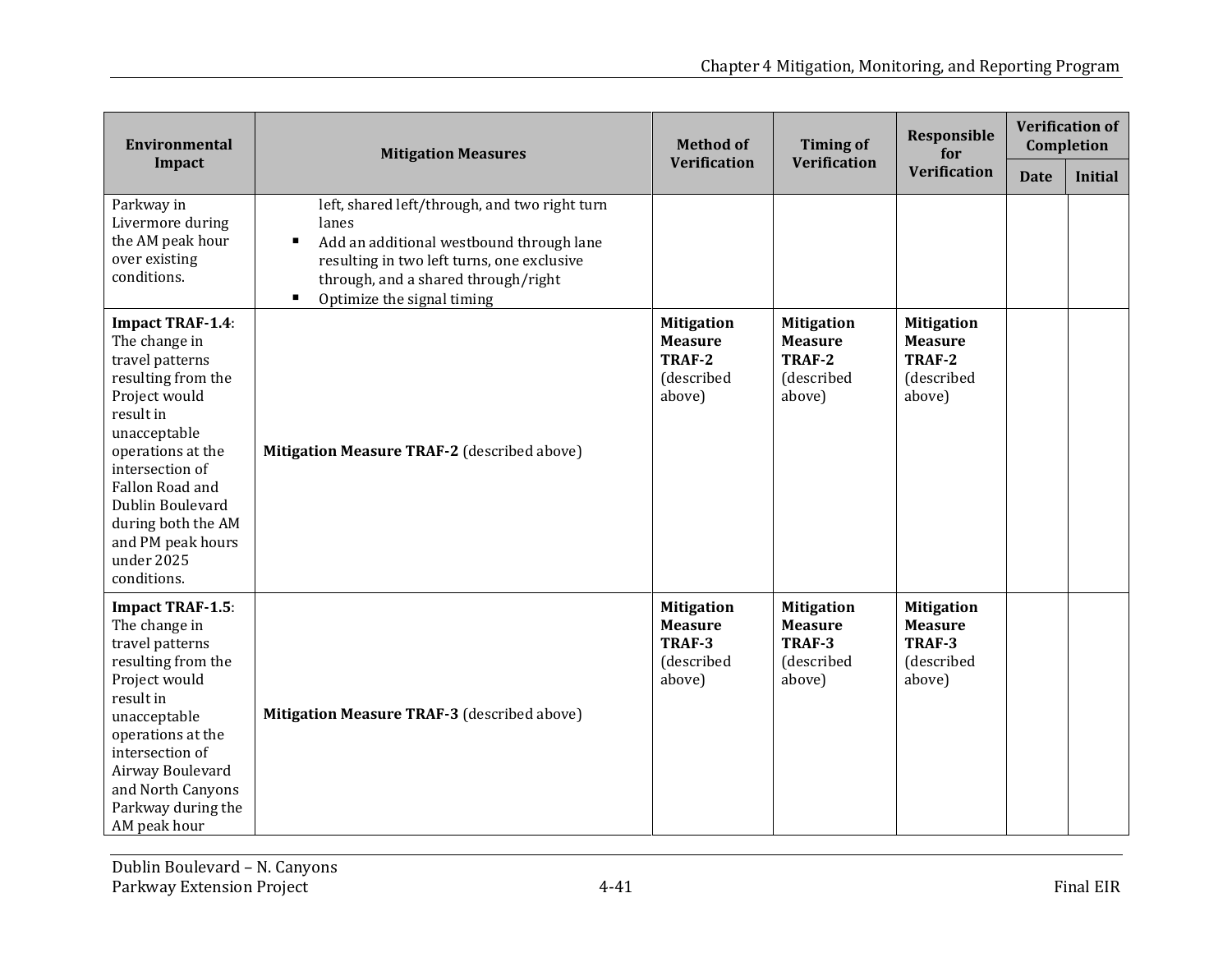| <b>Environmental</b><br><b>Impact</b>                                                                                                                                                                                                                                                  | <b>Mitigation Measures</b>                                                                                                                                                                                                      | <b>Method of</b>                                                      | <b>Timing of</b>                                                      | <b>Responsible</b><br>for<br><b>Verification</b>                      | <b>Verification of</b><br>Completion |         |
|----------------------------------------------------------------------------------------------------------------------------------------------------------------------------------------------------------------------------------------------------------------------------------------|---------------------------------------------------------------------------------------------------------------------------------------------------------------------------------------------------------------------------------|-----------------------------------------------------------------------|-----------------------------------------------------------------------|-----------------------------------------------------------------------|--------------------------------------|---------|
|                                                                                                                                                                                                                                                                                        |                                                                                                                                                                                                                                 | <b>Verification</b>                                                   | <b>Verification</b>                                                   |                                                                       | <b>Date</b>                          | Initial |
| Parkway in<br>Livermore during<br>the AM peak hour<br>over existing<br>conditions.                                                                                                                                                                                                     | left, shared left/through, and two right turn<br>lanes<br>п<br>Add an additional westbound through lane<br>resulting in two left turns, one exclusive<br>through, and a shared through/right<br>Optimize the signal timing<br>п |                                                                       |                                                                       |                                                                       |                                      |         |
| <b>Impact TRAF-1.4:</b><br>The change in<br>travel patterns<br>resulting from the<br>Project would<br>result in<br>unacceptable<br>operations at the<br>intersection of<br>Fallon Road and<br>Dublin Boulevard<br>during both the AM<br>and PM peak hours<br>under 2025<br>conditions. | Mitigation Measure TRAF-2 (described above)                                                                                                                                                                                     | <b>Mitigation</b><br><b>Measure</b><br>TRAF-2<br>(described<br>above) | <b>Mitigation</b><br><b>Measure</b><br>TRAF-2<br>(described<br>above) | <b>Mitigation</b><br><b>Measure</b><br>TRAF-2<br>(described<br>above) |                                      |         |
| <b>Impact TRAF-1.5:</b><br>The change in<br>travel patterns<br>resulting from the<br>Project would<br>result in<br>unacceptable<br>operations at the<br>intersection of<br>Airway Boulevard<br>and North Canyons<br>Parkway during the<br>AM peak hour                                 | Mitigation Measure TRAF-3 (described above)                                                                                                                                                                                     | <b>Mitigation</b><br><b>Measure</b><br>TRAF-3<br>(described<br>above) | <b>Mitigation</b><br><b>Measure</b><br>TRAF-3<br>(described<br>above) | <b>Mitigation</b><br><b>Measure</b><br>TRAF-3<br>(described<br>above) |                                      |         |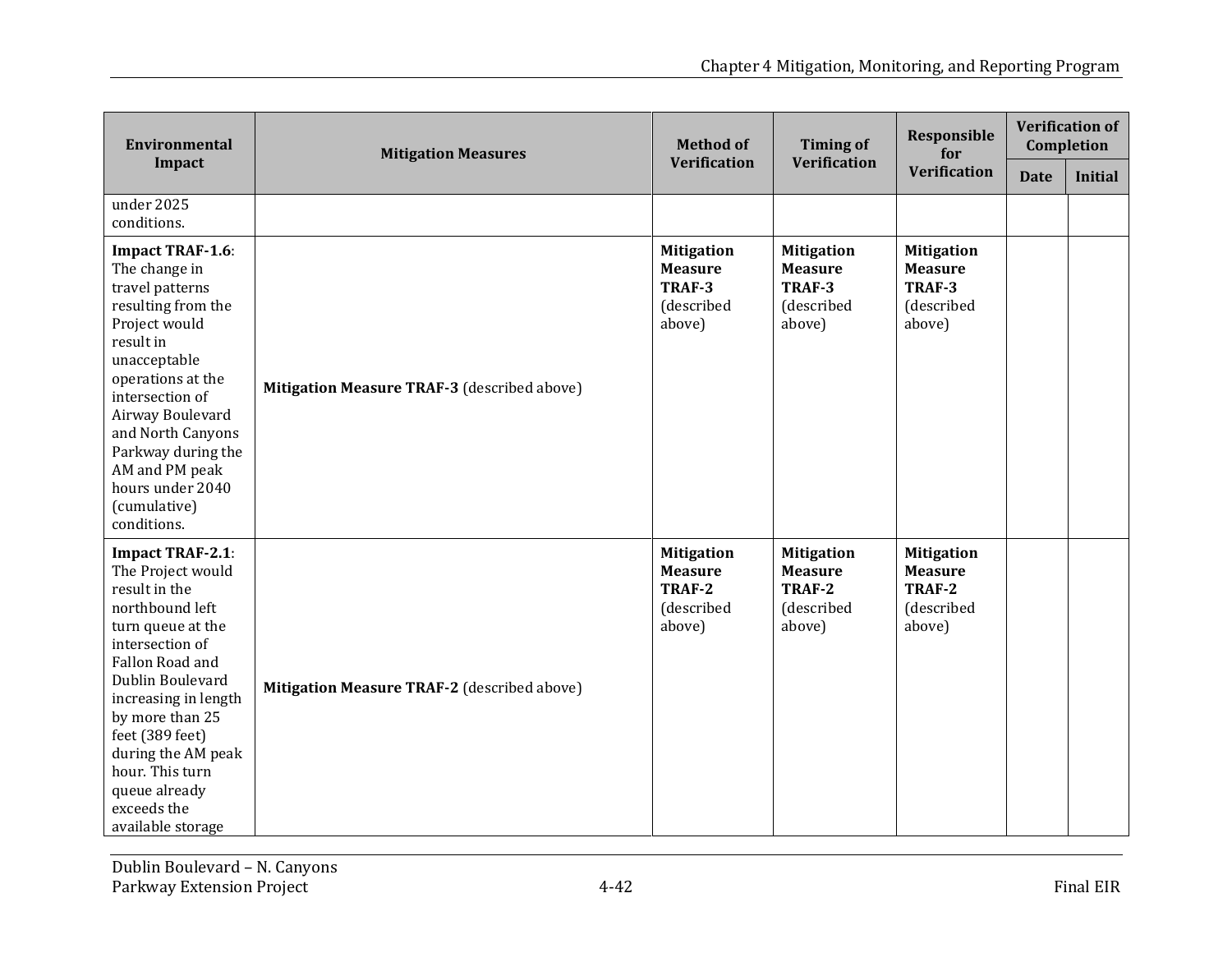| <b>Environmental</b><br>Impact                                                                                                                                                                                                                                                                                              | <b>Mitigation Measures</b>                  | <b>Method of</b>                                                      | <b>Timing of</b>                                                      | Responsible<br>for<br><b>Verification</b>                             | <b>Verification of</b><br>Completion |                |
|-----------------------------------------------------------------------------------------------------------------------------------------------------------------------------------------------------------------------------------------------------------------------------------------------------------------------------|---------------------------------------------|-----------------------------------------------------------------------|-----------------------------------------------------------------------|-----------------------------------------------------------------------|--------------------------------------|----------------|
|                                                                                                                                                                                                                                                                                                                             |                                             | <b>Verification</b>                                                   | <b>Verification</b>                                                   |                                                                       | <b>Date</b>                          | <b>Initial</b> |
| under 2025<br>conditions.                                                                                                                                                                                                                                                                                                   |                                             |                                                                       |                                                                       |                                                                       |                                      |                |
| <b>Impact TRAF-1.6:</b><br>The change in<br>travel patterns<br>resulting from the<br>Project would<br>result in<br>unacceptable<br>operations at the<br>intersection of<br>Airway Boulevard<br>and North Canyons<br>Parkway during the<br>AM and PM peak<br>hours under 2040<br>(cumulative)<br>conditions.                 | Mitigation Measure TRAF-3 (described above) | <b>Mitigation</b><br><b>Measure</b><br>TRAF-3<br>(described<br>above) | <b>Mitigation</b><br><b>Measure</b><br>TRAF-3<br>(described<br>above) | <b>Mitigation</b><br><b>Measure</b><br>TRAF-3<br>(described<br>above) |                                      |                |
| <b>Impact TRAF-2.1:</b><br>The Project would<br>result in the<br>northbound left<br>turn queue at the<br>intersection of<br>Fallon Road and<br>Dublin Boulevard<br>increasing in length<br>by more than 25<br>feet (389 feet)<br>during the AM peak<br>hour. This turn<br>queue already<br>exceeds the<br>available storage | Mitigation Measure TRAF-2 (described above) | <b>Mitigation</b><br><b>Measure</b><br>TRAF-2<br>(described<br>above) | <b>Mitigation</b><br><b>Measure</b><br>TRAF-2<br>(described<br>above) | <b>Mitigation</b><br><b>Measure</b><br>TRAF-2<br>(described<br>above) |                                      |                |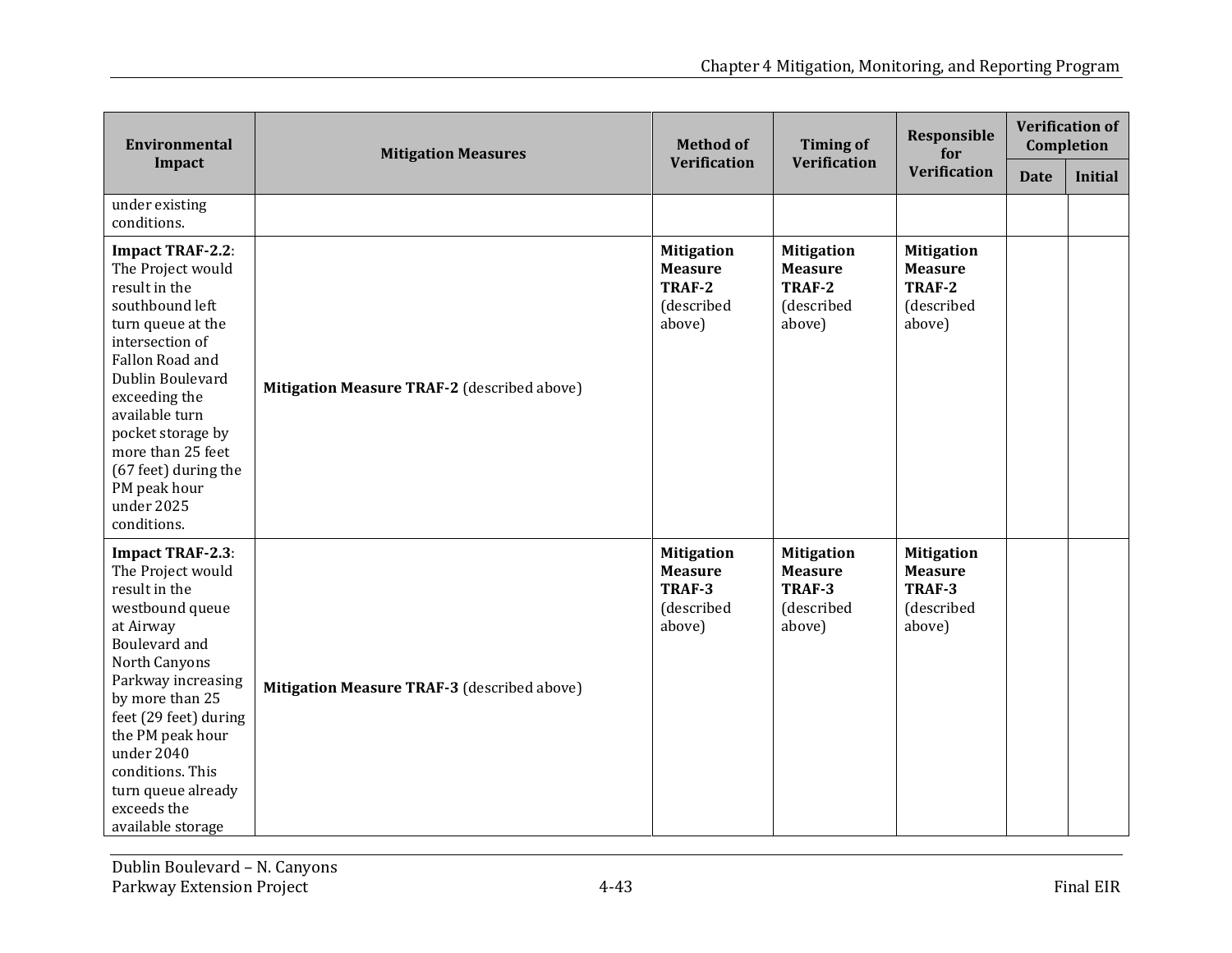| Environmental<br>Impact                                                                                                                                                                                                                                                                                           | <b>Mitigation Measures</b>                  | <b>Method of</b>                                                      | <b>Timing of</b>                                                      | Responsible<br>for<br><b>Verification</b>                             | <b>Verification of</b><br>Completion |                |
|-------------------------------------------------------------------------------------------------------------------------------------------------------------------------------------------------------------------------------------------------------------------------------------------------------------------|---------------------------------------------|-----------------------------------------------------------------------|-----------------------------------------------------------------------|-----------------------------------------------------------------------|--------------------------------------|----------------|
|                                                                                                                                                                                                                                                                                                                   |                                             | <b>Verification</b>                                                   | <b>Verification</b>                                                   |                                                                       | <b>Date</b>                          | <b>Initial</b> |
| under existing<br>conditions.                                                                                                                                                                                                                                                                                     |                                             |                                                                       |                                                                       |                                                                       |                                      |                |
| <b>Impact TRAF-2.2:</b><br>The Project would<br>result in the<br>southbound left<br>turn queue at the<br>intersection of<br>Fallon Road and<br>Dublin Boulevard<br>exceeding the<br>available turn<br>pocket storage by<br>more than 25 feet<br>(67 feet) during the<br>PM peak hour<br>under 2025<br>conditions. | Mitigation Measure TRAF-2 (described above) | <b>Mitigation</b><br><b>Measure</b><br>TRAF-2<br>(described<br>above) | <b>Mitigation</b><br><b>Measure</b><br>TRAF-2<br>(described<br>above) | <b>Mitigation</b><br><b>Measure</b><br>TRAF-2<br>(described<br>above) |                                      |                |
| <b>Impact TRAF-2.3:</b><br>The Project would<br>result in the<br>westbound queue<br>at Airway<br>Boulevard and<br>North Canyons<br>Parkway increasing<br>by more than 25<br>feet (29 feet) during<br>the PM peak hour<br>under 2040<br>conditions. This<br>turn queue already<br>exceeds the<br>available storage | Mitigation Measure TRAF-3 (described above) | <b>Mitigation</b><br><b>Measure</b><br>TRAF-3<br>(described<br>above) | <b>Mitigation</b><br><b>Measure</b><br>TRAF-3<br>(described<br>above) | <b>Mitigation</b><br><b>Measure</b><br>TRAF-3<br>(described<br>above) |                                      |                |